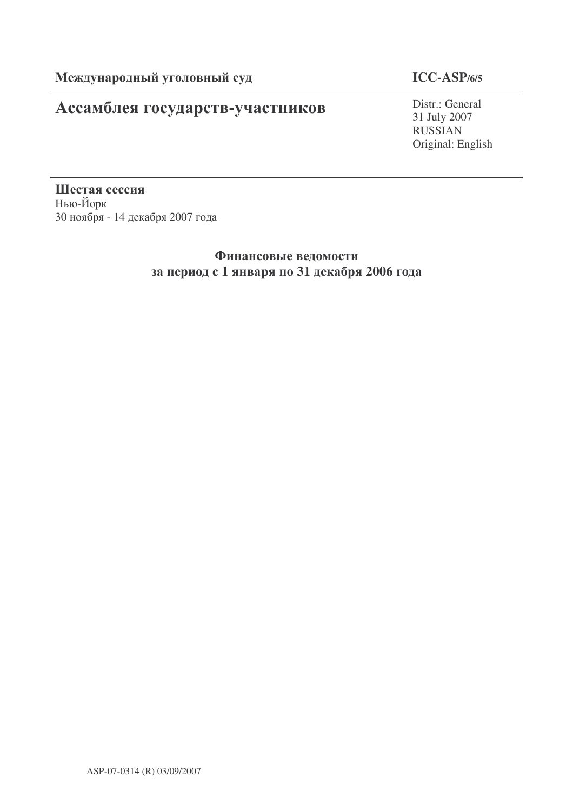# Ассамблея государств-участников

# **ICC-ASP/6/5**

Distr.: General 31 July 2007 RUSSIAN Original: English

Шестая сессия Нью-Йорк 30 ноября - 14 декабря 2007 года

# Финансовые ведомости за период с 1 января по 31 декабря 2006 года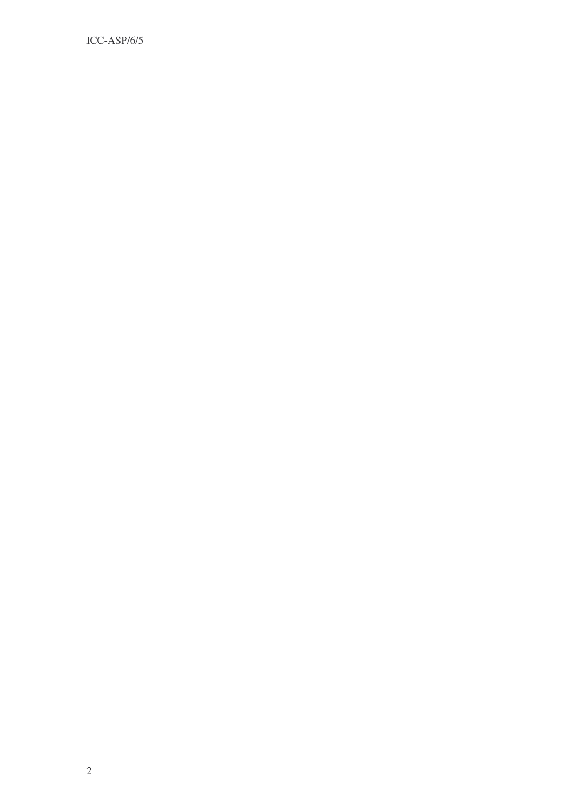ICC-ASP/6/5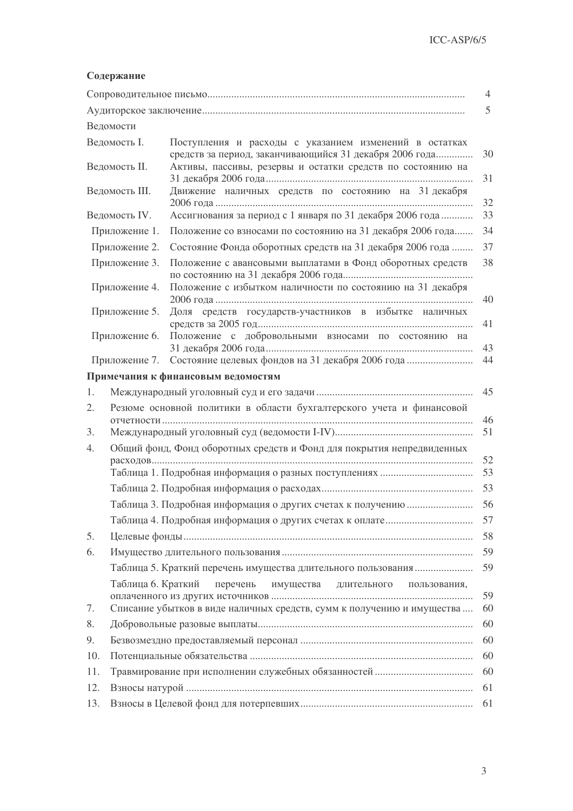# Содержание

|                  |                               |                                                                                                                                                                                 | $\overline{4}$ |  |  |  |  |  |
|------------------|-------------------------------|---------------------------------------------------------------------------------------------------------------------------------------------------------------------------------|----------------|--|--|--|--|--|
|                  | 5                             |                                                                                                                                                                                 |                |  |  |  |  |  |
|                  | Ведомости                     |                                                                                                                                                                                 |                |  |  |  |  |  |
|                  | Ведомость I.<br>Ведомость II. | Поступления и расходы с указанием изменений в остатках<br>средств за период, заканчивающийся 31 декабря 2006 года<br>Активы, пассивы, резервы и остатки средств по состоянию на | 30             |  |  |  |  |  |
|                  | Ведомость III.                | Движение наличных средств по состоянию на 31 декабря                                                                                                                            | 31<br>32       |  |  |  |  |  |
|                  | Ведомость IV.                 | Ассигнования за период с 1 января по 31 декабря 2006 года                                                                                                                       | 33             |  |  |  |  |  |
|                  | Приложение 1.                 | Положение со взносами по состоянию на 31 декабря 2006 года                                                                                                                      | 34             |  |  |  |  |  |
|                  | Приложение 2.                 | Состояние Фонда оборотных средств на 31 декабря 2006 года                                                                                                                       | 37             |  |  |  |  |  |
|                  | Приложение 3.                 | Положение с авансовыми выплатами в Фонд оборотных средств                                                                                                                       | 38             |  |  |  |  |  |
|                  | Приложение 4.                 | Положение с избытком наличности по состоянию на 31 декабря                                                                                                                      | 40             |  |  |  |  |  |
|                  | Приложение 5.                 | Доля средств государств-участников в избытке наличных                                                                                                                           | 41             |  |  |  |  |  |
|                  | Приложение 6.                 | Положение с добровольными взносами по состоянию на                                                                                                                              |                |  |  |  |  |  |
|                  | Приложение 7.                 | Состояние целевых фондов на 31 декабря 2006 года                                                                                                                                | 43<br>44       |  |  |  |  |  |
|                  |                               | Примечания к финансовым ведомостям                                                                                                                                              |                |  |  |  |  |  |
| 1.               |                               |                                                                                                                                                                                 | 45             |  |  |  |  |  |
| 2.               |                               | Резюме основной политики в области бухгалтерского учета и финансовой                                                                                                            |                |  |  |  |  |  |
|                  |                               |                                                                                                                                                                                 | 46             |  |  |  |  |  |
| 3.               |                               |                                                                                                                                                                                 | 51             |  |  |  |  |  |
| $\overline{4}$ . |                               | Общий фонд, Фонд оборотных средств и Фонд для покрытия непредвиденных                                                                                                           |                |  |  |  |  |  |
|                  |                               |                                                                                                                                                                                 | 52<br>53       |  |  |  |  |  |
|                  |                               |                                                                                                                                                                                 | 53             |  |  |  |  |  |
|                  |                               | Таблица 3. Подробная информация о других счетах к получению                                                                                                                     | 56             |  |  |  |  |  |
|                  |                               | Таблица 4. Подробная информация о других счетах к оплате                                                                                                                        | 57             |  |  |  |  |  |
| 5.               |                               |                                                                                                                                                                                 | 58             |  |  |  |  |  |
| 6.               |                               |                                                                                                                                                                                 | 59             |  |  |  |  |  |
|                  |                               | Таблица 5. Краткий перечень имущества длительного пользования                                                                                                                   | 59             |  |  |  |  |  |
|                  | Таблица 6. Краткий            | перечень<br>имущества<br>длительного<br>пользования,                                                                                                                            |                |  |  |  |  |  |
| 7.               |                               | Списание убытков в виде наличных средств, сумм к получению и имущества                                                                                                          | 59<br>60       |  |  |  |  |  |
| 8.               |                               |                                                                                                                                                                                 | 60             |  |  |  |  |  |
| 9.               |                               |                                                                                                                                                                                 | 60             |  |  |  |  |  |
| 10.              |                               |                                                                                                                                                                                 | 60             |  |  |  |  |  |
| 11.              |                               |                                                                                                                                                                                 | 60             |  |  |  |  |  |
| 12.              |                               |                                                                                                                                                                                 | 61             |  |  |  |  |  |
| 13.              |                               |                                                                                                                                                                                 | 61             |  |  |  |  |  |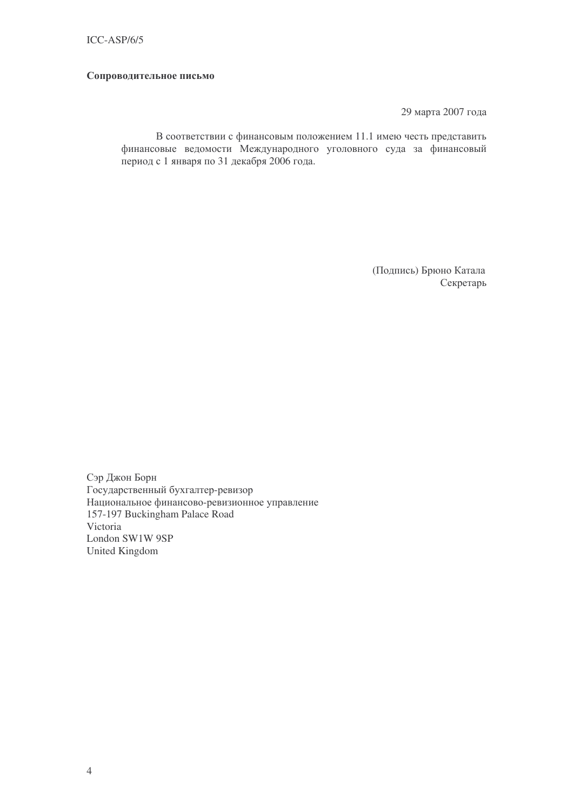#### Сопроводительное письмо

29 марта 2007 года

В соответствии с финансовым положением 11.1 имею честь представить финансовые ведомости Международного уголовного суда за финансовый период с 1 января по 31 декабря 2006 года.

> (Подпись) Брюно Катала Секретарь

Сэр Джон Борн Государственный бухгалтер-ревизор Национальное финансово-ревизионное управление 157-197 Buckingham Palace Road Victoria London SW1W 9SP United Kingdom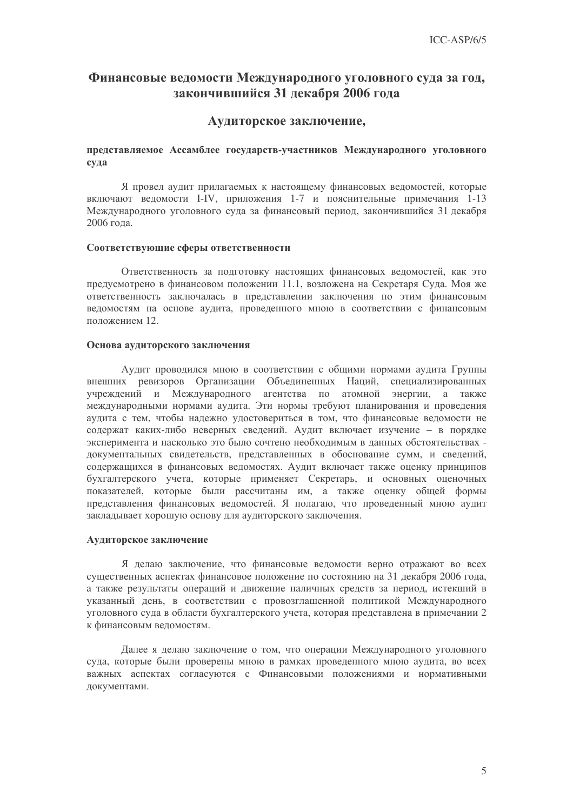# Финансовые ведомости Международного уголовного суда за год, закончившийся 31 декабря 2006 года

## Аудиторское заключение,

#### представляемое Ассамблее государств-участников Международного уголовного сула

Я провел аудит прилагаемых к настоящему финансовых ведомостей, которые включают ведомости I-IV, приложения 1-7 и пояснительные примечания 1-13 Международного уголовного суда за финансовый период, закончившийся 31 декабря 2006 года.

#### Соответствующие сферы ответственности

Ответственность за подготовку настоящих финансовых ведомостей, как это предусмотрено в финансовом положении 11.1, возложена на Секретаря Суда. Моя же ответственность заключалась в представлении заключения по этим финансовым ведомостям на основе аудита, проведенного мною в соответствии с финансовым положением 12

#### Основа аудиторского заключения

Аудит проводился мною в соответствии с общими нормами аудита Группы внешних ревизоров Организации Объединенных Наций, специализированных учреждений и Международного агентства по атомной энергии, а также международными нормами аудита. Эти нормы требуют планирования и проведения аудита с тем, чтобы належно удостовериться в том, что финансовые ведомости не содержат каких-либо неверных сведений. Аудит включает изучение - в порядке эксперимента и насколько это было сочтено необходимым в данных обстоятельствах документальных свидетельств, представленных в обоснование сумм, и сведений, содержащихся в финансовых ведомостях. Аудит включает также оценку принципов бухгалтерского учета, которые применяет Секретарь, и основных оценочных показателей, которые были рассчитаны им, а также оценку общей формы представления финансовых ведомостей. Я полагаю, что проведенный мною аудит закладывает хорошую основу для аудиторского заключения.

#### Аудиторское заключение

Я делаю заключение, что финансовые ведомости верно отражают во всех существенных аспектах финансовое положение по состоянию на 31 декабря 2006 года, а также результаты операций и движение наличных средств за период, истекший в указанный день, в соответствии с провозглашенной политикой Международного уголовного суда в области бухгалтерского учета, которая представлена в примечании 2 к финансовым ведомостям.

Далее я делаю заключение о том, что операции Международного уголовного суда, которые были проверены мною в рамках проведенного мною аудита, во всех важных аспектах согласуются с Финансовыми положениями и нормативными документами.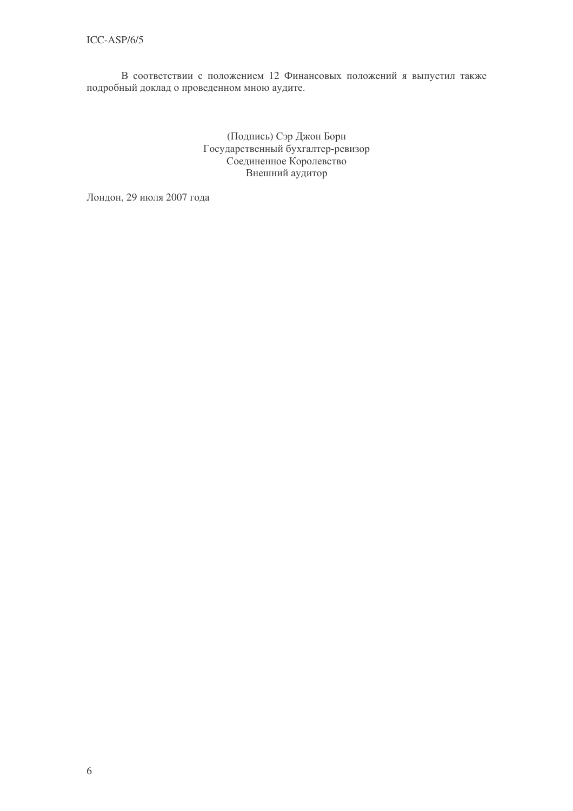В соответствии с положением 12 Финансовых положений я выпустил также подробный доклад о проведенном мною аудите.

> (Подпись) Сэр Джон Борн Государственный бухгалтер-ревизор Соединенное Королевство Внешний аудитор

Лондон, 29 июля 2007 года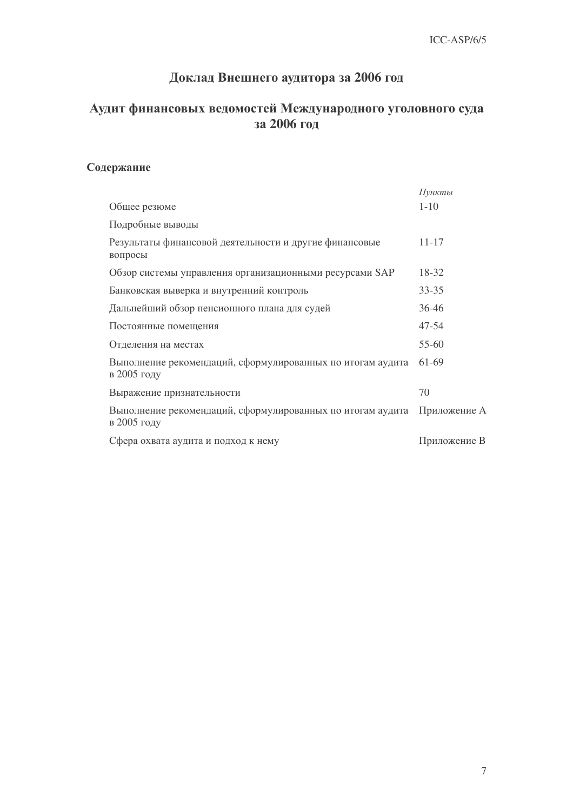# Доклад Внешнего аудитора за 2006 год

# Аудит финансовых ведомостей Международного уголовного суда за 2006 год

# Содержание

|                                                                           | Пункты       |
|---------------------------------------------------------------------------|--------------|
| Общее резюме                                                              | $1 - 10$     |
| Подробные выводы                                                          |              |
| Результаты финансовой деятельности и другие финансовые<br>вопросы         | 11-17        |
| Обзор системы управления организационными ресурсами SAP                   | 18-32        |
| Банковская выверка и внутренний контроль                                  | $33 - 35$    |
| Дальнейший обзор пенсионного плана для судей                              | $36 - 46$    |
| Постоянные помещения                                                      | $47 - 54$    |
| Отделения на местах                                                       | $55 - 60$    |
| Выполнение рекомендаций, сформулированных по итогам аудита<br>в 2005 году | 61-69        |
| Выражение признательности                                                 | 70           |
| Выполнение рекомендаций, сформулированных по итогам аудита<br>в 2005 году | Приложение А |
| Сфера охвата аудита и подход к нему                                       | Приложение В |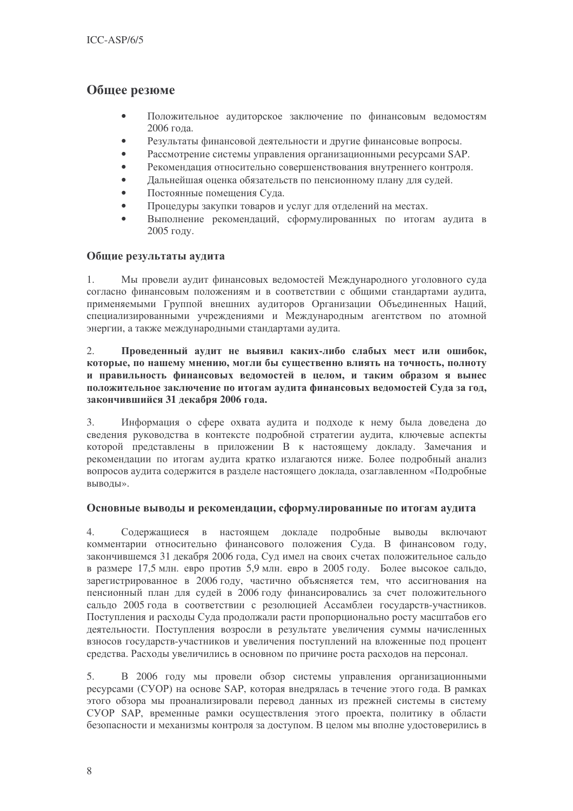# Общее резюме

- $\bullet$ Положительное аудиторское заключение по финансовым ведомостям 2006 гола.
- $\bullet$ Результаты финансовой деятельности и другие финансовые вопросы.
- $\bullet$ Рассмотрение системы управления организационными ресурсами SAP.
- $\bullet$ Рекомендация относительно совершенствования внутреннего контроля.
- $\bullet$ Дальнейшая оценка обязательств по пенсионному плану для судей.
- $\bullet$ Постоянные помещения Суда.
- Процедуры закупки товаров и услуг для отделений на местах.
- Выполнение рекомендаций, сформулированных по итогам аудита в 2005 году.

## Общие результаты аудита

Мы провели аудит финансовых ведомостей Международного уголовного суда 1. согласно финансовым положениям и в соответствии с общими станлартами аулита. применяемыми Группой внешних аудиторов Организации Объединенных Наций, специализированными учреждениями и Международным агентством по атомной энергии, а также международными стандартами аудита.

#### $2.$ Проведенный аудит не выявил каких-либо слабых мест или ошибок, которые, по нашему мнению, могли бы существенно влиять на точность, полноту и правильность финансовых веломостей в целом, и таким образом я вынес положительное заключение по итогам аудита финансовых ведомостей Суда за год. закончившийся 31 лекабря 2006 года.

 $3.$ Информация о сфере охвата аудита и подходе к нему была доведена до сведения руководства в контексте подробной стратегии аудита, ключевые аспекты которой представлены в приложении В к настоящему докладу. Замечания и рекоменлации по итогам аулита кратко излагаются ниже. Более полробный анализ вопросов аудита содержится в разделе настоящего доклада, озаглавленном «Подробные выводы».

#### Основные выводы и рекомендации, сформулированные по итогам аудита

 $\overline{4}$ . Содержащиеся в настоящем докладе подробные выводы включают комментарии относительно финансового положения Суда. В финансовом году, закончившемся 31 декабря 2006 года, Суд имел на своих счетах положительное сальдо в размере 17,5 млн. евро против 5,9 млн. евро в 2005 году. Более высокое сальдо, зарегистрированное в 2006 году, частично объясняется тем, что ассигнования на пенсионный план для судей в 2006 году финансировались за счет положительного сальдо 2005 года в соответствии с резолюцией Ассамблеи государств-участников. Поступления и расходы Суда продолжали расти пропорционально росту масштабов его леятельности. Поступления возросли в результате увеличения суммы начисленных взносов государств-участников и увеличения поступлений на вложенные под процент средства. Расходы увеличились в основном по причине роста расходов на персонал.

В 2006 году мы провели обзор системы управления организационными  $5.$ ресурсами (СУОР) на основе SAP, которая внедрялась в течение этого года. В рамках этого обзора мы проанализировали перевод данных из прежней системы в систему СУОР SAP, временные рамки осуществления этого проекта, политику в области безопасности и механизмы контроля за доступом. В целом мы вполне удостоверились в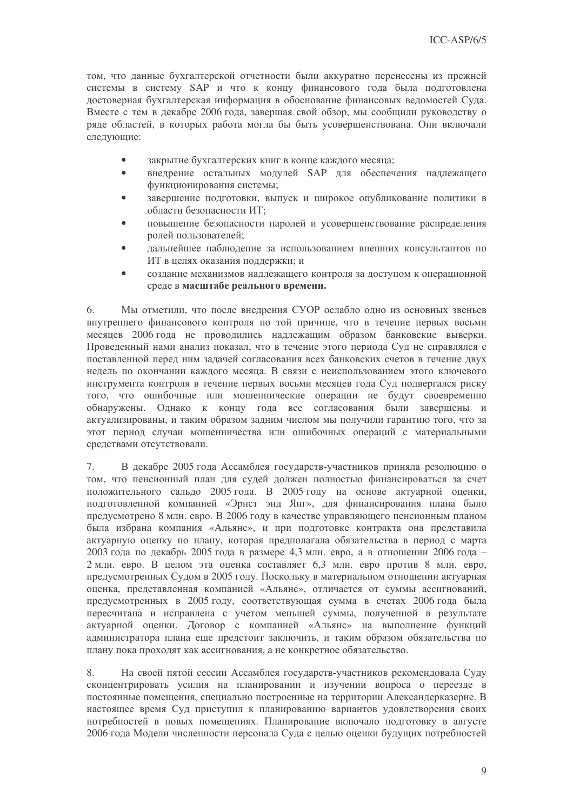том, что данные бухгалтерской отчетности были аккуратно перенесены из прежней системы в систему SAP и что к концу финансового года была подготовлена достоверная бухгалтерская информация в обоснование финансовых ведомостей Суда. Вместе с тем в декабре 2006 года, завершая свой обзор, мы сообщили руководству о ряде областей, в которых работа могла бы быть усовершенствована. Они включали следующие:

- закрытие бухгалтерских книг в конце каждого месяца;
- $\bullet$ внедрение остальных модулей SAP для обеспечения надлежащего функционирования системы;
- завершение подготовки, выпуск и широкое опубликование политики в области безопасности ИТ;
- повышение безопасности паролей и усовершенствование распределения ролей пользователей;
- дальнейшее наблюдение за использованием внешних консультантов по ИТ в целях оказания поддержки; и
- создание механизмов надлежащего контроля за доступом к операционной среде в масштабе реального времени.

Мы отметили, что после внедрения СУОР ослабло одно из основных звеньев 6. внутреннего финансового контроля по той причине, что в течение первых восьми месяцев 2006 года не проводились надлежащим образом банковские выверки. Проведенный нами анализ показал, что в течение этого периода Суд не справлялся с поставленной перед ним задачей согласования всех банковских счетов в течение двух недель по окончании каждого месяца. В связи с неиспользованием этого ключевого инструмента контроля в течение первых восьми месяцев года Суд подвергался риску того, что ошибочные или мошеннические операции не будут своевременно обнаружены. Однако к концу года все согласования были завершены и актуализированы, и таким образом задним числом мы получили гарантию того, что за этот период случаи мошенничества или ошибочных операций с материальными средствами отсутствовали.

 $7.$ В декабре 2005 года Ассамблея государств-участников приняла резолюцию о том, что пенсионный план для судей должен полностью финансироваться за счет положительного сальдо 2005 года. В 2005 году на основе актуарной оценки, подготовленной компанией «Эрнст энд Янг», для финансирования плана было предусмотрено 8 млн. евро. В 2006 году в качестве управляющего пенсионным планом была избрана компания «Альянс», и при подготовке контракта она представила актуарную оценку по плану, которая предполагала обязательства в период с марта 2003 года по декабрь 2005 года в размере 4,3 млн. евро, а в отношении 2006 года -2 млн. евро. В целом эта оценка составляет 6.3 млн. евро против 8 млн. евро. предусмотренных Судом в 2005 году. Поскольку в материальном отношении актуарная оценка, представленная компанией «Альянс», отличается от суммы ассигнований, предусмотренных в 2005 году, соответствующая сумма в счетах 2006 года была пересчитана и исправлена с учетом меньшей суммы, полученной в результате актуарной оценки. Договор с компанией «Альянс» на выполнение функций администратора плана еще предстоит заключить, и таким образом обязательства по плану пока проходят как ассигнования, а не конкретное обязательство.

На своей пятой сессии Ассамблея государств-участников рекомендовала Суду 8. сконцентрировать усилия на планировании и изучении вопроса о переезде в постоянные помещения, специально построенные на территории Александерказерне. В настоящее время Суд приступил к планированию вариантов удовлетворения своих потребностей в новых помещениях. Планирование включало подготовку в августе 2006 года Модели численности персонала Суда с целью оценки будущих потребностей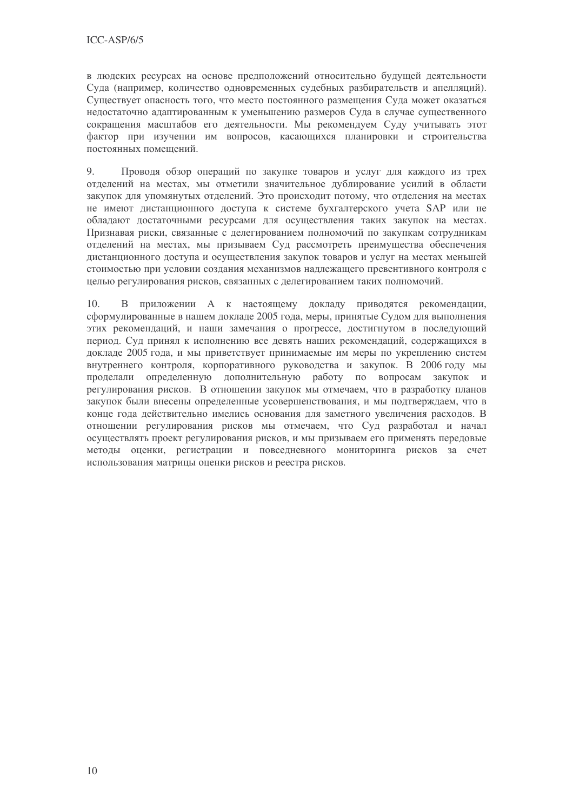в людских ресурсах на основе предположений относительно будущей деятельности Суда (например, количество одновременных судебных разбирательств и апелляций). Существует опасность того, что место постоянного размещения Суда может оказаться недостаточно адаптированным к уменьшению размеров Суда в случае существенного сокращения масштабов его деятельности. Мы рекомендуем Суду учитывать этот фактор при изучении им вопросов, касающихся планировки и строительства постоянных помешений.

Проводя обзор операций по закупке товаров и услуг для каждого из трех  $9<sub>1</sub>$ отделений на местах, мы отметили значительное дублирование усилий в области закупок для упомянутых отделений. Это происходит потому, что отделения на местах не имеют дистанционного доступа к системе бухгалтерского учета SAP или не обладают достаточными ресурсами для осуществления таких закупок на местах. Признавая риски, связанные с делегированием полномочий по закупкам сотрудникам отделений на местах, мы призываем Суд рассмотреть преимущества обеспечения дистанционного доступа и осуществления закупок товаров и услуг на местах меньшей стоимостью при условии создания механизмов надлежащего превентивного контроля с целью регулирования рисков, связанных с делегированием таких полномочий.

10. В приложении А к настоящему докладу приводятся рекомендации, сформулированные в нашем докладе 2005 года, меры, принятые Судом для выполнения этих рекомендаций, и наши замечания о прогрессе, достигнутом в последующий период. Суд принял к исполнению все девять наших рекомендаций, содержащихся в докладе 2005 года, и мы приветствует принимаемые им меры по укреплению систем внутреннего контроля, корпоративного руководства и закупок. В 2006 году мы проделали определенную дополнительную работу по вопросам закупок и регулирования рисков. В отношении закупок мы отмечаем, что в разработку планов закупок были внесены определенные усовершенствования, и мы подтверждаем, что в конце года действительно имелись основания для заметного увеличения расходов. В отношении регулирования рисков мы отмечаем, что Суд разработал и начал осуществлять проект регулирования рисков, и мы призываем его применять передовые методы оценки, регистрации и повседневного мониторинга рисков за счет использования матрицы оценки рисков и реестра рисков.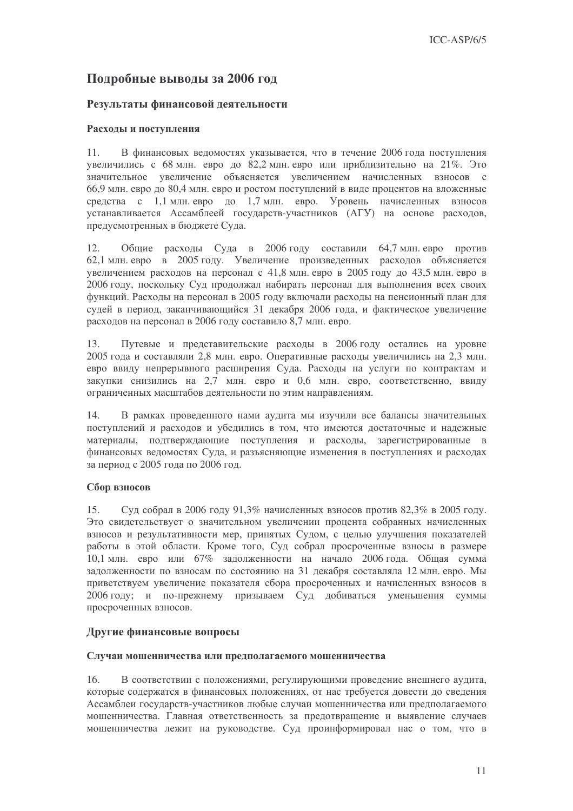# Подробные выводы за 2006 год

## Результаты финансовой деятельности

#### Расходы и поступления

В финансовых ведомостях указывается, что в течение 2006 года поступления 11. увеличились с 68 млн. евро до 82.2 млн. евро или приблизительно на 21%. Это значительное увеличение объясняется увеличением начисленных взносов с 66,9 млн. евро до 80,4 млн. евро и ростом поступлений в виде процентов на вложенные средства с 1,1 млн. евро до 1,7 млн. евро. Уровень начисленных взносов устанавливается Ассамблеей государств-участников (АГУ) на основе расходов, предусмотренных в бюджете Суда.

Общие расходы Суда в 2006 году составили 64,7 млн. евро против  $12.$ 62,1 млн. евро в 2005 году. Увеличение произведенных расходов объясняется увеличением расходов на персонал с 41,8 млн. евро в 2005 году до 43,5 млн. евро в 2006 году, поскольку Суд продолжал набирать персонал для выполнения всех своих функций. Расходы на персонал в 2005 году включали расходы на пенсионный план для судей в период, заканчивающийся 31 декабря 2006 года, и фактическое увеличение расходов на персонал в 2006 году составило 8,7 млн. евро.

Путевые и представительские расходы в 2006 году остались на уровне 13. 2005 года и составляли 2,8 млн. евро. Оперативные расходы увеличились на 2,3 млн. евро ввиду непрерывного расширения Суда. Расходы на услуги по контрактам и закупки снизились на 2,7 млн. евро и 0,6 млн. евро, соответственно, ввиду ограниченных масштабов деятельности по этим направлениям.

14. В рамках проведенного нами аудита мы изучили все балансы значительных поступлений и расходов и убедились в том, что имеются достаточные и надежные материалы, подтверждающие поступления и расходы, зарегистрированные в финансовых ведомостях Суда, и разъясняющие изменения в поступлениях и расходах за период с 2005 года по 2006 год.

#### Сбор взносов

 $15.$ Суд собрал в 2006 году 91,3% начисленных взносов против 82,3% в 2005 году. Это свидетельствует о значительном увеличении процента собранных начисленных взносов и результативности мер, принятых Судом, с целью улучшения показателей работы в этой области. Кроме того, Суд собрал просроченные взносы в размере 10,1 млн. евро или 67% задолженности на начало 2006 года. Общая сумма задолженности по взносам по состоянию на 31 декабря составляла 12 млн. евро. Мы приветствуем увеличение показателя сбора просроченных и начисленных взносов в 2006 году; и по-прежнему призываем Суд добиваться уменьшения суммы просроченных взносов.

#### Другие финансовые вопросы

#### Случаи мошенничества или предполагаемого мошенничества

16. В соответствии с положениями, регулирующими проведение внешнего аудита, которые содержатся в финансовых положениях, от нас требуется довести до сведения Ассамблеи государств-участников любые случаи мошенничества или предполагаемого мошенничества. Главная ответственность за предотвращение и выявление случаев мошенничества лежит на руководстве. Суд проинформировал нас о том, что в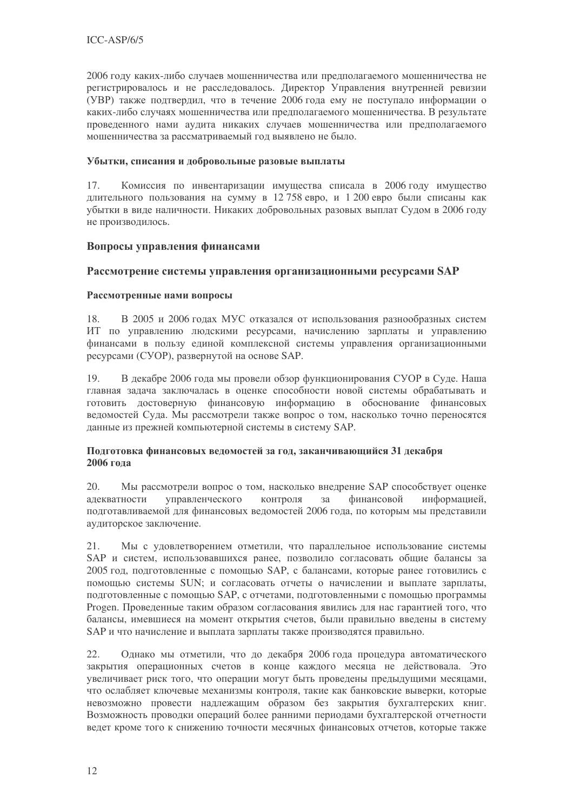2006 году каких-либо случаев мошенничества или предполагаемого мошенничества не регистрировалось и не расследовалось. Директор Управления внутренней ревизии (УВР) также подтвердил, что в течение 2006 года ему не поступало информации о каких-либо случаях мошенничества или предполагаемого мошенничества. В результате проведенного нами аудита никаких случаев мошенничества или предполагаемого мошенничества за рассматриваемый год выявлено не было.

#### Убытки, списания и добровольные разовые выплаты

 $17.$ Комиссия по инвентаризации имущества списала в 2006 году имущество длительного пользования на сумму в 12758 евро, и 1 200 евро были списаны как убытки в виде наличности. Никаких добровольных разовых выплат Судом в 2006 году не производилось.

#### Вопросы управления финансами

## Рассмотрение системы управления организационными ресурсами SAP

#### Рассмотренные нами вопросы

В 2005 и 2006 годах МУС отказался от использования разнообразных систем 18. ИТ по управлению людскими ресурсами, начислению зарплаты и управлению финансами в пользу елиной комплексной системы управления организационными ресурсами (СУОР), развернутой на основе SAP.

19. В декабре 2006 года мы провели обзор функционирования СУОР в Суде. Наша главная задача заключалась в оценке способности новой системы обрабатывать и готовить достоверную финансовую информацию в обоснование финансовых ведомостей Суда. Мы рассмотрели также вопрос о том, насколько точно переносятся данные из прежней компьютерной системы в систему SAP.

## Подготовка финансовых ведомостей за год, заканчивающийся 31 декабря 2006 гола

20. Мы рассмотрели вопрос о том, насколько внедрение SAP способствует оценке адекватности управленческого контроля  $3a$ финансовой информацией, подготавливаемой для финансовых ведомостей 2006 года, по которым мы представили аудиторское заключение.

Мы с удовлетворением отметили, что параллельное использование системы  $21.$ SAP и систем, использовавшихся ранее, позволило согласовать общие балансы за 2005 год, подготовленные с помощью SAP, с балансами, которые ранее готовились с помощью системы SUN; и согласовать отчеты о начислении и выплате зарплаты, подготовленные с помощью SAP, с отчетами, подготовленными с помощью программы Progen. Провеленные таким образом согласования явились для нас гарантией того, что балансы, имевшиеся на момент открытия счетов, были правильно введены в систему SAP и что начисление и выплата зарплаты также производятся правильно.

Однако мы отметили, что до декабря 2006 года процедура автоматического 22. закрытия операционных счетов в конце каждого месяца не действовала. Это увеличивает риск того, что операции могут быть провелены прелылушими месяцами, что ослабляет ключевые механизмы контроля, такие как банковские выверки, которые невозможно провести надлежащим образом без закрытия бухгалтерских книг. Возможность проводки операций более ранними периодами бухгалтерской отчетности ведет кроме того к снижению точности месячных финансовых отчетов, которые также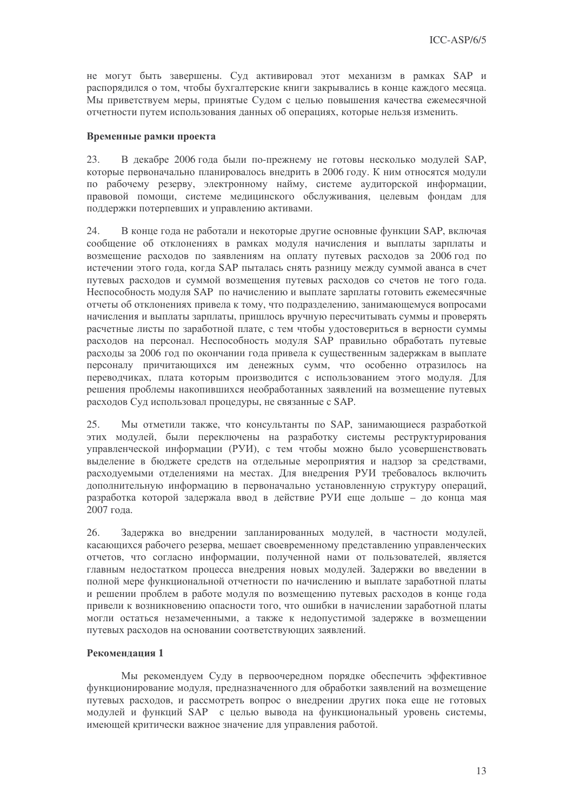не могут быть завершены. Суд активировал этот механизм в рамках SAP и распорядился о том, чтобы бухгалтерские книги закрывались в конце каждого месяца. Мы приветствуем меры, принятые Судом с целью повышения качества ежемесячной отчетности путем использования данных об операциях, которые нельзя изменить.

#### Временные рамки проекта

23. В декабре 2006 года были по-прежнему не готовы несколько модулей SAP, которые первоначально планировалось внедрить в 2006 году. К ним относятся модули по рабочему резерву, электронному найму, системе аудиторской информации, правовой помощи, системе медицинского обслуживания, целевым фондам для поддержки потерпевших и управлению активами.

24. В конце года не работали и некоторые другие основные функции SAP, включая сообщение об отклонениях в рамках модуля начисления и выплаты зарплаты и возмещение расходов по заявлениям на оплату путевых расходов за 2006 год по истечении этого года, когда SAP пыталась снять разницу между суммой аванса в счет путевых расходов и суммой возмешения путевых расходов со счетов не того года. Неспособность молуля SAP по начислению и выплате зарплаты готовить ежемесячные отчеты об отклонениях привела к тому, что подразделению, занимающемуся вопросами начисления и выплаты зарплаты, пришлось вручную пересчитывать суммы и проверять расчетные листы по заработной плате, с тем чтобы удостовериться в верности суммы расходов на персонал. Неспособность модуля SAP правильно обработать путевые расходы за 2006 год по окончании года привела к существенным задержкам в выплате персоналу причитающихся им денежных сумм, что особенно отразилось на переводчиках, плата которым производится с использованием этого модуля. Для решения проблемы накопившихся необработанных заявлений на возмещение путевых расходов Суд использовал процедуры, не связанные с SAP.

25. Мы отметили также, что консультанты по SAP, занимающиеся разработкой этих модулей, были переключены на разработку системы реструктурирования управленческой информации (РУИ), с тем чтобы можно было усовершенствовать выделение в бюджете средств на отдельные мероприятия и надзор за средствами, расходуемыми отделениями на местах. Для внедрения РУИ требовалось включить дополнительную информацию в первоначально установленную структуру операций, разработка которой задержала ввод в действие РУИ еще дольше - до конца мая 2007 года.

26. Задержка во внедрении запланированных модулей, в частности модулей, касающихся рабочего резерва, мешает своевременному представлению управленческих отчетов, что согласно информации, полученной нами от пользователей, является главным недостатком процесса внедрения новых модулей. Задержки во введении в полной мере функциональной отчетности по начислению и выплате заработной платы и решении проблем в работе модуля по возмещению путевых расходов в конце года привели к возникновению опасности того, что ошибки в начислении заработной платы могли остаться незамеченными, а также к недопустимой задержке в возмешении путевых расходов на основании соответствующих заявлений.

#### Рекомендация 1

Мы рекомендуем Суду в первоочередном порядке обеспечить эффективное функционирование модуля, предназначенного для обработки заявлений на возмещение путевых расходов, и рассмотреть вопрос о внедрении других пока еще не готовых модулей и функций SAP с целью вывода на функциональный уровень системы, имеющей критически важное значение для управления работой.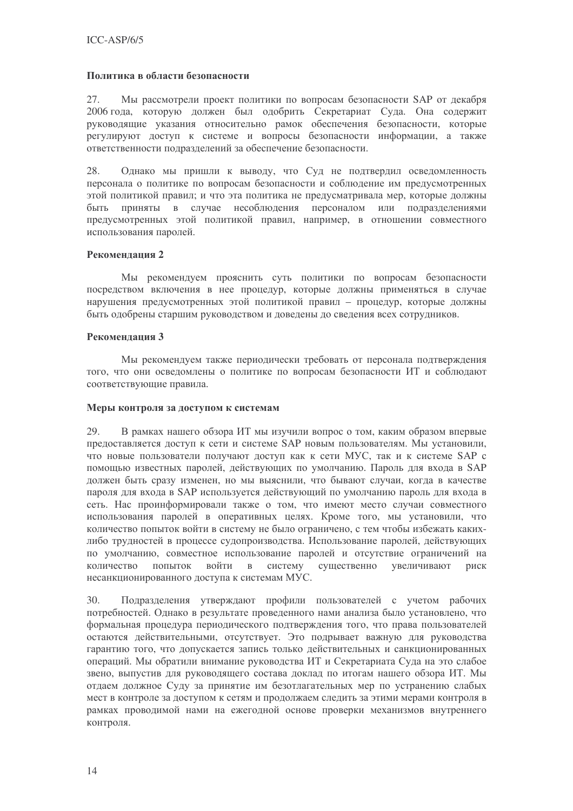#### Политика в области безопасности

27. Мы рассмотрели проект политики по вопросам безопасности SAP от декабря 2006 года, которую должен был одобрить Секретариат Суда. Она содержит руководящие указания относительно рамок обеспечения безопасности, которые регулируют доступ к системе и вопросы безопасности информации, а также ответственности подразделений за обеспечение безопасности.

Однако мы пришли к выводу, что Суд не подтвердил осведомленность 28. персонала о политике по вопросам безопасности и соблюдение им предусмотренных этой политикой правил; и что эта политика не предусматривала мер, которые должны приняты в случае несоблюдения персоналом или подразделениями быть предусмотренных этой политикой правил, например, в отношении совместного использования паролей.

#### Рекоменлация 2

Мы рекомендуем прояснить суть политики по вопросам безопасности посредством включения в нее процедур, которые должны применяться в случае нарушения предусмотренных этой политикой правил - процедур, которые должны быть одобрены старшим руководством и доведены до сведения всех сотрудников.

#### Рекоменлация 3

Мы рекомендуем также периодически требовать от персонала подтверждения того, что они осведомлены о политике по вопросам безопасности ИТ и соблюдают соответствующие правила.

#### Меры контроля за доступом к системам

29. В рамках нашего обзора ИТ мы изучили вопрос о том, каким образом впервые предоставляется доступ к сети и системе SAP новым пользователям. Мы установили, что новые пользователи получают доступ как к сети МУС, так и к системе SAP с помощью известных паролей, действующих по умолчанию. Пароль для входа в SAP должен быть сразу изменен, но мы выяснили, что бывают случаи, когда в качестве пароля для входа в SAP используется действующий по умолчанию пароль для входа в сеть. Нас проинформировали также о том, что имеют место случаи совместного использования паролей в оперативных целях. Кроме того, мы установили, что количество попыток войти в систему не было ограничено, с тем чтобы избежать какихлибо трудностей в процессе судопроизводства. Использование паролей, действующих по умолчанию, совместное использование паролей и отсутствие ограничений на войти количество попыток  $\, {\bf B}$ систему существенно увеличивают риск несанкционированного доступа к системам МУС.

Подразделения утверждают профили пользователей с учетом рабочих 30. потребностей. Однако в результате проведенного нами анализа было установлено, что формальная процедура периодического подтверждения того, что права пользователей остаются действительными, отсутствует. Это подрывает важную для руководства гарантию того, что допускается запись только действительных и санкционированных операций. Мы обратили внимание руководства ИТ и Секретариата Суда на это слабое звено, выпустив для руководящего состава доклад по итогам нашего обзора ИТ. Мы отдаем должное Суду за принятие им безотлагательных мер по устранению слабых мест в контроле за доступом к сетям и продолжаем следить за этими мерами контроля в рамках проводимой нами на ежегодной основе проверки механизмов внутреннего контроля.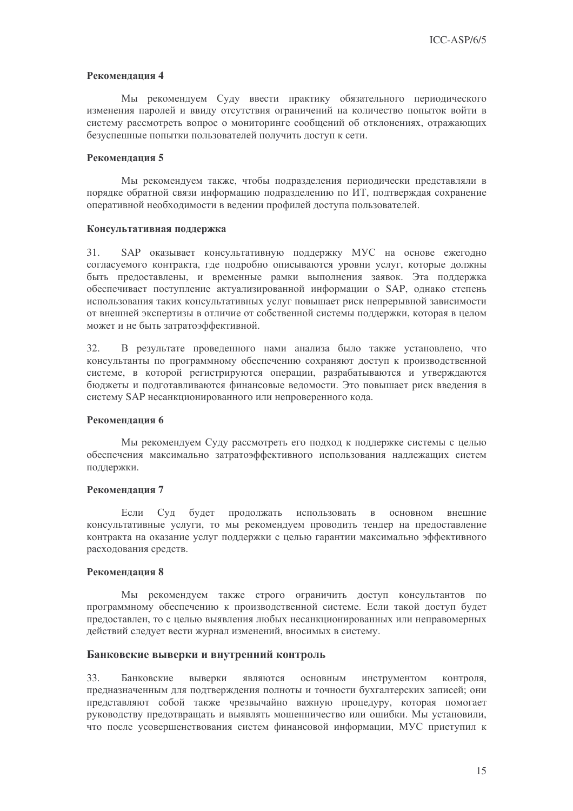#### Рекомендация 4

Мы рекомендуем Суду ввести практику обязательного периодического изменения паролей и ввиду отсутствия ограничений на количество попыток войти в систему рассмотреть вопрос о мониторинге сообщений об отклонениях, отражающих безуспешные попытки пользователей получить доступ к сети.

#### Рекоменляния 5

Мы рекомендуем также, чтобы подразделения периодически представляли в порядке обратной связи информацию подразделению по ИТ, подтверждая сохранение оперативной необходимости в ведении профилей доступа пользователей.

#### Консультативная поддержка

 $31$ SAP оказывает консультативную поддержку MУС на основе ежегодно согласуемого контракта, где подробно описываются уровни услуг, которые должны быть предоставлены, и временные рамки выполнения заявок. Эта поддержка обеспечивает поступление актуализированной информации о SAP, однако степень использования таких консультативных услуг повышает риск непрерывной зависимости от внешней экспертизы в отличие от собственной системы поддержки, которая в целом может и не быть затратоэффективной.

В результате проведенного нами анализа было также установлено, что 32. консультанты по программному обеспечению сохраняют доступ к производственной системе, в которой регистрируются операции, разрабатываются и утверждаются бюджеты и подготавливаются финансовые ведомости. Это повышает риск введения в систему SAP несанкционированного или непроверенного кода.

#### Рекоменлация 6

Мы рекомендуем Суду рассмотреть его подход к поддержке системы с целью обеспечения максимально затратоэффективного использования надлежащих систем поддержки.

#### Рекоменлация 7

Если Суд будет продолжать использовать в ОСНОВНОМ внешние консультативные услуги, то мы рекоменлуем проводить тендер на предоставление контракта на оказание услуг поддержки с целью гарантии максимально эффективного расходования средств.

#### Рекомендация 8

Мы рекомендуем также строго ограничить доступ консультантов по программному обеспечению к производственной системе. Если такой доступ будет предоставлен, то с целью выявления любых несанкционированных или неправомерных действий следует вести журнал изменений, вносимых в систему.

#### Банковские выверки и внутренний контроль

33. Банковские выверки являются ОСНОВНЫМ инструментом контроля. предназначенным для подтверждения полноты и точности бухгалтерских записей; они представляют собой также чрезвычайно важную процедуру, которая помогает руководству предотвращать и выявлять мошенничество или ошибки. Мы установили, что после усовершенствования систем финансовой информации, МУС приступил к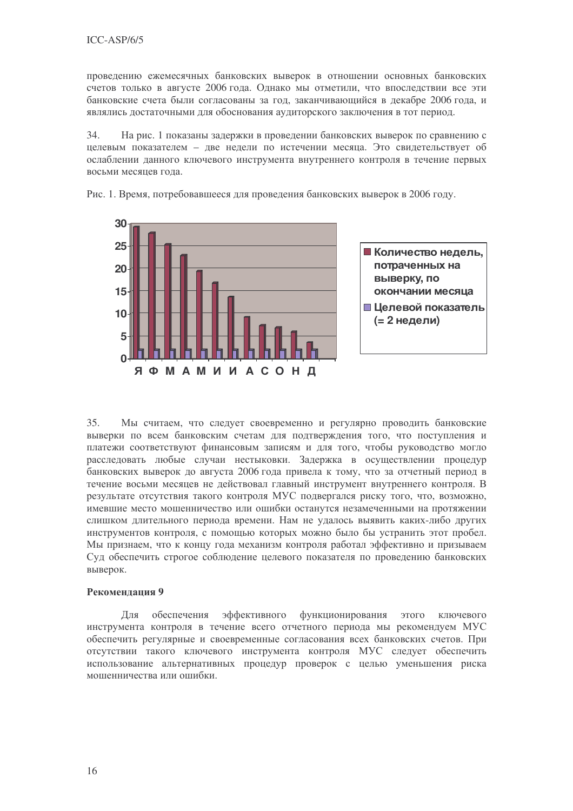проведению ежемесячных банковских выверок в отношении основных банковских счетов только в августе 2006 года. Однако мы отметили, что впоследствии все эти банковские счета были согласованы за год, заканчивающийся в декабре 2006 года, и являлись достаточными для обоснования аудиторского заключения в тот период.

34. На рис. 1 показаны задержки в проведении банковских выверок по сравнению с целевым показателем - две недели по истечении месяца. Это свидетельствует об ослаблении данного ключевого инструмента внутреннего контроля в течение первых восьми месяцев года.



Рис. 1. Время, потребовавшееся для проведения банковских выверок в 2006 году.

35. Мы считаем, что следует своевременно и регулярно проводить банковские выверки по всем банковским счетам для подтверждения того, что поступления и платежи соответствуют финансовым записям и для того, чтобы руководство могло расследовать любые случаи нестыковки. Задержка в осуществлении процедур банковских выверок до августа 2006 года привела к тому, что за отчетный период в течение восьми месяцев не действовал главный инструмент внутреннего контроля. В результате отсутствия такого контроля МУС подвергался риску того, что, возможно, имевшие место мошенничество или ошибки останутся незамеченными на протяжении слишком длительного периода времени. Нам не удалось выявить каких-либо других инструментов контроля, с помощью которых можно было бы устранить этот пробел. Мы признаем, что к концу года механизм контроля работал эффективно и призываем Суд обеспечить строгое соблюдение целевого показателя по проведению банковских выверок.

## Рекоменлация 9

Для обеспечения эффективного функционирования этого ключевого инструмента контроля в течение всего отчетного периода мы рекомендуем МУС обеспечить регулярные и своевременные согласования всех банковских счетов. При отсутствии такого ключевого инструмента контроля МУС следует обеспечить использование альтернативных процедур проверок с целью уменьшения риска мошенничества или ошибки.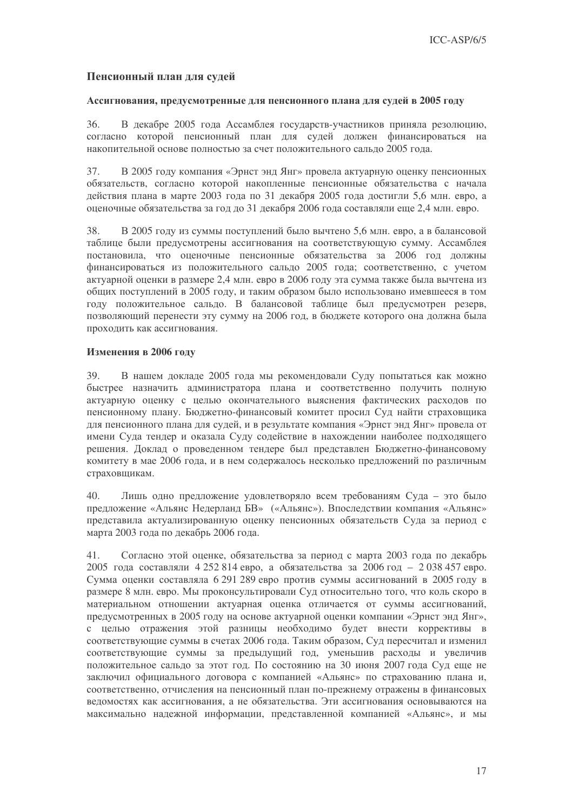## Пенсионный план для судей

#### Ассигнования, предусмотренные для пенсионного плана для судей в 2005 году

В декабре 2005 года Ассамблея государств-участников приняла резолюцию, 36. согласно которой пенсионный план для судей должен финансироваться на накопительной основе полностью за счет положительного сальдо 2005 года.

В 2005 году компания «Эрнст энд Янг» провела актуарную оценку пенсионных 37. обязательств, согласно которой накопленные пенсионные обязательства с начала действия плана в марте 2003 года по 31 декабря 2005 года достигли 5,6 млн. евро, а оценочные обязательства за год до 31 декабря 2006 года составляли еще 2.4 млн. евро.

В 2005 году из суммы поступлений было вычтено 5.6 млн. евро, а в балансовой 38 таблице были предусмотрены ассигнования на соответствующую сумму. Ассамблея постановила, что оценочные пенсионные обязательства за 2006 год должны финансироваться из положительного сальдо 2005 года; соответственно, с учетом актуарной оценки в размере 2,4 млн. евро в 2006 году эта сумма также была вычтена из общих поступлений в 2005 году, и таким образом было использовано имевшееся в том году положительное сальдо. В балансовой таблице был предусмотрен резерв, позволяющий перенести эту сумму на 2006 год, в бюлжете которого она должна была проходить как ассигнования.

#### Изменения в 2006 году

39. В нашем докладе 2005 года мы рекомендовали Суду попытаться как можно быстрее назначить администратора плана и соответственно получить полную актуарную оценку с целью окончательного выяснения фактических расходов по пенсионному плану. Бюджетно-финансовый комитет просил Суд найти страховщика для пенсионного плана для судей, и в результате компания «Эрнст энд Янг» провела от имени Суда тендер и оказала Суду содействие в нахождении наиболее подходящего решения. Доклад о проведенном тендере был представлен Бюджетно-финансовому комитету в мае 2006 года, и в нем содержалось несколько предложений по различным страховщикам.

Лишь одно предложение удовлетворяло всем требованиям Суда - это было  $40$ предложение «Альянс Недерланд БВ» («Альянс»). Впоследствии компания «Альянс» представила актуализированную оценку пенсионных обязательств Суда за период с марта 2003 года по декабрь 2006 года.

Согласно этой оценке, обязательства за период с марта 2003 года по декабрь  $41.$ 2005 года составляли 4 252 814 евро, а обязательства за 2006 год – 2 038 457 евро. Сумма оценки составляла 6 291 289 евро против суммы ассигнований в 2005 году в размере 8 млн. евро. Мы проконсультировали Суд относительно того, что коль скоро в материальном отношении актуарная оценка отличается от суммы ассигнований, предусмотренных в 2005 году на основе актуарной оценки компании «Эрнст энд Янг», с целью отражения этой разницы необходимо будет внести коррективы в соответствующие суммы в счетах 2006 года. Таким образом, Суд пересчитал и изменил соответствующие суммы за предыдущий год, уменьшив расходы и увеличив положительное сальдо за этот год. По состоянию на 30 июня 2007 года Суд еще не заключил официального договора с компанией «Альянс» по страхованию плана и, соответственно, отчисления на пенсионный план по-прежнему отражены в финансовых ведомостях как ассигнования, а не обязательства. Эти ассигнования основываются на максимально надежной информации, представленной компанией «Альянс», и мы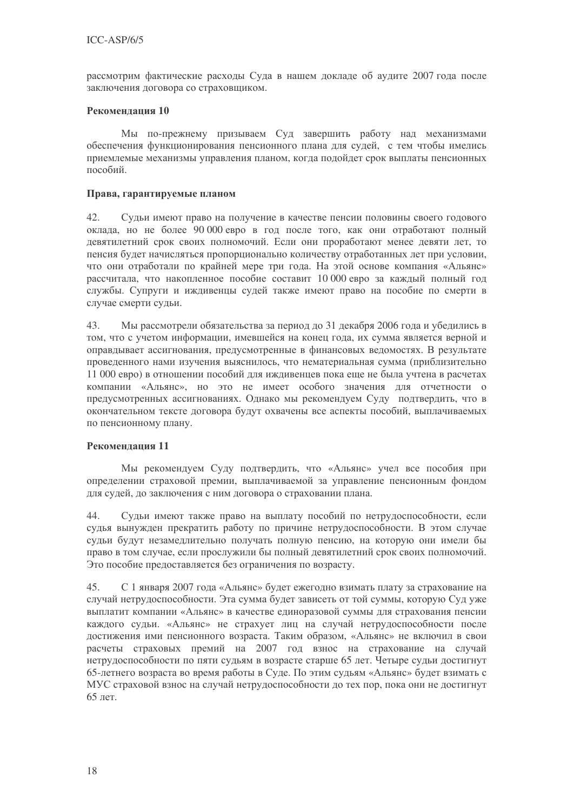рассмотрим фактические расходы Суда в нашем докладе об аудите 2007 года после заключения договора со страховщиком.

#### Рекомендация 10

Мы по-прежнему призываем Суд завершить работу над механизмами обеспечения функционирования пенсионного плана лля сулей, с тем чтобы имелись приемлемые механизмы управления планом, когда полойдет срок выплаты пенсионных пособий.

#### Права, гарантируемые планом

42. Судьи имеют право на получение в качестве пенсии половины своего годового оклада, но не более 90 000 евро в год после того, как они отработают полный девятилетний срок своих полномочий. Если они проработают менее девяти лет, то пенсия будет начисляться пропорционально количеству отработанных лет при условии, что они отработали по крайней мере три года. На этой основе компания «Альянс» рассчитала, что накопленное пособие составит 10 000 евро за каждый полный год службы. Супруги и иждивенцы судей также имеют право на пособие по смерти в случае смерти судьи.

 $43$ Мы рассмотрели обязательства за период до 31 декабря 2006 года и убедились в том, что с учетом информации, имевшейся на конец года, их сумма является верной и оправдывает ассигнования, предусмотренные в финансовых ведомостях. В результате проведенного нами изучения выяснилось, что нематериальная сумма (приблизительно 11 000 евро) в отношении пособий для иждивенцев пока еще не была учтена в расчетах компании «Альянс», но это не имеет особого значения лля отчетности о предусмотренных ассигнованиях. Однако мы рекомендуем Суду подтвердить, что в окончательном тексте договора будут охвачены все аспекты пособий, выплачиваемых по пенсионному плану.

#### Рекомендация 11

Мы рекомендуем Суду подтвердить, что «Альянс» учел все пособия при определении страховой премии, выплачиваемой за управление пенсионным фондом для судей, до заключения с ним договора о страховании плана.

44. Судьи имеют также право на выплату пособий по нетрудоспособности, если судья вынужден прекратить работу по причине нетрудоспособности. В этом случае судьи будут незамедлительно получать полную пенсию, на которую они имели бы право в том случае, если прослужили бы полный девятилетний срок своих полномочий. Это пособие предоставляется без ограничения по возрасту.

С 1 января 2007 года «Альянс» будет ежегодно взимать плату за страхование на  $45$ случай нетрудоспособности. Эта сумма будет зависеть от той суммы, которую Суд уже выплатит компании «Альянс» в качестве единоразовой суммы для страхования пенсии каждого судьи. «Альянс» не страхует лиц на случай нетрудоспособности после достижения ими пенсионного возраста. Таким образом, «Альянс» не включил в свои расчеты страховых премий на 2007 год взнос на страхование на случай нетрудоспособности по пяти судьям в возрасте старше 65 лет. Четыре судьи достигнут 65-летнего возраста во время работы в Суде. По этим судьям «Альянс» будет взимать с МУС страховой взнос на случай нетрудоспособности до тех пор, пока они не достигнут 65 лет.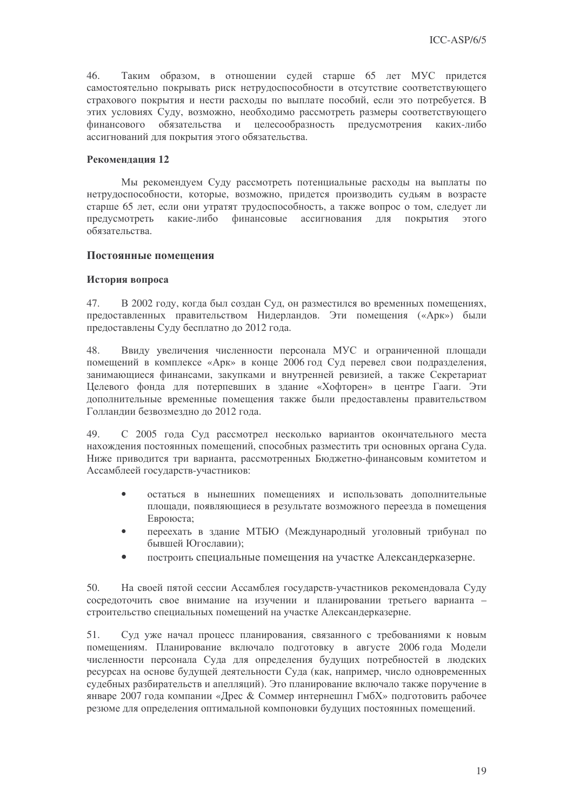46. Таким образом, в отношении судей старше 65 лет МУС придется самостоятельно покрывать риск нетрудоспособности в отсутствие соответствующего страхового покрытия и нести расходы по выплате пособий, если это потребуется. В этих условиях Суду, возможно, необходимо рассмотреть размеры соответствующего финансового обязательства и нелесообразность прелусмотрения каких-либо ассигнований для покрытия этого обязательства.

#### Рекоменлация 12

Мы рекомендуем Суду рассмотреть потенциальные расходы на выплаты по нетрудоспособности, которые, возможно, придется производить судьям в возрасте старше 65 лет, если они утратят трудоспособность, а также вопрос о том, следует ли предусмотреть какие-либо финансовые ассигнования для покрытия этого обязательства.

#### Постоянные помещения

#### История вопроса

47. В 2002 году, когда был создан Суд, он разместился во временных помещениях, предоставленных правительством Нидерландов. Эти помещения («Арк») были предоставлены Суду бесплатно до 2012 года.

48. Ввиду увеличения численности персонала МУС и ограниченной площади помещений в комплексе «Арк» в конце 2006 год Суд перевел свои подразделения, занимающиеся финансами, закупками и внутренней ревизией, а также Секретариат Пелевого фонда для потерпевших в здание «Хофторен» в центре Гааги. Эти дополнительные временные помещения также были предоставлены правительством Голланлии безвозмезлно ло 2012 гола.

49. С 2005 года Суд рассмотрел несколько вариантов окончательного места нахождения постоянных помещений, способных разместить три основных органа Суда. Ниже приводится три варианта, рассмотренных Бюджетно-финансовым комитетом и Ассамблеей государств-участников:

- $\bullet$ остаться в нынешних помещениях и использовать дополнительные площади, появляющиеся в результате возможного переезда в помещения Евроюста:
- переехать в здание МТБЮ (Международный уголовный трибунал по  $\bullet$ бывшей Югославии):
- построить специальные помещения на участке Александерказерне.

 $50.$ На своей пятой сессии Ассамблея государств-участников рекомендовала Суду сосредоточить свое внимание на изучении и планировании третьего варианта строительство специальных помещений на участке Александерказерне.

51. Суд уже начал процесс планирования, связанного с требованиями к новым помещениям. Планирование включало подготовку в августе 2006 года Модели численности персонала Суда для определения будущих потребностей в людских ресурсах на основе будущей деятельности Суда (как, например, число одновременных судебных разбирательств и апелляций). Это планирование включало также поручение в январе 2007 года компании «Дрес & Соммер интернешнл ГмбХ» подготовить рабочее резюме для определения оптимальной компоновки будущих постоянных помещений.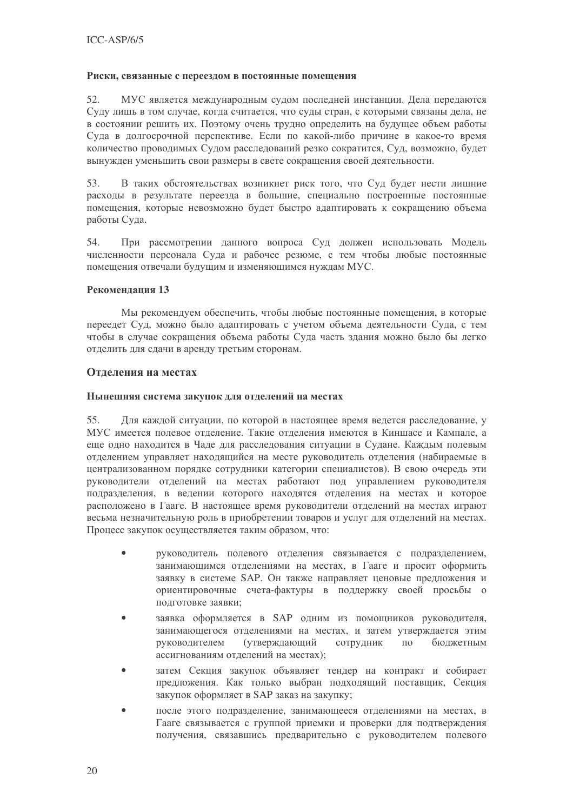#### Риски, связанные с переездом в постоянные помещения

52. МУС является международным судом последней инстанции. Дела передаются Суду лишь в том случае, когда считается, что суды стран, с которыми связаны дела, не в состоянии решить их. Поэтому очень трудно определить на будущее объем работы Суда в долгосрочной перспективе. Если по какой-либо причине в какое-то время количество проводимых Судом расследований резко сократится, Суд, возможно, будет вынужден уменьшить свои размеры в свете сокращения своей деятельности.

53. В таких обстоятельствах возникнет риск того, что Суд будет нести лишние расходы в результате переезда в большие, специально построенные постоянные помещения, которые невозможно будет быстро адаптировать к сокращению объема работы Суда.

При рассмотрении данного вопроса Суд должен использовать Модель 54. численности персонала Суда и рабочее резюме, с тем чтобы любые постоянные помещения отвечали будущим и изменяющимся нуждам МУС.

## Рекоменлация 13

Мы рекомендуем обеспечить, чтобы любые постоянные помещения, в которые переедет Суд, можно было адаптировать с учетом объема деятельности Суда, с тем чтобы в случае сокращения объема работы Суда часть здания можно было бы легко отделить для сдачи в аренду третьим сторонам.

#### Отделения на местах

#### Нынешняя система закупок для отделений на местах

55. Для каждой ситуации, по которой в настоящее время ведется расследование, у МУС имеется полевое отделение. Такие отделения имеются в Киншасе и Кампале, а еще одно находится в Чаде для расследования ситуации в Судане. Каждым полевым отделением управляет находящийся на месте руководитель отделения (набираемые в централизованном порядке сотрудники категории специалистов). В свою очередь эти руководители отделений на местах работают под управлением руководителя подразделения, в ведении которого находятся отделения на местах и которое расположено в Гааге. В настоящее время руководители отделений на местах играют весьма незначительную роль в приобретении товаров и услуг для отделений на местах. Процесс закупок осуществляется таким образом, что:

- руководитель полевого отделения связывается с подразделением, занимающимся отделениями на местах, в Гааге и просит оформить заявку в системе SAP. Он также направляет ценовые предложения и ориентировочные счета-фактуры в поддержку своей просьбы о подготовке заявки;
- заявка оформляется в SAP одним из помощников руководителя, занимающегося отделениями на местах, и затем утверждается этим руководителем (утверждающий сотрудник  $\overline{10}$ бюджетным ассигнованиям отделений на местах);
- затем Секция закупок объявляет тендер на контракт и собирает предложения. Как только выбран подходящий поставщик, Секция закупок оформляет в SAP заказ на закупку;
- после этого подразделение, занимающееся отделениями на местах, в Гааге связывается с группой приемки и проверки для подтверждения получения, связавшись предварительно с руководителем полевого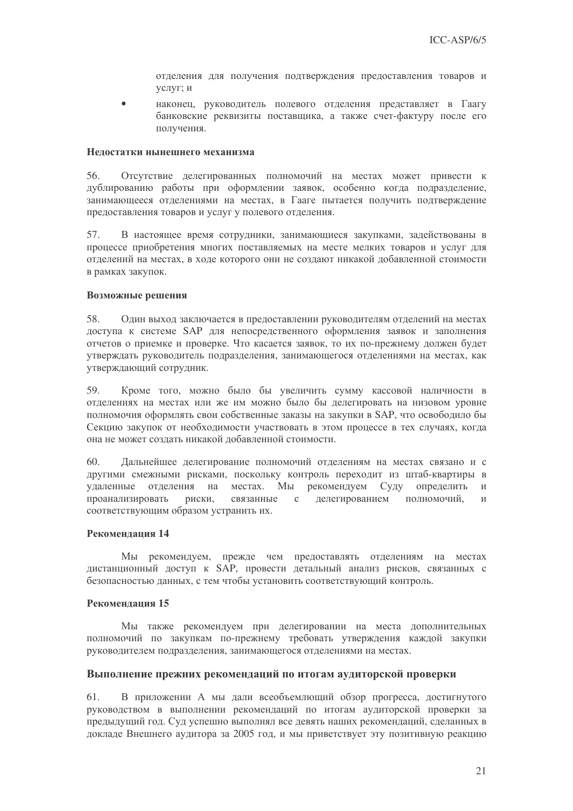отделения для получения подтверждения предоставления товаров и услуг; и

наконец, руководитель полевого отделения представляет в Гаагу банковские реквизиты поставщика, а также счет-фактуру после его получения.

#### Недостатки нынешнего механизма

56 Отсутствие делегированных полномочий на местах может привести к дублированию работы при оформлении заявок, особенно когда подразделение, занимающееся отделениями на местах, в Гааге пытается получить подтверждение предоставления товаров и услуг у полевого отделения.

57. В настоящее время сотрудники, занимающиеся закупками, задействованы в процессе приобретения многих поставляемых на месте мелких товаров и услуг для отделений на местах, в ходе которого они не создают никакой добавленной стоимости в рамках закупок.

#### Возможные решения

58. Олин выхол заключается в прелоставлении руководителям отлелений на местах доступа к системе SAP для непосредственного оформления заявок и заполнения отчетов о приемке и проверке. Что касается заявок, то их по-прежнему должен будет утверждать руководитель подразделения, занимающегося отделениями на местах, как утверждающий сотрудник.

59. Кроме того, можно было бы увеличить сумму кассовой наличности в отделениях на местах или же им можно было бы делегировать на низовом уровне полномочия оформлять свои собственные заказы на закупки в SAP, что освободило бы Секцию закупок от необходимости участвовать в этом процессе в тех случаях, когда она не может создать никакой добавленной стоимости.

 $60.$ Дальнейшее делегирование полномочий отделениям на местах связано и с другими смежными рисками, поскольку контроль переходит из штаб-квартиры в удаленные отделения на местах. Мы рекомендуем Суду определить и проанализировать риски, связанные делегированием полномочий,  $\mathbf{c}$  $\overline{M}$ соответствующим образом устранить их.

#### Рекоменлация 14

Мы рекомендуем, прежде чем предоставлять отделениям на местах дистанционный доступ к SAP, провести детальный анализ рисков, связанных с безопасностью данных, с тем чтобы установить соответствующий контроль.

#### Рекоменлация 15

Мы также рекомендуем при делегировании на места дополнительных полномочий по закупкам по-прежнему требовать утверждения каждой закупки руководителем подразделения, занимающегося отделениями на местах.

#### Выполнение прежних рекомендаций по итогам аудиторской проверки

61. В приложении А мы дали всеобъемлющий обзор прогресса, достигнутого руководством в выполнении рекомендаций по итогам аудиторской проверки за предыдущий год. Суд успешно выполнял все девять наших рекомендаций, сделанных в докладе Внешнего аудитора за 2005 год, и мы приветствует эту позитивную реакцию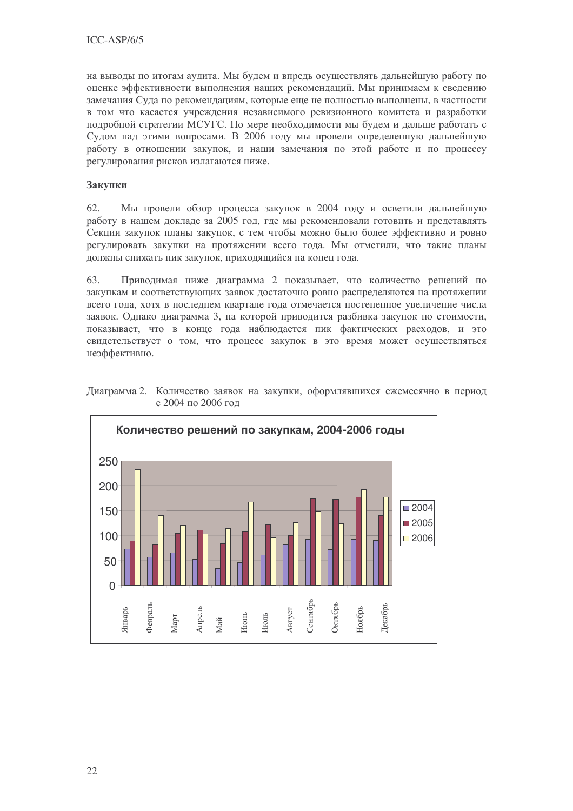на выводы по итогам аудита. Мы будем и впредь осуществлять дальнейшую работу по оценке эффективности выполнения наших рекомендаций. Мы принимаем к сведению замечания Суда по рекомендациям, которые еще не полностью выполнены, в частности в том что касается учреждения независимого ревизионного комитета и разработки подробной стратегии МСУГС. По мере необходимости мы будем и дальше работать с Судом над этими вопросами. В 2006 году мы провели определенную дальнейшую работу в отношении закупок, и наши замечания по этой работе и по процессу регулирования рисков излагаются ниже.

#### Закупки

62. Мы провели обзор процесса закупок в 2004 году и осветили дальнейшую работу в нашем докладе за 2005 год, где мы рекомендовали готовить и представлять Секции закупок планы закупок, с тем чтобы можно было более эффективно и ровно регулировать закупки на протяжении всего года. Мы отметили, что такие планы должны снижать пик закупок, приходящийся на конец года.

Приводимая ниже диаграмма 2 показывает, что количество решений по 63. закупкам и соответствующих заявок лостаточно ровно распрелеляются на протяжении всего года, хотя в последнем квартале года отмечается постепенное увеличение числа заявок. Однако диаграмма 3, на которой приводится разбивка закупок по стоимости, показывает, что в конце года наблюдается пик фактических расходов, и это свидетельствует о том, что процесс закупок в это время может осуществляться неэффективно.



Диаграмма 2. Количество заявок на закупки, оформлявшихся ежемесячно в период с 2004 по 2006 год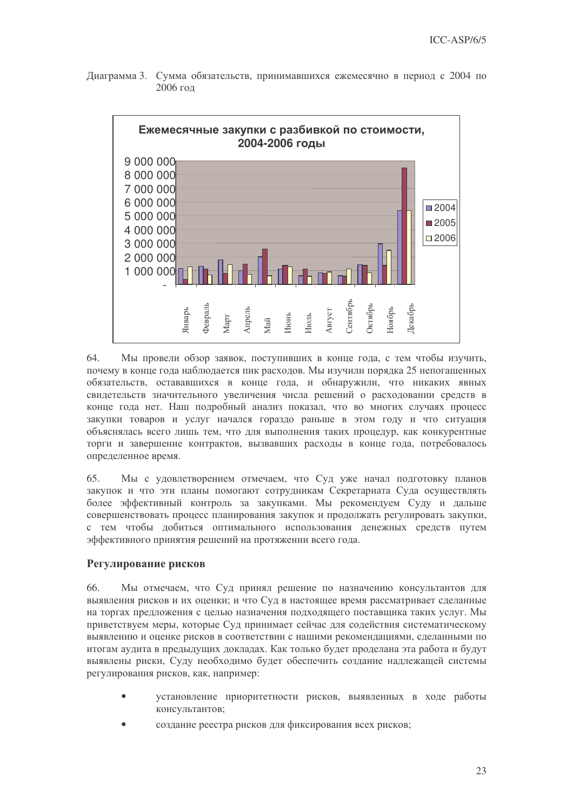



64. Мы провели обзор заявок, поступивших в конце года, с тем чтобы изучить, почему в конце года наблюдается пик расходов. Мы изучили порядка 25 непогашенных обязательств, остававшихся в конце года, и обнаружили, что никаких явных свидетельств значительного увеличения числа решений о расходовании средств в конце года нет. Наш подробный анализ показал, что во многих случаях процесс закупки товаров и услуг начался гораздо раньше в этом году и что ситуация объяснялась всего лишь тем, что для выполнения таких процедур, как конкурентные торги и завершение контрактов, вызвавших расходы в конце года, потребовалось определенное время.

65. Мы с удовлетворением отмечаем, что Суд уже начал подготовку планов закупок и что эти планы помогают сотрудникам Секретариата Суда осуществлять более эффективный контроль за закупками. Мы рекомендуем Суду и дальше совершенствовать процесс планирования закупок и продолжать регулировать закупки, с тем чтобы добиться оптимального использования денежных средств путем эффективного принятия решений на протяжении всего года.

## Регулирование рисков

66 Мы отмечаем, что Суд принял решение по назначению консультантов для выявления рисков и их оценки; и что Суд в настоящее время рассматривает сделанные на торгах предложения с целью назначения подходящего поставщика таких услуг. Мы приветствуем меры, которые Суд принимает сейчас для содействия систематическому выявлению и оценке рисков в соответствии с нашими рекомендациями, сделанными по итогам аудита в предыдущих докладах. Как только будет проделана эта работа и будут выявлены риски. Суду необходимо будет обеспечить создание надлежащей системы регулирования рисков, как, например:

- установление приоритетности рисков, выявленных в ходе работы консультантов:
- создание реестра рисков для фиксирования всех рисков: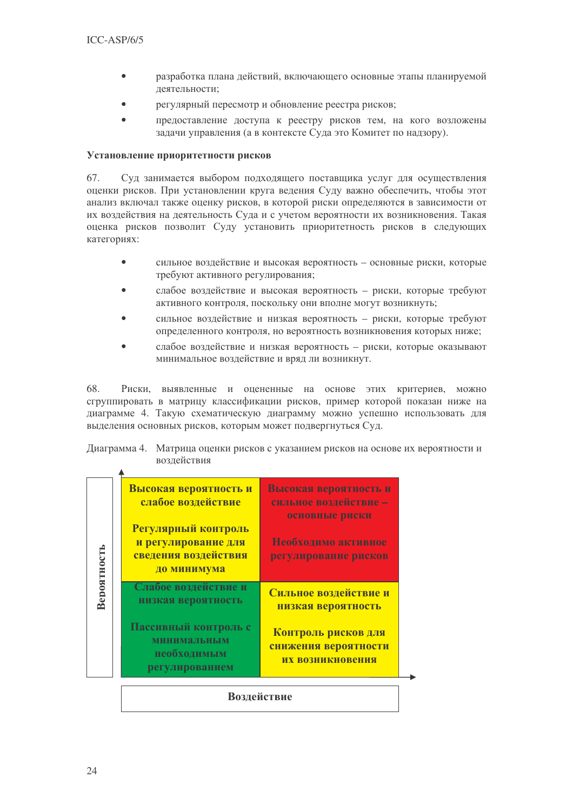- разработка плана действий, включающего основные этапы планируемой  $\bullet$ леятельности:
- регулярный пересмотр и обновление реестра рисков:  $\blacksquare$
- предоставление доступа к реестру рисков тем, на кого возложены задачи управления (а в контексте Суда это Комитет по надзору).

#### Установление приоритетности рисков

67. Сул занимается выбором полхоляшего поставшика услуг лля осушествления оценки рисков. При установлении круга ведения Суду важно обеспечить, чтобы этот анализ включал также оценку рисков, в которой риски определяются в зависимости от их воздействия на деятельность Суда и с учетом вероятности их возникновения. Такая оценка рисков позволит Суду установить приоритетность рисков в следующих категориях:

- сильное воздействие и высокая вероятность основные риски, которые требуют активного регулирования;
- слабое воздействие и высокая вероятность риски, которые требуют активного контроля, поскольку они вполне могут возникнуть;
- сильное воздействие и низкая вероятность риски, которые требуют определенного контроля, но вероятность возникновения которых ниже;
- слабое воздействие и низкая вероятность риски, которые оказывают минимальное воздействие и вряд ли возникнут.

68. Риски, выявленные и оцененные на основе этих критериев, можно сгруппировать в матрицу классификации рисков, пример которой показан ниже на диаграмме 4. Такую схематическую диаграмму можно успешно использовать для выделения основных рисков, которым может подвергнуться Суд.

Диаграмма 4. Матрица оценки рисков с указанием рисков на основе их вероятности и возлействия

|                    | Высокая вероятность и<br>слабое воздействие                                       | Высокая вероятность и<br>сильное воздействие -<br>основные риски       |
|--------------------|-----------------------------------------------------------------------------------|------------------------------------------------------------------------|
| <b>Вероятность</b> | Регулярный контроль<br>и регулирование для<br>сведения воздействия<br>до минимума | Необходимо активное<br>регулирование рисков                            |
|                    | Слабое воздействие и<br>низкая вероятность                                        | Сильное воздействие и<br>низкая вероятность                            |
|                    | Пассивный контроль с<br><b>МИНИМАЛЬНЫМ</b><br>необходимым<br>регулированием       | Контроль рисков для<br>снижения вероятности<br><b>ИХ ВОЗНИКНОВЕНИЯ</b> |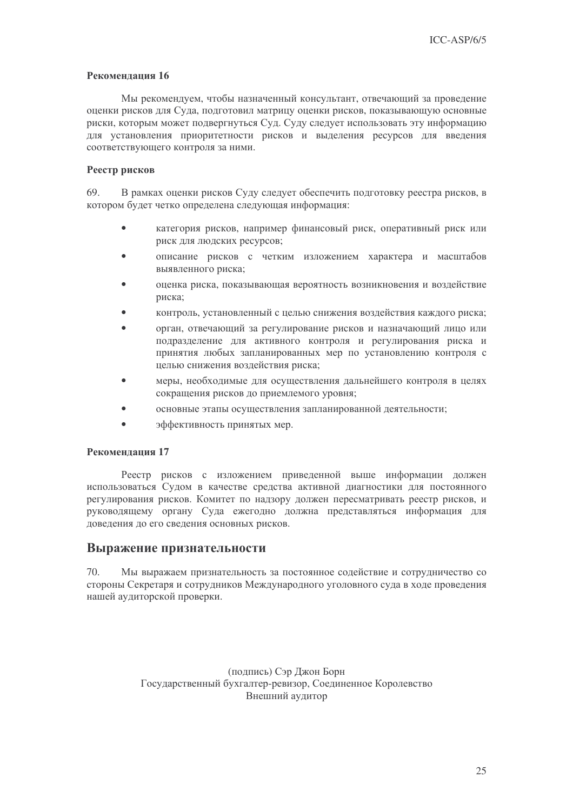#### Рекомендация 16

Мы рекомендуем, чтобы назначенный консультант, отвечающий за проведение оценки рисков для Суда, подготовил матрицу оценки рисков, показывающую основные риски, которым может подвергнуться Суд. Суду следует использовать эту информацию для установления приоритетности рисков и выделения ресурсов для введения соответствующего контроля за ними.

#### Реестр рисков

В рамках оценки рисков Суду следует обеспечить подготовку реестра рисков, в 69. котором будет четко определена следующая информация:

- категория рисков, например финансовый риск, оперативный риск или риск для людских ресурсов;
- описание рисков с четким изложением характера и масштабов выявленного риска;
- оценка риска, показывающая вероятность возникновения и воздействие риска;
- контроль, установленный с целью снижения воздействия каждого риска;
- орган, отвечающий за регулирование рисков и назначающий лицо или подразделение для активного контроля и регулирования риска и принятия любых запланированных мер по установлению контроля с целью снижения воздействия риска;
- меры, необходимые для осуществления дальнейшего контроля в целях сокращения рисков до приемлемого уровня;
- основные этапы осуществления запланированной деятельности;
- эффективность принятых мер.

#### Рекоменлация 17

Реестр рисков с изложением приведенной выше информации должен использоваться Судом в качестве средства активной диагностики для постоянного регулирования рисков. Комитет по надзору должен пересматривать реестр рисков, и руководящему органу Суда ежегодно должна представляться информация для доведения до его сведения основных рисков.

#### Выражение признательности

70. Мы выражаем признательность за постоянное содействие и сотрудничество со стороны Секретаря и сотрудников Международного уголовного суда в ходе проведения нашей аудиторской проверки.

#### (подпись) Сэр Джон Борн Государственный бухгалтер-ревизор, Соединенное Королевство Внешний аудитор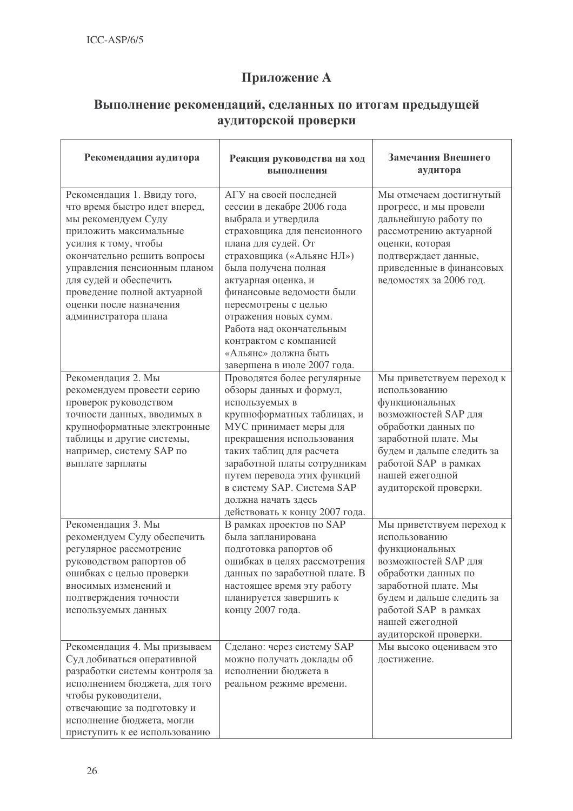# Выполнение рекомендаций, сделанных по итогам предыдущей аудиторской проверки

| Рекомендация аудитора                                                                                                                                                                                                                                                                                            | Реакция руководства на ход<br>выполнения                                                                                                                                                                                                                                                                                                                                                                 | Замечания Внешнего<br>аудитора                                                                                                                                                                                                       |
|------------------------------------------------------------------------------------------------------------------------------------------------------------------------------------------------------------------------------------------------------------------------------------------------------------------|----------------------------------------------------------------------------------------------------------------------------------------------------------------------------------------------------------------------------------------------------------------------------------------------------------------------------------------------------------------------------------------------------------|--------------------------------------------------------------------------------------------------------------------------------------------------------------------------------------------------------------------------------------|
| Рекомендация 1. Ввиду того,<br>что время быстро идет вперед,<br>мы рекомендуем Суду<br>приложить максимальные<br>усилия к тому, чтобы<br>окончательно решить вопросы<br>управления пенсионным планом<br>для судей и обеспечить<br>проведение полной актуарной<br>оценки после назначения<br>администратора плана | АГУ на своей последней<br>сессии в декабре 2006 года<br>выбрала и утвердила<br>страховщика для пенсионного<br>плана для судей. От<br>страховщика («Альянс НЛ»)<br>была получена полная<br>актуарная оценка, и<br>финансовые ведомости были<br>пересмотрены с целью<br>отражения новых сумм.<br>Работа над окончательным<br>контрактом с компанией<br>«Альянс» должна быть<br>завершена в июле 2007 года. | Мы отмечаем достигнутый<br>прогресс, и мы провели<br>дальнейшую работу по<br>рассмотрению актуарной<br>оценки, которая<br>подтверждает данные,<br>приведенные в финансовых<br>ведомостях за 2006 год.                                |
| Рекомендация 2. Мы<br>рекомендуем провести серию<br>проверок руководством<br>точности данных, вводимых в<br>крупноформатные электронные<br>таблицы и другие системы,<br>например, систему SAP по<br>выплате зарплаты                                                                                             | Проводятся более регулярные<br>обзоры данных и формул,<br>используемых в<br>крупноформатных таблицах, и<br>МУС принимает меры для<br>прекращения использования<br>таких таблиц для расчета<br>заработной платы сотрудникам<br>путем перевода этих функций<br>в систему SAP. Система SAP<br>должна начать здесь<br>действовать к концу 2007 года.                                                         | Мы приветствуем переход к<br>использованию<br>функциональных<br>возможностей SAP для<br>обработки данных по<br>заработной плате. Мы<br>будем и дальше следить за<br>работой SAP в рамках<br>нашей ежегодной<br>аудиторской проверки. |
| Рекомендация 3. Мы<br>рекомендуем Суду обеспечить<br>регулярное рассмотрение<br>руководством рапортов об<br>ошибках с целью проверки<br>вносимых изменений и<br>подтверждения точности<br>используемых данных                                                                                                    | В рамках проектов по SAP<br>была запланирована<br>подготовка рапортов об<br>ошибках в целях рассмотрения<br>данных по заработной плате. В<br>настоящее время эту работу<br>планируется завершить к<br>концу 2007 года.                                                                                                                                                                                   | Мы приветствуем переход к<br>использованию<br>функциональных<br>возможностей SAP для<br>обработки данных по<br>заработной плате. Мы<br>будем и дальше следить за<br>работой SAP в рамках<br>нашей ежегодной<br>аудиторской проверки. |
| Рекомендация 4. Мы призываем<br>Суд добиваться оперативной<br>разработки системы контроля за<br>исполнением бюджета, для того<br>чтобы руководители,<br>отвечающие за подготовку и<br>исполнение бюджета, могли<br>приступить к ее использованию                                                                 | Сделано: через систему SAP<br>можно получать доклады об<br>исполнении бюджета в<br>реальном режиме времени.                                                                                                                                                                                                                                                                                              | Мы высоко оцениваем это<br>достижение.                                                                                                                                                                                               |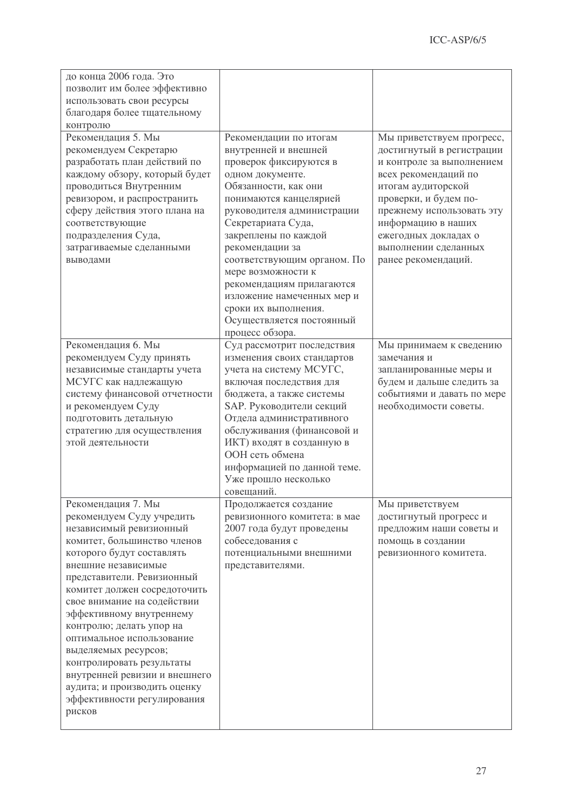| до конца 2006 года. Это<br>позволит им более эффективно<br>использовать свои ресурсы<br>благодаря более тщательному<br>контролю                                                                                                                                                                                                                                                                                                                                                                                |                                                                                                                                                                                                                                                                                                                                                                                                                                       |                                                                                                                                                                                                                                                                                      |
|----------------------------------------------------------------------------------------------------------------------------------------------------------------------------------------------------------------------------------------------------------------------------------------------------------------------------------------------------------------------------------------------------------------------------------------------------------------------------------------------------------------|---------------------------------------------------------------------------------------------------------------------------------------------------------------------------------------------------------------------------------------------------------------------------------------------------------------------------------------------------------------------------------------------------------------------------------------|--------------------------------------------------------------------------------------------------------------------------------------------------------------------------------------------------------------------------------------------------------------------------------------|
| Рекомендация 5. Мы<br>рекомендуем Секретарю<br>разработать план действий по<br>каждому обзору, который будет<br>проводиться Внутренним<br>ревизором, и распространить<br>сферу действия этого плана на<br>соответствующие<br>подразделения Суда,<br>затрагиваемые сделанными<br>выводами                                                                                                                                                                                                                       | Рекомендации по итогам<br>внутренней и внешней<br>проверок фиксируются в<br>одном документе.<br>Обязанности, как они<br>понимаются канцелярией<br>руководителя администрации<br>Секретариата Суда,<br>закреплены по каждой<br>рекомендации за<br>соответствующим органом. По<br>мере возможности к<br>рекомендациям прилагаются<br>изложение намеченных мер и<br>сроки их выполнения.<br>Осуществляется постоянный<br>процесс обзора. | Мы приветствуем прогресс,<br>достигнутый в регистрации<br>и контроле за выполнением<br>всех рекомендаций по<br>итогам аудиторской<br>проверки, и будем по-<br>прежнему использовать эту<br>информацию в наших<br>ежегодных докладах о<br>выполнении сделанных<br>ранее рекомендаций. |
| Рекомендация 6. Мы<br>рекомендуем Суду принять<br>независимые стандарты учета<br>МСУГС как надлежащую<br>систему финансовой отчетности<br>и рекомендуем Суду<br>подготовить детальную<br>стратегию для осуществления<br>этой деятельности                                                                                                                                                                                                                                                                      | Суд рассмотрит последствия<br>изменения своих стандартов<br>учета на систему МСУГС,<br>включая последствия для<br>бюджета, а также системы<br>SAP. Руководители секций<br>Отдела административного<br>обслуживания (финансовой и<br>ИКТ) входят в созданную в<br>ООН сеть обмена<br>информацией по данной теме.<br>Уже прошло несколько<br>совещаний.                                                                                 | Мы принимаем к сведению<br>замечания и<br>запланированные меры и<br>будем и дальше следить за<br>событиями и давать по мере<br>необходимости советы.                                                                                                                                 |
| Рекомендация 7. Мы<br>рекомендуем Суду учредить<br>независимый ревизионный<br>комитет, большинство членов<br>которого будут составлять<br>внешние независимые<br>представители. Ревизионный<br>комитет должен сосредоточить<br>свое внимание на содействии<br>эффективному внутреннему<br>контролю; делать упор на<br>оптимальное использование<br>выделяемых ресурсов;<br>контролировать результаты<br>внутренней ревизии и внешнего<br>аудита; и производить оценку<br>эффективности регулирования<br>рисков | Продолжается создание<br>ревизионного комитета: в мае<br>2007 года будут проведены<br>собеседования с<br>потенциальными внешними<br>представителями.                                                                                                                                                                                                                                                                                  | Мы приветствуем<br>достигнутый прогресс и<br>предложим наши советы и<br>помощь в создании<br>ревизионного комитета.                                                                                                                                                                  |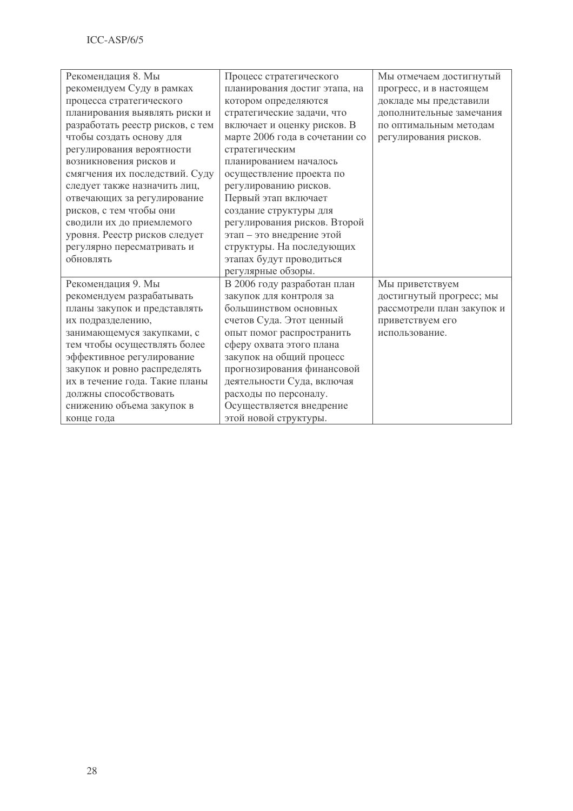| Рекомендация 8. Мы               | Процесс стратегического        | Мы отмечаем достигнутый    |
|----------------------------------|--------------------------------|----------------------------|
| рекомендуем Суду в рамках        | планирования достиг этапа, на  | прогресс, и в настоящем    |
| процесса стратегического         | котором определяются           | докладе мы представили     |
| планирования выявлять риски и    | стратегические задачи, что     | дополнительные замечания   |
| разработать реестр рисков, с тем | включает и оценку рисков. В    | по оптимальным методам     |
| чтобы создать основу для         | марте 2006 года в сочетании со | регулирования рисков.      |
| регулирования вероятности        | стратегическим                 |                            |
| возникновения рисков и           | планированием началось         |                            |
| смягчения их последствий. Суду   | осуществление проекта по       |                            |
| следует также назначить лиц,     | регулированию рисков.          |                            |
| отвечающих за регулирование      | Первый этап включает           |                            |
| рисков, с тем чтобы они          | создание структуры для         |                            |
| сводили их до приемлемого        | регулирования рисков. Второй   |                            |
| уровня. Реестр рисков следует    | этап - это внедрение этой      |                            |
| регулярно пересматривать и       | структуры. На последующих      |                            |
| обновлять                        | этапах будут проводиться       |                            |
|                                  | регулярные обзоры.             |                            |
| Рекомендация 9. Мы               | В 2006 году разработан план    | Мы приветствуем            |
| рекомендуем разрабатывать        | закупок для контроля за        | достигнутый прогресс; мы   |
| планы закупок и представлять     | большинством основных          | рассмотрели план закупок и |
| их подразделению,                | счетов Суда. Этот ценный       | приветствуем его           |
| занимающемуся закупками, с       | опыт помог распространить      | использование.             |
| тем чтобы осуществлять более     | сферу охвата этого плана       |                            |
| эффективное регулирование        | закупок на общий процесс       |                            |
| закупок и ровно распределять     | прогнозирования финансовой     |                            |
| их в течение года. Такие планы   | деятельности Суда, включая     |                            |
| должны способствовать            | расходы по персоналу.          |                            |
| снижению объема закупок в        | Осуществляется внедрение       |                            |
| конце года                       | этой новой структуры.          |                            |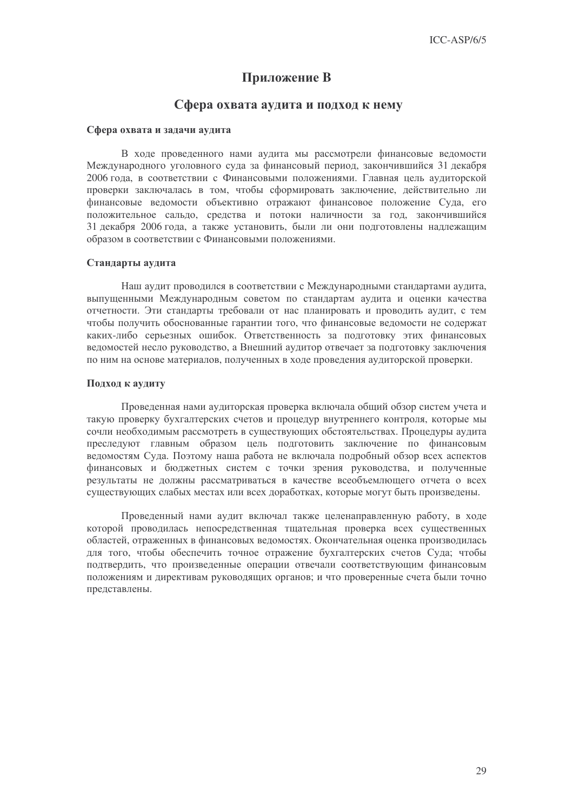#### Сфера охвата аудита и подход к нему

#### Сфера охвата и задачи аудита

В ходе проведенного нами аудита мы рассмотрели финансовые ведомости Международного уголовного суда за финансовый период, закончившийся 31 декабря 2006 года, в соответствии с Финансовыми положениями. Главная цель аудиторской проверки заключалась в том, чтобы сформировать заключение, действительно ли финансовые ведомости объективно отражают финансовое положение Суда, его положительное сальдо, средства и потоки наличности за год, закончившийся 31 декабря 2006 года, а также установить, были ли они подготовлены надлежащим образом в соответствии с Финансовыми положениями.

#### Стандарты аудита

Наш аудит проводился в соответствии с Международными стандартами аудита, выпущенными Международным советом по стандартам аудита и оценки качества отчетности. Эти стандарты требовали от нас планировать и проводить аудит, с тем чтобы получить обоснованные гарантии того, что финансовые ведомости не содержат каких-либо серьезных ошибок. Ответственность за подготовку этих финансовых ведомостей несло руководство, а Внешний аудитор отвечает за подготовку заключения по ним на основе материалов, полученных в ходе проведения аудиторской проверки.

#### Подход к аудиту

Проведенная нами аудиторская проверка включала общий обзор систем учета и такую проверку бухгалтерских счетов и процедур внутреннего контроля, которые мы сочли необходимым рассмотреть в существующих обстоятельствах. Процедуры аудита преследуют главным образом цель подготовить заключение по финансовым ведомостям Суда. Поэтому наша работа не включала подробный обзор всех аспектов финансовых и бюджетных систем с точки зрения руководства, и полученные результаты не должны рассматриваться в качестве всеобъемлющего отчета о всех существующих слабых местах или всех доработках, которые могут быть произведены.

Проведенный нами аудит включал также целенаправленную работу, в ходе которой проводилась непосредственная тщательная проверка всех существенных областей, отраженных в финансовых ведомостях. Окончательная оценка производилась для того, чтобы обеспечить точное отражение бухгалтерских счетов Суда; чтобы полтверлить, что произвеленные операции отвечали соответствующим финансовым положениям и директивам руководящих органов; и что проверенные счета были точно представлены.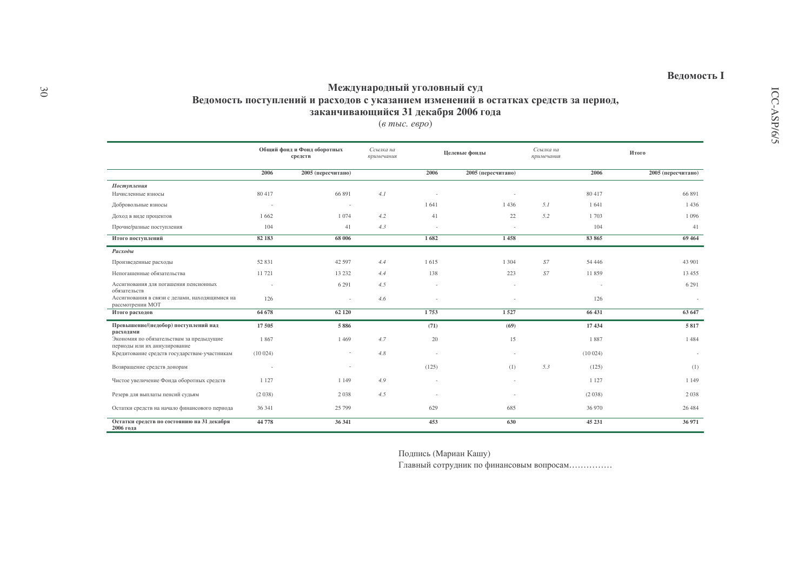## Международный уголовный суд Ведомость поступлений и расходов с указанием изменений в остатках средств за период, заканчивающийся 31 декабря 2006 года

(в тыс. евро)

|                                                                          |                          | Общий фонд и Фонд оборотных<br>средств | Ссылка на<br>примечания |                          | Целевые фонды      |            |          |                    | Ссылка на<br>примечания |  |
|--------------------------------------------------------------------------|--------------------------|----------------------------------------|-------------------------|--------------------------|--------------------|------------|----------|--------------------|-------------------------|--|
|                                                                          | 2006                     | 2005 (пересчитано)                     |                         | 2006                     | 2005 (пересчитано) |            | 2006     | 2005 (пересчитано) |                         |  |
| Поступления                                                              |                          |                                        |                         |                          |                    |            |          |                    |                         |  |
| Начисленные взносы                                                       | 80417                    | 66 891                                 | 4.1                     | $\overline{\phantom{a}}$ | ٠                  |            | 80417    | 66 891             |                         |  |
| Добровольные взносы                                                      | $\overline{\phantom{a}}$ | $\sim$                                 |                         | 1641                     | 1436               | 5.1        | 1641     | 1 4 3 6            |                         |  |
| Доход в виде процентов                                                   | 1 6 6 2                  | 1 0 7 4                                | 4.2                     | 41                       | 22                 | 5.2        | 1 703    | 1 0 9 6            |                         |  |
| Прочие/разные поступления                                                | 104                      | 41                                     | 4.3                     | ÷,                       | ÷                  |            | 104      | 41                 |                         |  |
| Итого поступлений                                                        | 82 183                   | 68 006                                 |                         | 1682                     | 1458               |            | 83 865   | 69 4 64            |                         |  |
| Расходы                                                                  |                          |                                        |                         |                          |                    |            |          |                    |                         |  |
| Произведенные расходы                                                    | 52 831                   | 42 5 9 7                               | 4.4                     | 1615                     | 1 3 0 4            | <i>S</i> 7 | 54 4 4 6 | 43 901             |                         |  |
| Непогашенные обязательства                                               | 11 721                   | 13 2 3 2                               | 4.4                     | 138                      | 223                | <i>S</i> 7 | 11859    | 13 4 55            |                         |  |
| Ассигнования для погашения пенсионных<br>обязательств                    | $\overline{\phantom{a}}$ | 6 2 9 1                                | 4.5                     | $\sim$                   | ٠                  |            |          | 6 2 9 1            |                         |  |
| Ассигнования в связи с делами, находящимися на<br>рассмотрении МОТ       | 126                      |                                        | 4.6                     | ٠                        | ٠                  |            | 126      | ÷                  |                         |  |
| Итого расходов                                                           | 64 678                   | 62 120                                 |                         | 1753                     | 1527               |            | 66 431   | 63 647             |                         |  |
| Превышение/(недобор) поступлений над<br>расходами                        | 17505                    | 5886                                   |                         | (71)                     | (69)               |            | 17434    | 5817               |                         |  |
| Экономия по обязательствам за предыдущие<br>периоды или их аннулирование | 1867                     | 1469                                   | 4.7                     | 20                       | 15                 |            | 1887     | 1484               |                         |  |
| Кредитование средств государствам-участникам                             | (10024)                  | $\sim$                                 | 4.8                     | $\overline{\phantom{a}}$ | ٠                  |            | (10024)  | $\sim$             |                         |  |
| Возвращение средств донорам                                              | $\sim$                   | $\overline{\phantom{a}}$               |                         | (125)                    | (1)                | 5.3        | (125)    | (1)                |                         |  |
| Чистое увеличение Фонда оборотных средств                                | 1 1 2 7                  | 1 1 4 9                                | 4.9                     | $\overline{\phantom{a}}$ | ٠                  |            | 1 1 2 7  | 1 1 4 9            |                         |  |
| Резерв для выплаты пенсий судьям                                         | (2 038)                  | 2 0 3 8                                | 4.5                     | $\overline{\phantom{a}}$ |                    |            | (2038)   | 2 0 3 8            |                         |  |
| Остатки средств на начало финансового периода                            | 36 341                   | 25 7 9 9                               |                         | 629                      | 685                |            | 36 970   | 26 4 8 4           |                         |  |
| Остатки средств по состоянию на 31 декабря<br>2006 года                  | 44 778                   | 36 341                                 |                         | 453                      | 630                |            | 45 231   | 36 971             |                         |  |

Подпись (Мариан Кашу) Главный сотрудник по финансовым вопросам............... Ведомость I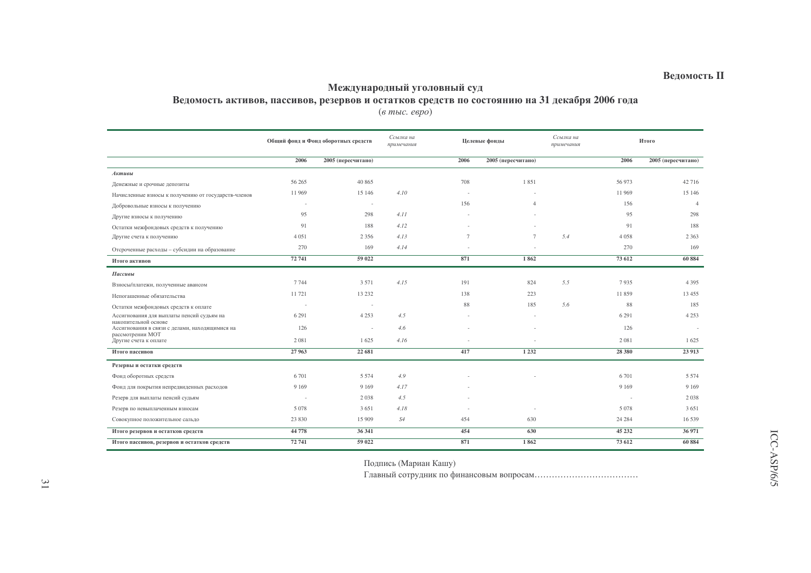# Международный уголовный суд Ведомость активов, пассивов, резервов и остатков средств по состоянию на 31 декабря 2006 года

 $(\textit{6 mol.} \textit{e} \cdot \textit{e} \cdot \textit{b})$ 

|                                                                        | Общий фонд и Фонд оборотных средств |                    | Ссылка на<br>Целевые фонды<br>примечания |                          |                    | Ссылка на<br>примечания |         | Итого                    |  |
|------------------------------------------------------------------------|-------------------------------------|--------------------|------------------------------------------|--------------------------|--------------------|-------------------------|---------|--------------------------|--|
|                                                                        | 2006                                | 2005 (пересчитано) |                                          | 2006                     | 2005 (пересчитано) |                         | 2006    | 2005 (пересчитано)       |  |
| Активы                                                                 |                                     |                    |                                          |                          |                    |                         |         |                          |  |
| Денежные и срочные депозиты                                            | 56 265                              | 40 865             |                                          | 708                      | 1851               |                         | 56 973  | 42 716                   |  |
| Начисленные взносы к получению от государств-членов                    | 11 969                              | 15 14 6            | 4.10                                     | $\overline{\phantom{a}}$ |                    |                         | 11 9 69 | 15 146                   |  |
| Добровольные взносы к получению                                        |                                     | $\sim$             |                                          | 156                      | $\overline{4}$     |                         | 156     | $\overline{A}$           |  |
| Другие взносы к получению                                              | 95                                  | 298                | 4.11                                     |                          |                    |                         | 95      | 298                      |  |
| Остатки межфондовых средств к получению                                | 91                                  | 188                | 4.12                                     |                          |                    |                         | 91      | 188                      |  |
| Другие счета к получению                                               | 4 0 5 1                             | 2 3 5 6            | 4.13                                     | $7\phantom{.0}$          | $\tau$             | 5.4                     | 4 0 5 8 | 2 3 6 3                  |  |
| Отсроченные расходы - субсидии на образование                          | 270                                 | 169                | 4.14                                     |                          |                    |                         | 270     | 169                      |  |
| Итого активов                                                          | 72 741                              | 59 022             |                                          | 871                      | 1862               |                         | 73 612  | 60 884                   |  |
| Пассивы                                                                |                                     |                    |                                          |                          |                    |                         |         |                          |  |
| Взносы/платежи, полученные авансом                                     | 7 7 4 4                             | 3 5 7 1            | 4.15                                     | 191                      | 824                | 5.5                     | 7935    | 4 3 9 5                  |  |
| Непогашенные обязательства                                             | 11 721                              | 13 2 3 2           |                                          | 138                      | 223                |                         | 11859   | 13 4 55                  |  |
| Остатки межфондовых средств к оплате                                   |                                     | ٠                  |                                          | 88                       | 185                | 5.6                     | 88      | 185                      |  |
| Ассигнования для выплаты пенсий судьям на                              | 6 2 9 1                             | 4 2 5 3            | 4.5                                      |                          | $\sim$             |                         | 6 2 9 1 | 4 2 5 3                  |  |
| накопительной основе<br>Ассигнования в связи с делами, находящимися на | 126                                 | ۰.                 | 4.6                                      |                          |                    |                         | 126     | $\overline{\phantom{a}}$ |  |
| рассмотрении МОТ<br>Другие счета к оплате                              | 2081                                | 1625               | 4.16                                     |                          |                    |                         | 2 0 8 1 | 1 625                    |  |
| Итого пассивов                                                         | 27 963                              | 22 681             |                                          | 417                      | 1 2 3 2            |                         | 28 380  | 23 913                   |  |
| Резервы и остатки средств                                              |                                     |                    |                                          |                          |                    |                         |         |                          |  |
| Фонд оборотных средств                                                 | 6 701                               | 5 5 7 4            | 4.9                                      |                          |                    |                         | 6 701   | 5 5 7 4                  |  |
| Фонд для покрытия непредвиденных расходов                              | 9 1 6 9                             | 9 1 6 9            | 4.17                                     |                          |                    |                         | 9 1 6 9 | 9 1 6 9                  |  |
| Резерв для выплаты пенсий судьям                                       |                                     | 2 0 3 8            | 4.5                                      |                          |                    |                         |         | 2 0 3 8                  |  |
| Резерв по невыплаченным взносам                                        | 5 0 7 8                             | 3 6 5 1            | 4.18                                     |                          |                    |                         | 5 0 7 8 | 3651                     |  |
| Совокупное положительное сальдо                                        | 23 830                              | 15 909             | S4                                       | 454                      | 630                |                         | 24 28 4 | 16 539                   |  |
| Итого резервов и остатков средств                                      | 44 778                              | 36 341             |                                          | 454                      | 630                |                         | 45 232  | 36 971                   |  |
| Итого пассивов, резервов и остатков средств                            | 72 741                              | 59 022             |                                          | 871                      | 1862               |                         | 73 612  | 60 884                   |  |

Подпись (Мариан Кашу)

 $\Im 1$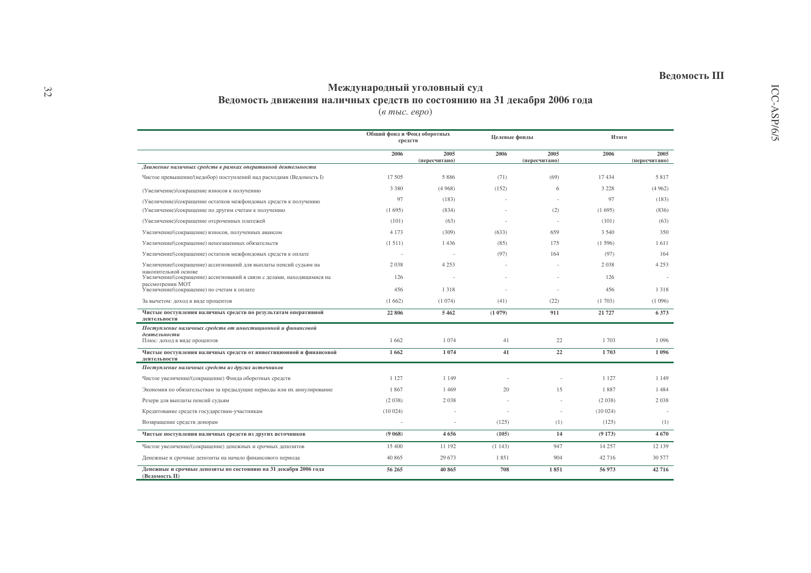## Международный уголовный суд Ведомость движения наличных средств по состоянию на 31 декабря 2006 года

(в тыс. евро)

|                                                                                                | Общий фонд и Фонд оборотных<br>средств |                       | Целевые фонды  |                          | Итого   |                       |  |
|------------------------------------------------------------------------------------------------|----------------------------------------|-----------------------|----------------|--------------------------|---------|-----------------------|--|
|                                                                                                | 2006                                   | 2005<br>(пересчитано) | 2006           | 2005<br>(пересчитано)    | 2006    | 2005<br>(пересчитано) |  |
| Движение наличных средств в рамках оперативной деятельности                                    |                                        |                       |                |                          |         |                       |  |
| Чистое превышение/(недобор) поступлений над расходами (Ведомость I)                            | 17 505                                 | 5886                  | (71)           | (69)                     | 17434   | 5817                  |  |
| (Увеличение)/сокращение взносов к получению                                                    | 3 3 8 0                                | (4968)                | (152)          | 6                        | 3 2 2 8 | (4962)                |  |
| (Увеличение)/сокращение остатков межфондовых средств к получению                               | 97                                     | (183)                 |                | ÷                        | 97      | (183)                 |  |
| (Увеличение)/сокращение по другим счетам к получению                                           | (1695)                                 | (834)                 |                | (2)                      | (1695)  | (836)                 |  |
| (Увеличение)/сокращение отсроченных платежей                                                   | (101)                                  | (63)                  | $\overline{a}$ |                          | (101)   | (63)                  |  |
| Увеличение/(сокращение) взносов, полученных авансом                                            | 4 1 7 3                                | (309)                 | (633)          | 659                      | 3 5 4 0 | 350                   |  |
| Увеличение/(сокращение) непогашенных обязательств                                              | (1511)                                 | 1 4 3 6               | (85)           | 175                      | (1596)  | 1611                  |  |
| Увеличение/(сокращение) остатков межфондовых средств к оплате                                  |                                        |                       | (97)           | 164                      | (97)    | 164                   |  |
| Увеличение/(сокращение) ассигнований для выплаты пенсий судьям на                              | 2038                                   | 4 2 5 3               |                |                          | 2038    | 4 2 5 3               |  |
| накопительной основе<br>Увеличение/(сокращение) ассигнований в связи с делами, находящимися на | 126                                    |                       |                |                          | 126     |                       |  |
| рассмотрении МОТ<br>Увеличение/(сокращение) по счетам к оплате                                 | 456                                    | 1318                  |                | ÷                        | 456     | 1318                  |  |
| За вычетом: доход в виде процентов                                                             | (1662)                                 | (1074)                | (41)           | (22)                     | (1703)  | (1096)                |  |
| Чистые поступления наличных средств по результатам оперативной<br>деятельности                 | 22 806                                 | 5462                  | (1079)         | 911                      | 21 7 27 | 6373                  |  |
| Поступление наличных средств от инвестиционной и финансовой                                    |                                        |                       |                |                          |         |                       |  |
| деятельности<br>Плюс: доход в виде процентов                                                   | 1 6 6 2                                | 1 0 7 4               | 41             | 22                       | 1703    | 1 0 9 6               |  |
| Чистые поступления наличных средств от инвестиционной и финансовой<br>деятельности             | 1662                                   | 1074                  | 41             | 22                       | 1703    | 1 0 9 6               |  |
| Поступление наличных средств из других источников                                              |                                        |                       |                |                          |         |                       |  |
| Чистое увеличение/(сокращение) Фонда оборотных средств                                         | 1 1 2 7                                | 1 1 4 9               |                |                          | 1 1 2 7 | 1 1 4 9               |  |
| Экономия по обязательствам за предыдущие периоды или их аннулирование                          | 1867                                   | 1469                  | 20             | 15                       | 1887    | 1484                  |  |
| Резерв для выплаты пенсий судьям                                                               | (2.038)                                | 2038                  |                | Î,                       | (2 038) | 2038                  |  |
| Кредитование средств государствам-участникам                                                   | (10024)                                |                       |                | $\overline{\phantom{a}}$ | (10024) |                       |  |
| Возвращение средств донорам                                                                    |                                        |                       | (125)          | (1)                      | (125)   | (1)                   |  |
| Чистые поступления наличных средств из других источников                                       | (9068)                                 | 4656                  | (105)          | 14                       | (9173)  | 4670                  |  |
| Чистое увеличение/(сокращение) денежных и срочных депозитов                                    | 15 400                                 | 11 192                | (1143)         | 947                      | 14 257  | 12 139                |  |
| Денежные и срочные депозиты на начало финансового периода                                      | 40 865                                 | 29 673                | 1851           | 904                      | 42 716  | 30 577                |  |
| Денежные и срочные депозиты по состоянию на 31 декабря 2006 года<br>(Ведомость II)             | 56 265                                 | 40 865                | 708            | 1851                     | 56 973  | 42716                 |  |

Ведомость III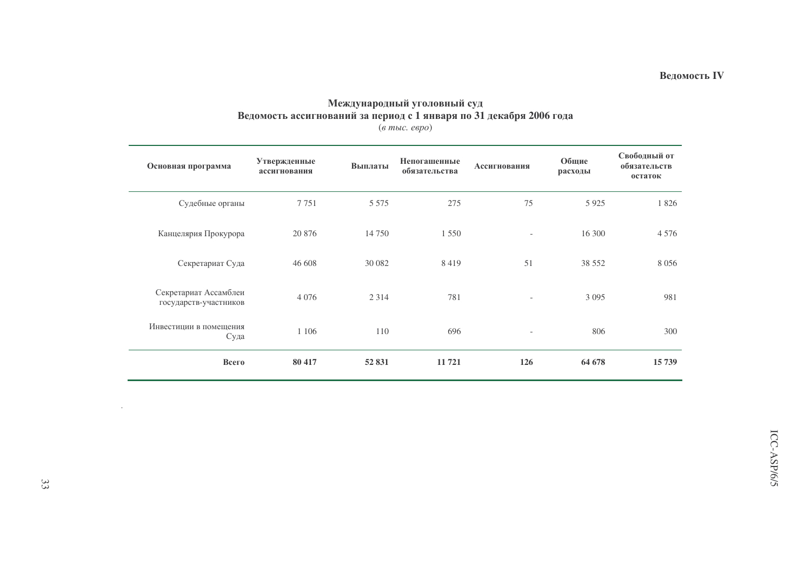# Ведомость IV

# Международный уголовный суд **Ведомость ассигнований за период с 1 января по 31 декабря 2006 года**<br>(в тыс. евро)

| Основная программа                             | Утвержденные<br>ассигнования | Выплаты | Непогашенные<br>обязательства | Ассигнования             | Общие<br>расходы | Свободный от<br>обязательств<br>остаток |
|------------------------------------------------|------------------------------|---------|-------------------------------|--------------------------|------------------|-----------------------------------------|
| Судебные органы                                | 7751                         | 5 5 7 5 | 275                           | 75                       | 5925             | 1826                                    |
| Канцелярия Прокурора                           | 20 876                       | 14 750  | 1 5 5 0                       | $\overline{\phantom{a}}$ | 16 300           | 4 5 7 6                                 |
| Секретариат Суда                               | 46 608                       | 30 082  | 8419                          | 51                       | 38 552           | 8 0 5 6                                 |
| Секретариат Ассамблеи<br>государств-участников | 4 0 7 6                      | 2 3 1 4 | 781                           | $\overline{\phantom{a}}$ | 3 0 9 5          | 981                                     |
| Инвестиции в помещения<br>Суда                 | 1 1 0 6                      | 110     | 696                           | $\overline{\phantom{a}}$ | 806              | 300                                     |
| Всего                                          | 80 417                       | 52 831  | 11721                         | 126                      | 64 678           | 15739                                   |

 $\sim$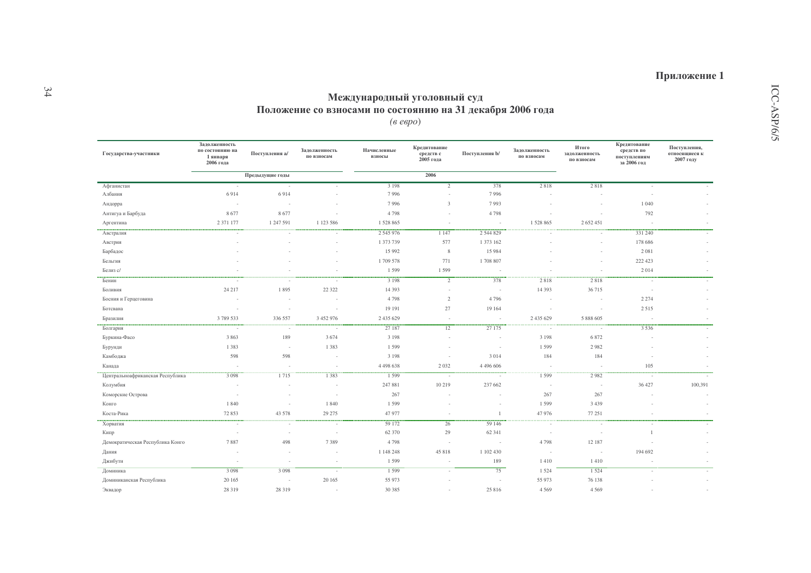# Международный уголовный суд<br>Положение со взносами по состоянию на 31 декабря 2006 года<br>(в евро)

| Государства-участники            | Задолженность<br>по состоянию на<br>1 января<br>2006 года | Поступления а/           | Задолженность<br>по взносам | Начисленные<br>взносы | Кредитование<br>средств с<br>2005 года | Поступления b/ | Задолженность<br>по взносам | Итого<br>задолженность<br>по взносам | Кредитование<br>средств по<br>поступлениям<br>за 2006 год | Поступления,<br>относящиеся к<br>2007 году |
|----------------------------------|-----------------------------------------------------------|--------------------------|-----------------------------|-----------------------|----------------------------------------|----------------|-----------------------------|--------------------------------------|-----------------------------------------------------------|--------------------------------------------|
|                                  |                                                           | Предыдущие годы          |                             |                       | 2006                                   |                |                             |                                      |                                                           |                                            |
| Афганистан                       | $\sim$                                                    | $\sim$                   | $\sim$                      | 3 1 9 8               | 2                                      | 378            | 2818                        | 2818                                 | $\sim$                                                    |                                            |
| Албания                          | 6914                                                      | 6914                     |                             | 7996                  |                                        | 7996           |                             |                                      |                                                           |                                            |
| Андорра                          |                                                           |                          |                             | 7996                  | 3                                      | 7993           |                             |                                      | 1 0 4 0                                                   |                                            |
| Антигуа и Барбуда                | 8677                                                      | 8677                     |                             | 4798                  |                                        | 4798           |                             |                                      | 792                                                       |                                            |
| Аргентина                        | 2 371 177                                                 | 1 247 591                | 1 123 586                   | 1 528 865             | $\sim$                                 | $\sim$         | 1 528 865                   | 2 652 451                            |                                                           |                                            |
| Австралия                        | $\sim$                                                    | - 11                     | $\sim$                      | 2 545 976             | 1 1 4 7                                | 2 544 829      |                             |                                      | 331 240                                                   | in 1919.                                   |
| Австрия                          |                                                           |                          |                             | 1 373 739             | 577                                    | 1 373 162      |                             |                                      | 178 686                                                   |                                            |
| Барбадос                         |                                                           |                          |                             | 15 9 92               | 8                                      | 15 9 8 4       |                             |                                      | 2 0 8 1                                                   |                                            |
| Бельгия                          |                                                           |                          |                             | 1709 578              | 771                                    | 1708 807       |                             |                                      | 222 423                                                   |                                            |
| Белиз с/                         |                                                           |                          |                             | 1599                  | 1599                                   |                |                             |                                      | 2014                                                      |                                            |
| Бенин                            | $\overline{\phantom{a}}$                                  | $\sim$                   | $\sim$                      | 3 1 9 8               | 2                                      | 378            | <br>2818                    | 2818                                 | $\overline{a}$                                            |                                            |
| Боливия                          | 24 217                                                    | 1895                     | 22 3 22                     | 14 3 9 3              | ٠                                      | $\sim$         | 14 3 9 3                    | 36715                                |                                                           |                                            |
| Босния и Герцеговина             |                                                           |                          |                             | 4798                  | 2                                      | 4796           |                             |                                      | 2 2 7 4                                                   |                                            |
| Ботсвана                         |                                                           |                          |                             | 19 19 1               | 27                                     | 19 164         |                             |                                      | 2515                                                      |                                            |
| Бразилия                         | 3 789 533                                                 | 336 557                  | 3 452 976                   | 2 435 629             | ×.                                     | $\sim$         | 2 435 629                   | 5 888 605                            |                                                           |                                            |
| Болгария                         | $\overline{a}$                                            | $\sim$                   | $\sim$                      | 27 187                | 12                                     | 27 175         | <b>CONTRACTOR</b><br>$\sim$ | $\sim$                               | 3 5 3 6                                                   | in 1919.                                   |
| Буркина-Фасо                     | 3863                                                      | 189                      | 3674                        | 3 1 9 8               |                                        |                | 3 1 9 8                     | 6872                                 |                                                           |                                            |
| Бурунди                          | 1 3 8 3                                                   | $\sim$                   | 1 3 8 3                     | 1599                  |                                        |                | 1599                        | 2982                                 |                                                           |                                            |
| Камбоджа                         | 598                                                       | 598                      |                             | 3 1 9 8               |                                        | 3 0 1 4        | 184                         | 184                                  |                                                           |                                            |
| Канада                           |                                                           |                          |                             | 4 4 9 6 6 3 8         | 2032                                   | 4 4 9 6 6 0 6  |                             | $\sim$                               | 105                                                       |                                            |
| Центральноафриканская Республика | 3 0 9 8                                                   | 1715                     | 1 3 8 3                     | 1599                  | $\sim$                                 | $\sim$         |                             | 2982                                 | $\sim$                                                    |                                            |
| Колумбия                         |                                                           |                          |                             | 247 881               | 10 219                                 | 237 662        | ÷.                          |                                      | 36 427                                                    | 100,391                                    |
| Коморские Острова                |                                                           |                          |                             | 267                   |                                        |                | 267                         | 267                                  |                                                           |                                            |
| Конго                            | 1840                                                      |                          | 1840                        | 1599                  |                                        |                | 1599                        | 3 4 3 9                              |                                                           |                                            |
| Коста-Рика                       | 72 853                                                    | 43 578                   | 29 27 5                     | 47 977                | $\sim$                                 | -1             | 47 976                      | 77 251                               |                                                           |                                            |
| Хорватия                         | $\sim$                                                    |                          | $\sim$                      | 59 172                | 26                                     | 59 146         | $\sim$                      | $\sim$                               | $\overline{\phantom{a}}$                                  |                                            |
| Кипр                             |                                                           | $\overline{\phantom{a}}$ |                             | 62 370                | 29                                     | 62 341         | $\sim$                      |                                      |                                                           |                                            |
| Демократическая Республика Конго | 7887                                                      | 498                      | 7389                        | 4798                  | $\sim$                                 | $\sim$         | 4798                        | 12 187                               |                                                           |                                            |
| Дания                            |                                                           |                          |                             | 1 148 248             | 45 818                                 | 1 102 430      | - 2                         | $\sim$                               | 194 692                                                   |                                            |
| Джибути                          |                                                           |                          |                             | 1599                  |                                        | 189            | 1410                        | 1410                                 |                                                           |                                            |
| Доминика                         | 3 0 9 8                                                   | 3 0 9 8                  | $\sim$                      | 1599                  | $\overline{\phantom{a}}$               | 75             | 1 5 2 4                     | 1 5 2 4                              | $\overline{\phantom{a}}$                                  |                                            |
| Доминиканская Республика         | 20 165                                                    | $\overline{\phantom{a}}$ | 20 165                      | 55 973                |                                        | - 2            | 55 973                      | 76 138                               |                                                           |                                            |
| Эквадор                          | 28 3 19                                                   | 28 3 19                  |                             | 30 385                | ×.                                     | 25 816         | 4569                        | 4 5 6 9                              | $\sim$                                                    |                                            |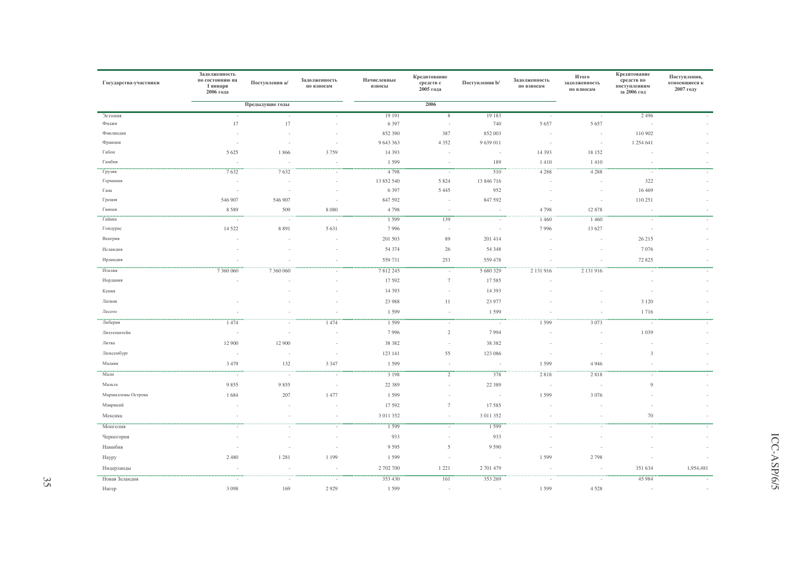| Государства-участники | Задолженность<br>по состоянию на<br>1 января<br>2006 года | Поступления а/           | Задолженность<br>по взносам | Начисленные<br>взносы | Кредитование<br>средств с<br>2005 года | Поступления b/ | Задолженность<br>по взносам | Итого<br>задолженность<br>по взносам | Кредитование<br>средств по<br>поступлениям<br>за 2006 год | Поступления,<br>относящиеся к<br>2007 году |
|-----------------------|-----------------------------------------------------------|--------------------------|-----------------------------|-----------------------|----------------------------------------|----------------|-----------------------------|--------------------------------------|-----------------------------------------------------------|--------------------------------------------|
|                       |                                                           | Предыдущие годы          |                             |                       | 2006                                   |                |                             |                                      |                                                           |                                            |
| Эстония               | $\overline{\phantom{a}}$                                  |                          |                             | 19 19 1               | 8                                      | 19 18 3        | $\overline{\phantom{a}}$    |                                      | 2 4 9 6                                                   |                                            |
| Фиджи                 | 17                                                        | $17\,$                   | $\sim$                      | 6 3 9 7               | $\sim$                                 | 740            | 5 6 5 7                     | 5 6 5 7                              | $\sim$                                                    |                                            |
| Финляндия             |                                                           |                          |                             | 852 390               | 387                                    | 852 003        |                             |                                      | 110 902                                                   |                                            |
| Франция               | i.                                                        | ÷.                       | $\sim$                      | 9 643 363             | 4 3 5 2                                | 9 639 011      | $\sim$                      | $\sim$                               | 1 254 641                                                 | ×.                                         |
| Габон                 | 5 6 2 5                                                   | 1866                     | 3759                        | 14 3 9 3              | $\sim$                                 | ۰.             | 14 3 9 3                    | 18 15 2                              |                                                           |                                            |
| Гамбия                | $\sim$                                                    | $\overline{\phantom{a}}$ | $\sim$                      | 1599                  | ÷,                                     | 189            | 1410                        | 1410                                 | ÷,                                                        |                                            |
| Грузия                | 7632                                                      | 7632                     |                             | 4 7 9 8               | $\sim$                                 | 510            | 4 2 8 8                     | 4 2 8 8                              | $\overline{\phantom{a}}$                                  |                                            |
| Германия              |                                                           |                          | $\sim$                      | 13 852 540            | 5 8 2 4                                | 13 846 716     |                             |                                      | 322                                                       | ÷.                                         |
| Гана                  | $\overline{\phantom{a}}$                                  |                          | $\sim$                      | 6 3 9 7               | 5 4 4 5                                | 952            | $\sim$                      | $\sim$                               | 16 4 69                                                   | $\sim$                                     |
| Греция                | 546 907                                                   | 546 907                  | ×.                          | 847 592               | $\sim$                                 | 847 592        | ÷,                          | $\sim$                               | 110 251                                                   | ÷,                                         |
| Гвинея                | 8589                                                      | 509                      | 8 0 8 0                     | 4798                  | ÷.                                     |                | 4798                        | 12878                                | J.                                                        |                                            |
| Гайана                |                                                           | $\overline{\phantom{a}}$ | $\sim$                      | 1 5 9 9               | 139                                    |                | 1460                        | 1460                                 | $\overline{\phantom{a}}$                                  | $\sim$                                     |
| Гондурас              | 14 5 22                                                   | 8 8 9 1                  | 5 6 3 1                     | 7996                  | $\sim$                                 |                | 7996                        | 13 627                               | $\sim$                                                    | $\sim$                                     |
| Венгрия               |                                                           |                          | ÷.                          | 201 503               | 89                                     | 201 414        |                             |                                      | 26 215                                                    | ÷.                                         |
| Исландия              |                                                           |                          |                             | 54 374                | 26                                     | 54 348         |                             |                                      | 7076                                                      | ÷.                                         |
| Ирландия              |                                                           |                          |                             | 559 731               | 253                                    | 559 478        |                             |                                      | 72 825                                                    |                                            |
| Италия                | 7 360 060                                                 | 7 360 060                |                             | 7812245               | $\sim$                                 | 5 680 329      | 2 131 916                   | 2 131 916                            | ÷                                                         | $\sim$                                     |
| Иордания              |                                                           |                          |                             | 17592                 | $7\phantom{.0}$                        | 17585          |                             |                                      |                                                           | ÷,                                         |
| Кения                 |                                                           |                          |                             | 14 3 9 3              | $\sim$                                 | 14 3 9 3       |                             |                                      |                                                           |                                            |
| Латвия                |                                                           |                          |                             | 23 988                | 11                                     | 23 977         |                             |                                      | 3 1 2 0                                                   | ×.                                         |
| Лесото                | ÷                                                         |                          | i.                          | 1599                  | ÷,                                     | 1599           |                             | $\sim$                               | 1716                                                      |                                            |
| Либерия               | 1474                                                      |                          | 1474                        | 1599                  | $\sim$                                 | $\sim$         | 1599                        | 3 0 7 3                              | $\sim$                                                    | $\sim$                                     |
| Лихтенштейн           | $\overline{\phantom{a}}$                                  | - 11                     | $\overline{\phantom{a}}$    | 7996                  | $\overline{c}$                         | 7994           |                             |                                      | 1 0 3 9                                                   | $\sim$                                     |
| Литва                 | 12 900                                                    | 12 900                   | $\sim$                      | 38 38 2               | $\sim$                                 | 38 38 2        |                             |                                      | ٠.                                                        | $\sim$                                     |
| Люксембург            | $\overline{\phantom{a}}$                                  | $\sim$                   | $\sim$                      | 123 141               | 55                                     | 123 086        |                             |                                      | $\overline{\mathbf{3}}$                                   |                                            |
| Малави                | 3 4 7 9                                                   | 132                      | 3 3 4 7                     | 1 5 9 9               | $\sim$                                 |                | 1599                        | 4 9 4 6                              | ٠                                                         | $\sim$                                     |
| Мали                  | $\sim$                                                    | $\sim$                   | $\overline{\phantom{a}}$    | 3 1 9 8               | 2                                      | 378            | 2818                        | 2818                                 | $\overline{\phantom{a}}$                                  | $\sim$                                     |
| Мальта                | 9855                                                      | 9855                     | $\sim$                      | 22 3 8 9              | $\sim$                                 | 22 3 8 9       | $\sim$                      | $\sim$                               | 9                                                         | $\sim$                                     |
| Маршалловы Острова    | 1684                                                      | 207                      | 1477                        | 1 5 9 9               | ÷,                                     | $\sim$         | 1599                        | 3 0 7 6                              |                                                           | $\sim$                                     |
| Маврикий              | $\overline{\phantom{a}}$                                  |                          | $\sim$                      | 17592                 | $\tau$                                 | 17585          |                             |                                      | $\overline{\phantom{a}}$                                  | $\sim$                                     |
| Мексика               | $\sim$                                                    |                          | $\sim$                      | 3 011 352             | ä,                                     | 3 011 352      | $\sim$                      |                                      | 70                                                        |                                            |
| Монголия              | $\sim$                                                    | $\sim$                   | $\sim$                      | 1599                  | $\overline{\phantom{a}}$               | 1 5 9 9        | $\overline{\phantom{a}}$    |                                      | $\overline{\phantom{a}}$                                  | $\sim$                                     |
| Черногория            | ÷.                                                        |                          | $\sim$                      | 933                   | ×.                                     | 933            | ÷.                          |                                      |                                                           | ×.                                         |
| Намибия               |                                                           |                          | $\overline{\phantom{a}}$    | 9595                  | 5                                      | 9 5 9 0        | ÷,                          |                                      |                                                           | $\sim$                                     |
| Haypy                 | 2 4 8 0                                                   | 1 2 8 1                  | 1 1 9 9                     | 1599                  | ٠                                      | $\sim$         | 1599                        | 2798                                 |                                                           |                                            |
| Нидерланды            | $\sim$                                                    | $\sim$                   | $\sim$                      | 2 702 700             | 1 2 2 1                                | 2 701 479      | $\sim$                      | $\sim$                               | 351 634                                                   | 1,954,481                                  |
| Новая Зеландия        | $\sim$                                                    | $\sim$                   | $\sim$                      | 353 430               | 161                                    | 353 269        | $\sim$                      | $\sim$                               | 45 984                                                    | $\sim$                                     |
| Нигер                 | 3 0 9 8                                                   | 169                      | 2929                        | 1 5 9 9               | $\sim$                                 |                | 1599                        | 4528                                 |                                                           |                                            |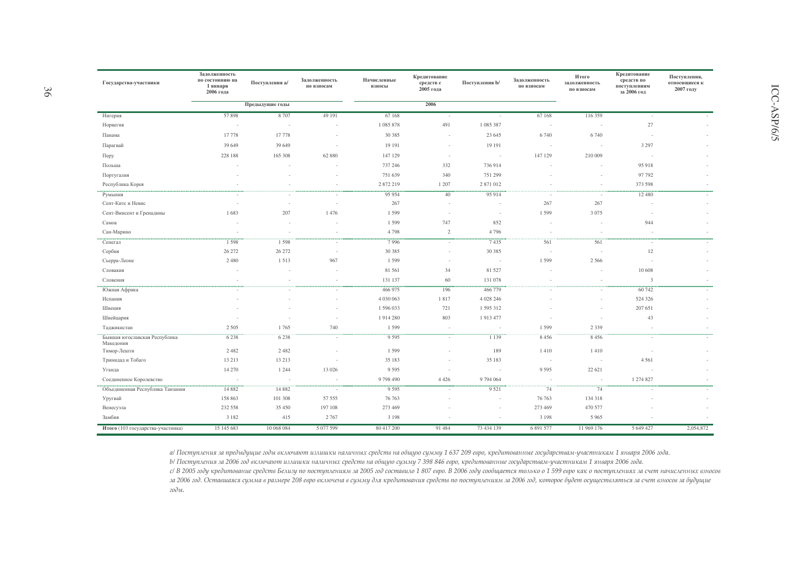| Государства-участники                      | Задолженность<br>по состоянию на<br>1 января<br>2006 года | Поступления а/  | Задолженность<br>по взносам | Начисленные<br>взносы | Кредитование<br>средств с<br>2005 года | Поступления b/           | Задолженность<br>по взносам | Итого<br>задолженность<br>по взносам | Кредитование<br>средств по<br>поступлениям<br>за 2006 год | Поступления,<br>относящиеся к<br>2007 году |
|--------------------------------------------|-----------------------------------------------------------|-----------------|-----------------------------|-----------------------|----------------------------------------|--------------------------|-----------------------------|--------------------------------------|-----------------------------------------------------------|--------------------------------------------|
|                                            |                                                           | Предыдущие годы |                             |                       | 2006                                   |                          |                             |                                      |                                                           |                                            |
| Нигерия                                    | 57898                                                     | 8 7 0 7         | 49 191                      | 67 168                | $\sim$                                 | $\sim$                   | 67 168                      | 116 359                              | $\sim$                                                    |                                            |
| Норвегия                                   |                                                           |                 |                             | 1085878               | 491                                    | 1 085 387                |                             |                                      | 27                                                        |                                            |
| Панама                                     | 17778                                                     | 17778           | ÷                           | 30 385                | - 2                                    | 23 645                   | 6 7 4 0                     | 6 7 4 0                              |                                                           |                                            |
| Парагвай                                   | 39 649                                                    | 39 649          | $\sim$                      | 19 19 1               | $\sim$                                 | 19 19 1                  | $\sim$                      | $\sim$                               | 3 2 9 7                                                   |                                            |
| Перу                                       | 228 188                                                   | 165 308         | 62 880                      | 147 129               | $\sim$                                 | $\sim$                   | 147 129                     | 210 009                              | $\overline{\phantom{a}}$                                  |                                            |
| Польша                                     |                                                           | ۰.              | ÷                           | 737 246               | 332                                    | 736 914                  |                             | ÷                                    | 95 918                                                    |                                            |
| Португалия                                 |                                                           |                 |                             | 751 639               | 340                                    | 751 299                  |                             | $\sim$                               | 97 792                                                    |                                            |
| Республика Корея                           |                                                           |                 | ÷,                          | 2872219               | 1 207                                  | 2 871 012                |                             | $\sim$                               | 373 598                                                   |                                            |
| Румыния                                    | $\sim$                                                    | $\sim$          | $\sim$                      | 95 954                | 40                                     | 95 914                   | $\sim$                      | $\sim$                               | 12 480                                                    | $\sim$                                     |
| Сент-Китс и Невис                          |                                                           | ٠               | $\overline{\phantom{a}}$    | 267                   | $\sim$                                 |                          | 267                         | 267                                  |                                                           |                                            |
| Сент-Винсент и Гренадины                   | 1683                                                      | 207             | 1476                        | 1599                  |                                        |                          | 1599                        | 3 0 7 5                              |                                                           |                                            |
| Самоа                                      |                                                           |                 |                             | 1599                  | 747                                    | 852                      |                             |                                      | 944                                                       |                                            |
| Сан-Марино                                 |                                                           |                 |                             | 4798                  | 2                                      | 4796                     |                             | ٠                                    | ٠                                                         |                                            |
| Сенегал                                    | 1598                                                      | 1598            | ٠                           | 7996                  | $\sim$                                 | 7435                     | 561                         | 561                                  | $\sim$                                                    | $\sim$                                     |
| Сербия                                     | 26 27 2                                                   | 26 27 2         | ٠                           | 30 385                | $\sim$                                 | 30 385                   |                             | ٠                                    | 12                                                        | - 20                                       |
| Сьерра-Леоне                               | 2 4 8 0                                                   | 1513            | 967                         | 1599                  | $\sim$                                 | $\sim$                   | 1599                        | 2 5 6 6                              | $\sim$                                                    |                                            |
| Словакия                                   |                                                           |                 | $\overline{\phantom{a}}$    | 81 561                | 34                                     | 81 5 27                  |                             | $\sim$                               | 10 608                                                    |                                            |
| Словения                                   | ÷                                                         |                 | ÷.                          | 131 137               | 60                                     | 131 078                  |                             | $\sim$                               | 3                                                         | in a                                       |
| Южная Африка                               |                                                           |                 |                             | 466 975               | 196                                    | 466 779                  |                             |                                      | 60 742                                                    |                                            |
| Испания                                    |                                                           |                 | $\overline{\phantom{a}}$    | 4 0 30 0 63           | 1817                                   | 4 028 246                |                             | $\sim$                               | 524 326                                                   |                                            |
| Швеция                                     |                                                           |                 | ÷,                          | 1 596 033             | 721                                    | 1 595 312                |                             |                                      | 207 651                                                   |                                            |
| Швейцария                                  |                                                           |                 | ÷,                          | 1914280               | 803                                    | 1913 477                 |                             | $\sim$                               | 43                                                        |                                            |
| Таджикистан                                | 2 5 0 5                                                   | 1765            | 740                         | 1599                  | $\sim$                                 | ٠.                       | 1599                        | 2 3 3 9                              | $\sim$                                                    |                                            |
| Бывшая югославская Республика<br>Македония | 6 2 3 8                                                   | 6 2 3 8         | $\sim$                      | 9 5 9 5               | $\sim$                                 | 1 1 3 9                  | 8 4 5 6                     | 8 4 5 6                              | $\overline{\phantom{a}}$                                  |                                            |
| Тимор-Лешти                                | 2 4 8 2                                                   | 2 4 8 2         | ÷,                          | 1599                  |                                        | 189                      | 1410                        | 1410                                 |                                                           |                                            |
| Тринидад и Тобаго                          | 13 213                                                    | 13 213          | $\overline{\phantom{a}}$    | 35 183                |                                        | 35 183                   |                             | $\sim$                               | 4561                                                      |                                            |
| Уганда                                     | 14 270                                                    | 1 2 4 4         | 13 0 26                     | 9 5 9 5               |                                        |                          | 9 5 9 5                     | 22 621                               |                                                           |                                            |
| Соединенное Королевство                    | ٠.                                                        | $\sim$          | $\sim$                      | 9 798 490             | 4 4 2 6                                | 9 794 064                |                             | $\sim$                               | 1 274 827                                                 |                                            |
| Объединенная Республика Танзания           | 14 8 8 2                                                  | 14 8 8 2        | $\sim$                      | 9595                  |                                        | 9 5 21                   | 74                          | 74                                   |                                                           |                                            |
| Уругвай                                    | 158 863                                                   | 101 308         | 57 555                      | 76 763                |                                        | $\overline{\phantom{a}}$ | 76 763                      | 134 318                              |                                                           |                                            |
| Венесуэла                                  | 232 558                                                   | 35 450          | 197 108                     | 273 469               |                                        | $\overline{\phantom{a}}$ | 273 469                     | 470 577                              |                                                           |                                            |
| Замбия                                     | 3 1 8 2                                                   | 415             | 2 7 6 7                     | 3 1 9 8               |                                        | $\sim$                   | 3 1 9 8                     | 5 9 6 5                              |                                                           |                                            |
| Итого (103 государства-участника)          | 15 145 683                                                | 10 068 084      | 5 077 599                   | 80 417 200            | 91 484                                 | 73 434 139               | 6 891 577                   | 11 969 176                           | 5 649 427                                                 | 2,054,872                                  |

a/ Поступления за предыдущие годы включают излишки наличных средств на общую сумму 1 637 209 евро, кредитованные государствам-участникам 1 января 2006 года.

b/ Поступления за 2006 год включают излишки наличных средств на общую сумму 7 398 846 евро, кредитованные государствам-участникам 1 января 2006 года.

с/ В 2005 году кредитование средств Белизу по поступлениям за 2005 год составило 1 807 евро. В 2006 году сообщается только о 1 599 евро как о поступлениях за счет начисленных взносов за 2006 год. Оставшаяся сумма в размере 208 евро включена в сумму для кредитования средств по поступлениям за 2006 год, которое будет осуществляться за счет взносов за будущие годы.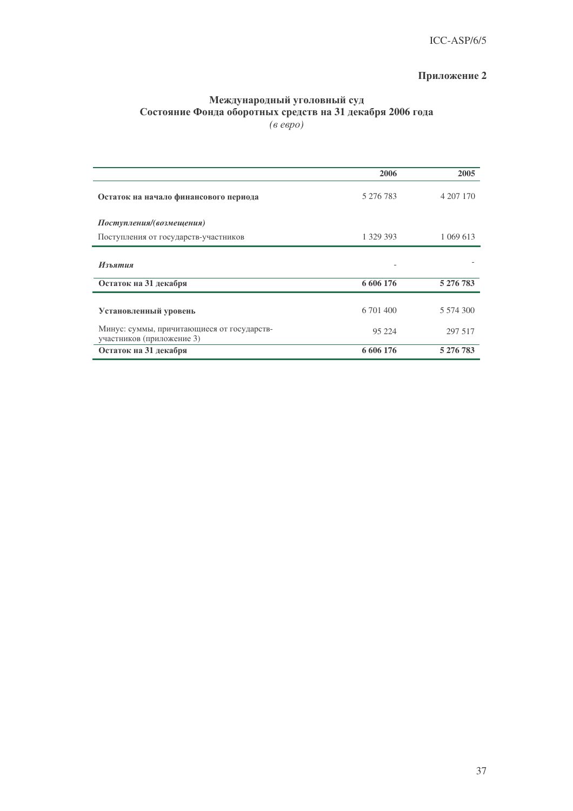## Международный уголовный суд Состояние Фонда оборотных средств на 31 декабря 2006 года (в евро)

|                                                                         | 2006      | 2005          |
|-------------------------------------------------------------------------|-----------|---------------|
| Остаток на начало финансового периода                                   | 5 276 783 | 4 207 170     |
| Поступления/(возмещения)                                                |           |               |
| Поступления от государств-участников                                    | 1 329 393 | 1 069 613     |
| Изъятия                                                                 |           |               |
| Остаток на 31 декабря                                                   | 6 606 176 | 5 276 783     |
| Установленный уровень                                                   | 6 701 400 | 5 5 7 4 3 0 0 |
| Минус: суммы, причитающиеся от государств-<br>участников (приложение 3) | 95 224    | 297 517       |
| Остаток на 31 декабря                                                   | 6 606 176 | 5 276 783     |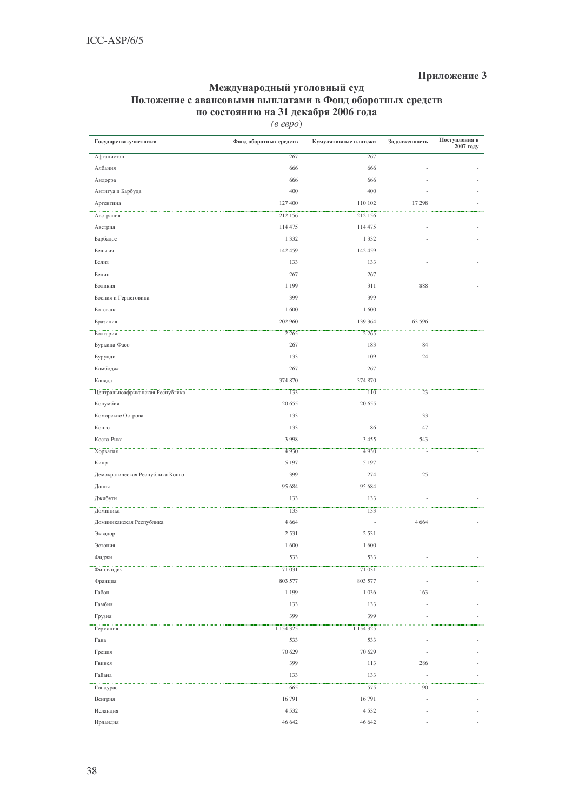# Международный уголовный суд<br>Положение с авансовыми выплатами в Фонд оборотных средств по состоянию на 31 декабря 2006 года

 $(e \text{ } e \text{ } e \text{)}$ 

| Государства-участники              | Фонд оборотных средств | Кумулятивные платежи | Задолженность | Поступления в<br>2007 году |
|------------------------------------|------------------------|----------------------|---------------|----------------------------|
| Афганистан                         | 267                    | 267                  |               |                            |
| Албания                            | 666                    | 666                  |               |                            |
| Андорра                            | 666                    | 666                  |               |                            |
| Антигуа и Барбуда                  | 400                    | 400                  |               |                            |
| Аргентина                          | 127 400                | 110 102              | 17 29 8       |                            |
| ,,,,,,,,,,,,,,,,,,,,,<br>Австралия | 212 156                | 212 156              |               |                            |
| Австрия                            | 114 475                | 114 475              |               |                            |
| Барбадос                           | 1 3 3 2                | 1 3 3 2              |               |                            |
| Бельгия                            | 142 459                | 142 459              |               |                            |
| Белиз                              | 133                    | 133                  |               |                            |
| Бенин                              | 267                    | 267                  |               |                            |
| Боливия                            | 1 1 9 9                | 311                  | 888           |                            |
| Босния и Герцеговина               | 399                    | 399                  |               |                            |
| Ботсвана                           | 1 600                  | 1600                 |               |                            |
| Бразилия                           | 202 960                | 139 364              | 63 596        |                            |
| Болгария                           | 2 2 6 5                | 2 2 6 5              |               |                            |
| Буркина-Фасо                       | 267                    | 183                  | 84            |                            |
| Бурунди                            | 133                    | 109                  | 24            |                            |
| Камбоджа                           | 267                    | 267                  |               |                            |
| Канада                             | 374 870                | 374 870              |               |                            |
| Центральноафриканская Республика   | 133                    | 110                  | 23            |                            |
| Колумбия                           | 20 655                 | 20 655               | ÷,            |                            |
| Коморские Острова                  | 133                    | ÷,                   | 133           |                            |
| Конго                              | 133                    | 86                   | 47            |                            |
| Коста-Рика                         | 3 9 9 8                | 3 4 5 5              | 543           |                            |
| Хорватия                           | 4930                   | 4 9 3 0              |               |                            |
| Кипр                               | 5 1 9 7                | 5 1 9 7              | Î,            |                            |
| Демократическая Республика Конго   | 399                    | 274                  | 125           |                            |
| Дания                              | 95 684                 | 95 684               |               |                            |
| Джибути                            | 133                    | 133                  |               |                            |
| Доминика                           | 133                    | 133                  |               |                            |
| Доминиканская Республика           | 4 6 6 4                |                      | 4 6 6 4       |                            |
| Эквадор                            | 2531                   | 2 5 3 1              |               |                            |
| Эстония                            | 1 600                  | 1 600                |               |                            |
| Фиджи                              | 533                    | 533                  |               |                            |
| Финляндия                          | 71 031                 | 71 031               |               |                            |
| Франция                            | 803 577                | 803 577              |               |                            |
| Габон                              | 1 1 9 9                | $1\;036$             | 163           |                            |
| Гамбия                             | 133                    | 133                  |               |                            |
| Грузия                             | 399                    | 399                  |               |                            |
| Германия                           | 1 154 325              | 1 154 325            |               |                            |
| Гана                               | 533                    | 533                  |               |                            |
| Греция                             | 70 629                 | 70 629               |               |                            |
| Гвинея                             | 399                    | 113                  | 286           |                            |
| Гайана                             | 133                    | 133                  |               |                            |
| Гондурас                           | 665                    | 575                  | 90            |                            |
| Венгрия                            | 16791                  | 16791                |               |                            |
| Исландия                           | 4532                   | 4532                 |               |                            |
| Ирландия                           | 46 642                 | 46 642               |               |                            |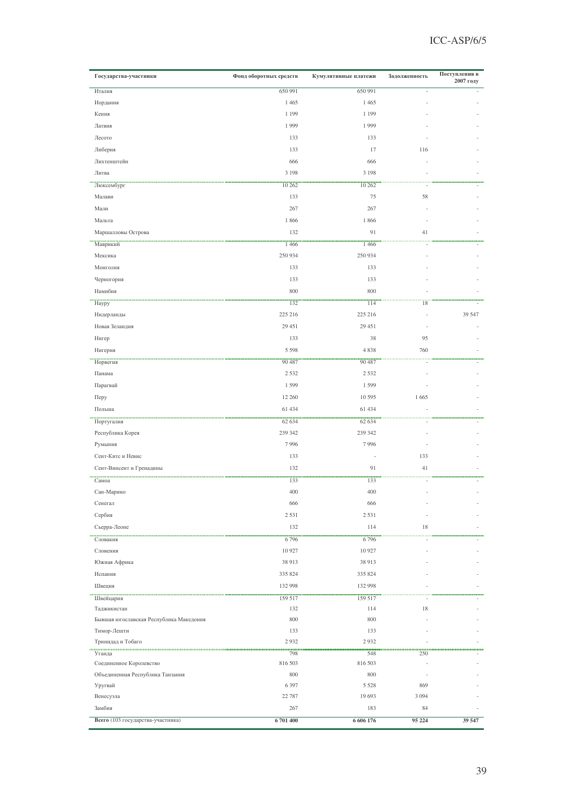| Государства-участники                   | Фонд оборотных средств | Кумулятивные платежи | Задолженность | Поступления в<br>2007 году |
|-----------------------------------------|------------------------|----------------------|---------------|----------------------------|
| Италия                                  | 650 991                | 650 991              |               |                            |
| Иордания                                | 1465                   | 1465                 |               |                            |
| Кения                                   | 1 1 9 9                | 1 1 9 9              |               |                            |
| Латвия                                  | 1999                   | 1999                 |               |                            |
| Лесото                                  | 133                    | 133                  |               |                            |
| Либерия                                 | 133                    | 17                   | 116           |                            |
| Лихтенштейн                             | 666                    | 666                  |               |                            |
| Литва                                   | 3 1 9 8                | 3 1 9 8              |               |                            |
| Люксембург                              | 10 26 2                | 10 26 2              |               |                            |
| Малави                                  | 133                    | 75                   | 58            |                            |
| Мали                                    | 267                    | 267                  |               |                            |
| Мальта                                  | 1866                   | 1866                 |               |                            |
| Маршалловы Острова                      | 132                    | 91                   | 41            |                            |
| Маврикий                                | 1466                   | 1466                 |               |                            |
| Мексика                                 | 250 934                | 250 934              |               |                            |
| Монголия                                | 133                    | 133                  |               |                            |
| Черногория                              | 133                    | 133                  |               |                            |
| Намибия                                 | 800                    | 800                  |               |                            |
| Haypy                                   | 132                    | 114                  | 18            |                            |
| Нидерланды                              | 225 216                | 225 216              |               | 39 547                     |
| Новая Зеландия                          | 29 451                 | 29 451               |               |                            |
| Нигер                                   | 133                    | 38                   | 95            |                            |
| Нигерия                                 | 5 5 9 8                | 4838                 | 760           |                            |
| Норвегия                                | 90 487                 | 90 487               |               |                            |
| Панама                                  | 2532                   | 2 5 3 2              |               |                            |
| Парагвай                                | 1599                   | 1599                 |               |                            |
| Перу                                    | 12 260                 | 10 595               | 1665          |                            |
| Польша                                  | 61 434                 | 61 434               |               |                            |
| Португалия                              | 62 634                 | 62 634               |               |                            |
| Республика Корея                        | 239 342                | 239 342              |               |                            |
| Румыния                                 | 7996                   | 7996                 |               |                            |
| Сент-Китс и Невис                       | 133                    |                      | 133           |                            |
| Сент-Винсент и Гренадины                | 132                    | 91                   | 41            |                            |
| Самоа                                   | 133                    | 133                  |               |                            |
| Сан-Марино                              | 400                    | 400                  |               |                            |
| Сенегал                                 | 666                    | 666                  |               |                            |
| Сербия                                  | 2531                   | 2531                 |               |                            |
| Сьерра-Леоне                            | 132                    | 114                  | 18            |                            |
| Словакия                                | 6796                   | 6796                 |               |                            |
| Словения                                | 10 9 27                | 10 9 27              |               |                            |
| Южная Африка                            | 38 913                 | 38 913               |               |                            |
| Испания                                 | 335 824                | 335 824              |               |                            |
|                                         |                        |                      |               |                            |
| Швеция                                  | 132 998                | 132 998              |               |                            |
| Швейцария<br>Таджикистан                | 159 517<br>132         | 159 517<br>114       | 18            |                            |
| Бывшая югославская Республика Македония | 800                    | 800                  |               |                            |
| Тимор-Лешти                             | 133                    | 133                  |               |                            |
| Тринидад и Тобаго                       | 2932                   | 2932                 |               |                            |
| <br>Уганда                              | 798                    | 548                  | 250           |                            |
| Соединенное Королевство                 | 816 503                | 816 503              |               |                            |
| Объединенная Республика Танзания        | 800                    | 800                  | ÷,            |                            |
| Уругвай                                 | 6 3 9 7                | 5 5 2 8              | 869           |                            |
| Венесуэла                               | 22 787                 | 19 693               | 3 0 9 4       |                            |
| Замбия                                  | 267                    | 183                  | 84            |                            |
| Всего (103 государства-участника)       | 6701400                | 6 606 176            | 95 224        | 39 547                     |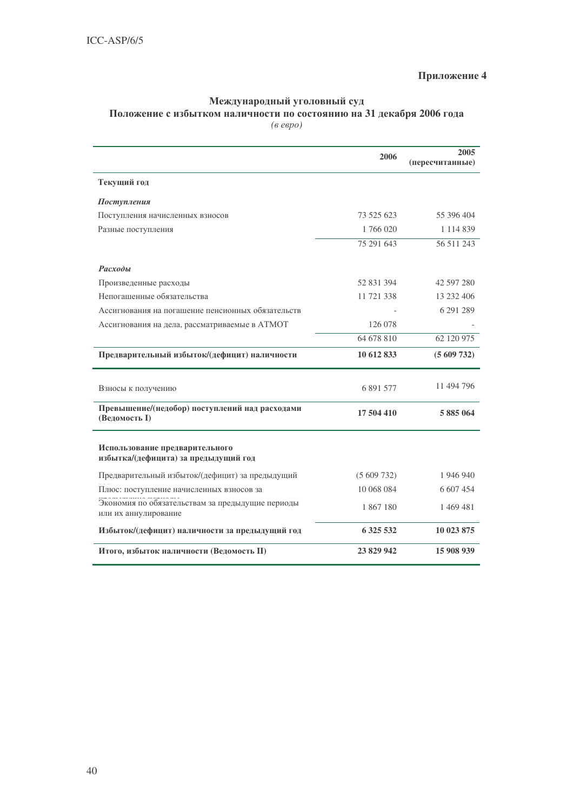#### Международный уголовный суд Положение с избытком наличности по состоянию на 31 декабря 2006 года (в евро)

|                                                                          | 2006       | 2005<br>(пересчитанные) |
|--------------------------------------------------------------------------|------------|-------------------------|
| Текущий год                                                              |            |                         |
| Поступления                                                              |            |                         |
| Поступления начисленных взносов                                          | 73 525 623 | 55 396 404              |
| Разные поступления                                                       | 1766020    | 1 1 1 4 8 3 9           |
|                                                                          | 75 291 643 | 56 511 243              |
| Расходы                                                                  |            |                         |
| Произведенные расходы                                                    | 52 831 394 | 42 597 280              |
| Непогашенные обязательства                                               | 11 721 338 | 13 232 406              |
| Ассигнования на погашение пенсионных обязательств                        |            | 6 291 289               |
| Ассигнования на дела, рассматриваемые в АТМОТ                            | 126 078    |                         |
|                                                                          | 64 678 810 | 62 120 975              |
| Предварительный избыток/(дефицит) наличности                             | 10 612 833 | (5609732)               |
| Взносы к получению                                                       | 6891577    | 11 494 796              |
| Превышение/(недобор) поступлений над расходами<br>(Ведомость I)          | 17 504 410 | 5885064                 |
| Использование предварительного<br>избытка/(дефицита) за предыдущий год   |            |                         |
| Предварительный избыток/(дефицит) за предыдущий                          | (5609732)  | 1 946 940               |
| Плюс: поступление начисленных взносов за                                 | 10 068 084 | 6 607 454               |
| Экономия по обязательствам за предыдущие периоды<br>или их аннулирование | 1 867 180  | 1469481                 |
| Избыток/(дефицит) наличности за предыдущий год                           | 6 325 532  | 10 023 875              |
| Итого, избыток наличности (Ведомость II)                                 | 23 829 942 | 15 908 939              |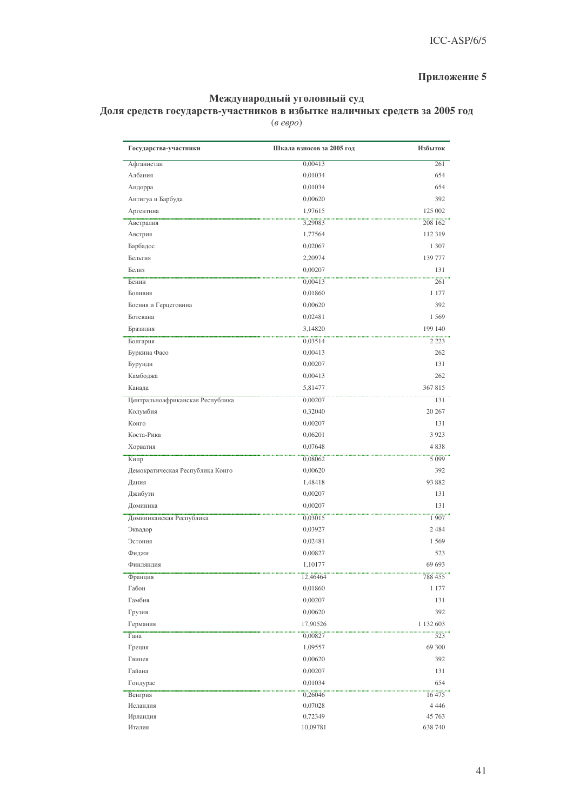# Международный уголовный суд

## Доля средств государств-участников в избытке наличных средств за 2005 год  $($ вевро $)$

| Государства-участники            | Шкала взносов за 2005 год | Избыток   |
|----------------------------------|---------------------------|-----------|
| Афганистан                       | 0,00413                   | 261       |
| Албания                          | 0,01034                   | 654       |
| Андорра                          | 0,01034                   | 654       |
| Антигуа и Барбуда                | 0,00620                   | 392       |
| Аргентина                        | 1,97615                   | 125 002   |
| Австралия                        | 3,29083                   | 208 162   |
| Австрия                          | 1,77564                   | 112 319   |
| Барбадос                         | 0,02067                   | 1 307     |
| Бельгия                          | 2,20974                   | 139 777   |
| Белиз                            | 0,00207                   | 131       |
| Бенин                            | 0,00413                   | 261       |
| Боливия                          | 0,01860                   | 1 1 7 7   |
| Босния и Герцеговина             | 0,00620                   | 392       |
| Ботсвана                         | 0,02481                   | 1569      |
| Бразилия                         | 3,14820                   | 199 140   |
| Болгария                         | 0,03514                   | 2 223     |
| Буркина Фасо                     | 0,00413                   | 262       |
| Бурунди                          | 0,00207                   | 131       |
| Камбоджа                         | 0,00413                   | 262       |
| Канада                           | 5,81477                   | 367815    |
| Центральноафриканская Республика | 0,00207                   | 131       |
| Колумбия                         | 0,32040                   | 20 267    |
| Конго                            | 0,00207                   | 131       |
| Коста-Рика                       | 0,06201                   | 3923      |
| Хорватия                         | 0,07648                   | 4838      |
| Кипр                             | 0,08062                   | 5 0 9 9   |
| Демократическая Республика Конго | 0,00620                   | 392       |
| Дания                            | 1,48418                   | 93 882    |
| Джибути                          | 0,00207                   | 131       |
| Доминика                         | 0,00207                   | 131       |
| Доминиканская Республика         | 0,03015                   | 1907      |
| Эквадор                          | 0,03927                   | 2484      |
| Эстония                          | 0,02481                   | 1569      |
| Фиджи                            | 0,00827                   | 523       |
| Финляндия                        | 1,10177                   | 69 693    |
| Франция                          | 12,46464                  | 788 455   |
| Габон                            | 0,01860                   | 1 1 7 7   |
| Гамбия                           | 0,00207                   | 131       |
| Грузия                           | 0,00620                   | 392       |
| Германия                         | 17,90526                  | 1 132 603 |
| Гана                             | 0,00827                   | 523       |
| Греция                           | 1,09557                   | 69 300    |
| Гвинея                           | 0,00620                   | 392       |
| Гайана                           | 0,00207                   | 131       |
| Гондурас                         | 0,01034                   | 654       |
| Венгрия                          | 0,26046                   | 16 475    |
| Исландия                         | 0,07028                   | 4 4 4 6   |
| Ирландия                         | 0,72349                   | 45 763    |
| Италия                           | 10,09781                  | 638 740   |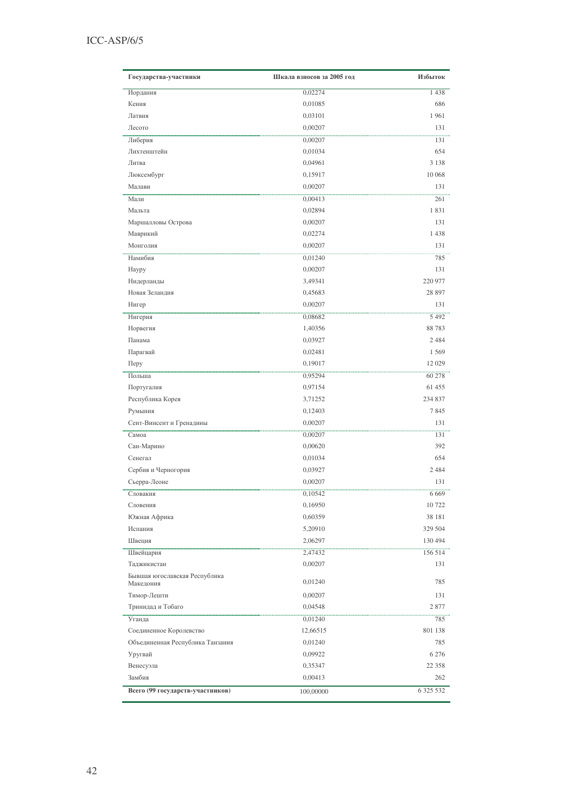| Государства-участники                      | Шкала взносов за 2005 год | Избыток            |
|--------------------------------------------|---------------------------|--------------------|
| Иордания                                   | 0,02274                   | 1438               |
| Кения                                      | 0,01085                   | 686                |
| Латвия                                     | 0,03101                   | 1961               |
| Лесото                                     | 0,00207                   | 131                |
| Либерия                                    | 0,00207                   | 131                |
| Лихтенштейн                                | 0,01034                   | 654                |
| Литва                                      | 0,04961                   | 3 1 3 8            |
| Люксембург                                 | 0,15917                   | 10 068             |
| Малави                                     | 0,00207                   | 131                |
| Мали                                       | 0,00413                   | 261                |
| Мальта                                     | 0,02894                   | 1831               |
| Маршалловы Острова                         | 0,00207                   | 131                |
| Маврикий                                   | 0,02274                   | 1438               |
| Монголия                                   | 0,00207                   | 131                |
| Намибия                                    | 0,01240                   | 785                |
| Haypy                                      | 0,00207                   | 131                |
| Нидерланды                                 | 3,49341                   | 220 977            |
| Новая Зеландия                             | 0,45683                   | 28 897             |
| Нигер                                      | 0,00207                   | 131                |
| Нигерия                                    | 0,08682                   | 5 4 9 2            |
| Норвегия                                   | 1,40356                   | 88783              |
| Панама                                     | 0,03927                   | 2484               |
| Парагвай                                   | 0,02481                   | 1569               |
| Перу                                       | 0,19017                   | 12 0 29            |
| Польша                                     | 0,95294                   | 60 278             |
| Португалия                                 | 0,97154                   | 61 455             |
| Республика Корея                           | 3,71252                   | 234 837            |
| Румыния                                    | 0,12403                   | 7845               |
| Сент-Винсент и Гренадины                   | 0,00207                   | 131                |
| Самоа                                      | 0,00207                   | 131                |
| Сан-Марино                                 | 0,00620                   | 392                |
| Сенегал                                    | 0,01034                   | 654                |
| Сербия и Черногория                        | 0,03927                   | 2 4 8 4            |
| Сьерра-Леоне                               | 0,00207                   | 131                |
|                                            |                           |                    |
| Словакия                                   | 0,10542                   | 6 6 6 9            |
| Словения                                   | 0,16950                   | 10722              |
| Южная Африка<br>Испания                    | 0,60359                   | 38 181             |
| Швеция                                     | 5,20910<br>2,06297        | 329 504<br>130 494 |
|                                            |                           | 156 514            |
| Швейцария<br>Таджикистан                   | 2,47432                   | 131                |
|                                            | 0,00207                   |                    |
| Бывшая югославская Республика<br>Македония | 0,01240                   | 785                |
| Тимор-Лешти                                | 0,00207                   | 131                |
| Тринидад и Тобаго                          | 0,04548                   | 2877               |
| Уганда                                     | 0,01240                   | 785                |
| Соединенное Королевство                    | 12,66515                  | 801 138            |
| Объединенная Республика Танзания           | 0,01240                   | 785                |
| Уругвай                                    | 0,09922                   | 6 2 7 6            |
| Венесуэла                                  | 0,35347                   | 22 358             |
| Замбия                                     | 0,00413                   | 262                |
| Всего (99 государств-участников)           | 100,00000                 | 6 3 25 5 32        |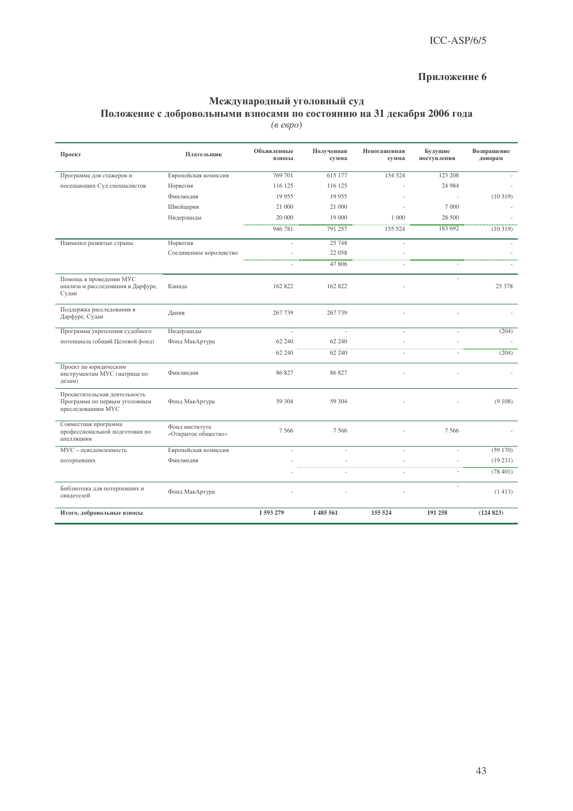#### Международный уголовный суд Положение с добровольными взносами по состоянию на 31 декабря 2006 года (в евро)

**Проект** кт **Плательщик** Объявленные взносы Полученная сумма Непогашенная сумма Будущие поступления Возвращение донорам Программа для стажеров и Программа с Европейская комиссия СА 769 701 615 177 154 524 123 208 посещающих Суд специалистов Норвегия 116 125 116 125 - 24 984 # 19 955 19 955 - - (10 319) ; \$
 21 000 21 000 - 7 000 -  20 000 19 000 1 000 28 500 - 946 781 791 257 155 524 183 692 (10 319) наименее развитые страны Норвегия **- 25 748** Соединенное королевство и совмещение с 22 058 - 47 806 - - - Помощь в проведении МУС анализа и расследования в Дарфуре, Судан , 162 822 162 822 - - 25 378 Поддержка расследования <mark>в</mark><br>Дарфуре, Судан !
 267 739 267 739 - - - Программа укрепления судебного ного Нидерланды (204) на селото на селото на селото на селото на селото на селото на селото на селото (204) \$ ( \* %) # & 62 240 62 240 - - - 62 240 - (204) Проект по юридическим<br>инструментам МУС (матрица по<br>делам) # 86 827 86 827 - - - Просветительская деятельность Программа по первым уголовным<br>преследованиям МУС # & 59 304 59 304 - - (9 108) Совместная программа профессиональной подготовки по апелляциям Фонд института «Открытое общество» 7 566 7 566 - 7 566 -  $Myc -$ осведомленность Европейская комиссия **1994 1994 1995 1996 1996 1996 1996 1996 1996 1996 1996 1996 1996 1996 1996 1996 1996 1996 1996 1996 1996 1996 1996 1996 1996 1996 1996 1996 199** . # - - - - (19 231)  $-$  (78 401) Библиотека для потерпевших и свилетелей Фонд МакАртура и последните се при подразни селото на селото на селото на селото на селото на селото на селото н - (1 413) Итого, добровольные взносы **1 593 279 1 485 561 155 524 191 258 (124 823)**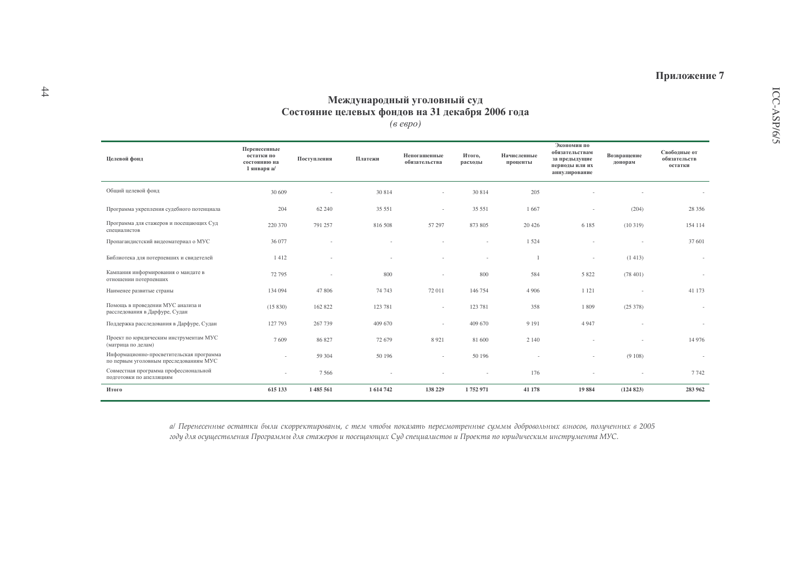# Международный уголовный суд Состояние целевых фондов на 31 декабря 2006 года

 $(6 \text{~e}$ gpo $)$ 

| Целевой фонд                                                                       | Перенесенные<br>остатки по<br>состоянию на<br>1 января а/ | Поступления              | Платежи | Непогашенные<br>обязательства | Итого,<br>расходы | Начисленные<br>проценты  | Экономия по<br>обязательствам<br>за предыдущие<br>периоды или их<br>аннулирование | Возвращение<br>донорам | Своболные от<br>обязательств<br>остатки |
|------------------------------------------------------------------------------------|-----------------------------------------------------------|--------------------------|---------|-------------------------------|-------------------|--------------------------|-----------------------------------------------------------------------------------|------------------------|-----------------------------------------|
| Общий целевой фонд                                                                 | 30 609                                                    |                          | 30 814  |                               | 30 814            | 205                      |                                                                                   |                        |                                         |
| Программа укрепления судебного потенциала                                          | 204                                                       | 62 240                   | 35 551  |                               | 35 551            | 1667                     | $\overline{\phantom{a}}$                                                          | (204)                  | 28 3 5 6                                |
| Программа для стажеров и посещающих Суд<br>специалистов                            | 220 370                                                   | 791 257                  | 816 508 | 57 297                        | 873 805           | 20 4 26                  | 6 1 8 5                                                                           | (10319)                | 154 114                                 |
| Пропагандистский видеоматериал о МУС                                               | 36 077                                                    |                          |         |                               |                   | 1 5 2 4                  |                                                                                   | ÷                      | 37 601                                  |
| Библиотека для потерпевших и свидетелей                                            | 1412                                                      | $\overline{\phantom{a}}$ | ÷       |                               | ٠                 |                          | ٠                                                                                 | (1413)                 | $\sim$                                  |
| Кампания информирования о мандате в<br>отношении потерпевших                       | 72 795                                                    |                          | 800     |                               | 800               | 584                      | 5 8 2 2                                                                           | (78, 401)              | $\overline{\phantom{a}}$                |
| Наименее развитые страны                                                           | 134 094                                                   | 47 806                   | 74 743  | 72 011                        | 146 754           | 4 9 0 6                  | 1 1 2 1                                                                           |                        | 41 173                                  |
| Помощь в проведении МУС анализа и<br>расследования в Дарфуре, Судан                | (15830)                                                   | 162 822                  | 123 781 | $\sim$                        | 123 781           | 358                      | 1809                                                                              | (25378)                | ٠                                       |
| Поддержка расследования в Дарфуре, Судан                                           | 127 793                                                   | 267 739                  | 409 670 |                               | 409 670           | 9 1 9 1                  | 4 9 4 7                                                                           |                        | $\overline{\phantom{a}}$                |
| Проект по юридическим инструментам МУС<br>(матрица по делам)                       | 7609                                                      | 86 827                   | 72 679  | 8 9 2 1                       | 81 600            | 2 1 4 0                  |                                                                                   |                        | 14 976                                  |
| Информационно-просветительская программа<br>по первым уголовным преследованиям МУС | $\sim$                                                    | 59 304                   | 50 196  | $\sim$                        | 50 196            | $\overline{\phantom{a}}$ | ٠                                                                                 | (9108)                 | ٠                                       |
| Совместная программа профессиональной<br>подготовки по апелляциям                  |                                                           | 7566                     |         |                               |                   | 176                      |                                                                                   | ٠                      | 7742                                    |
| Итого                                                                              | 615 133                                                   | 1485 561                 | 1614742 | 138 229                       | 1752971           | 41 178                   | 19884                                                                             | (124823)               | 283 962                                 |

а/ Перенесенные остатки были скорректированы, с тем чтобы показать пересмотренные суммы добровольных взносов, полученных в 2005 году для осуществления Программы для стажеров и посещающих Суд специалистов и Проекта по юридическим инструмента МУС.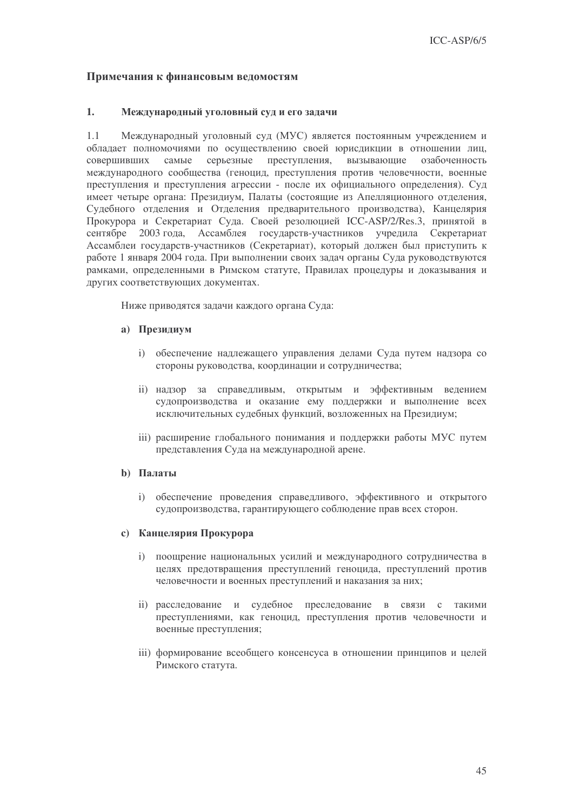## Примечания к финансовым ведомостям

#### $1<sup>1</sup>$ Международный уголовный суд и его задачи

Международный уголовный суд (МУС) является постоянным учреждением и  $11$ обладает полномочиями по осуществлению своей юрисдикции в отношении лиц, совершивших самые серьезные преступления, вызывающие озабоченность международного сообщества (геноцид, преступления против человечности, военные преступления и преступления агрессии - после их официального определения). Суд имеет четыре органа: Президиум, Палаты (состоящие из Апелляционного отделения, Судебного отделения и Отделения предварительного производства), Канцелярия Прокурора и Секретариат Суда. Своей резолюцией ICC-ASP/2/Res.3, принятой в сентябре 2003 года, Ассамблея государств-участников учредила Секретариат Ассамблеи государств-участников (Секретариат), который должен был приступить к работе 1 января 2004 года. При выполнении своих задач органы Суда руководствуются рамками, определенными в Римском статуте. Правилах процедуры и доказывания и лругих соответствующих локументах.

Ниже приводятся задачи каждого органа Суда:

#### а) Президиум

- і) обеспечение надлежащего управления делами Суда путем надзора со стороны руководства, координации и сотрудничества;
- іі) надзор за справедливым, открытым и эффективным ведением судопроизводства и оказание ему поддержки и выполнение всех исключительных судебных функций, возложенных на Президиум;
- ііі) расширение глобального понимания и поддержки работы МУС путем представления Суда на международной арене.

#### **b**) Палаты

і) обеспечение проведения справедливого, эффективного и открытого судопроизводства, гарантирующего соблюдение прав всех сторон.

#### с) Канцелярия Прокурора

- і) поощрение национальных усилий и международного сотрудничества в целях предотвращения преступлений геноцида, преступлений против человечности и военных преступлений и наказания за них:
- іі) расследование и судебное преследование в связи с такими преступлениями, как геноцид, преступления против человечности и военные преступления;
- iii) формирование всеобщего консенсуса в отношении принципов и целей Римского статута.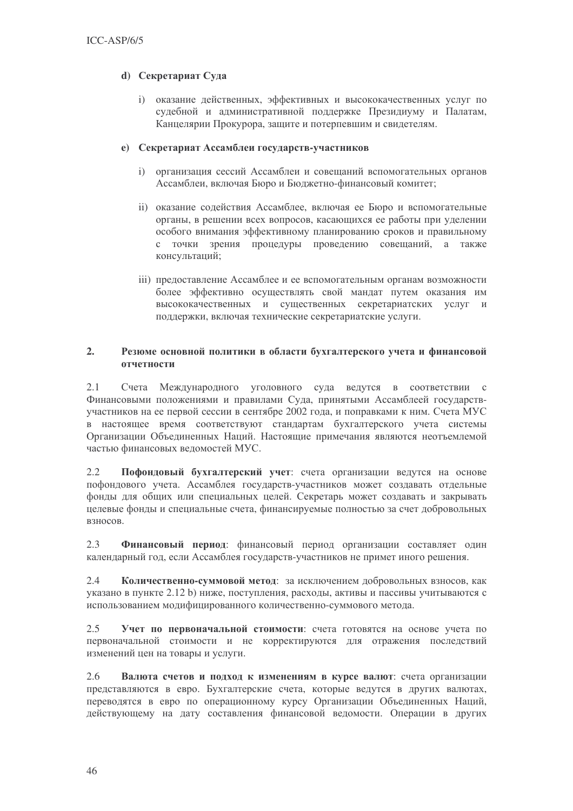## d) Секретариат Суда

і) оказание действенных, эффективных и высококачественных услуг по судебной и административной поддержке Президиуму и Палатам. Канцелярии Прокурора, защите и потерпевшим и свидетелям.

#### е) Секретариат Ассамблеи государств-участников

- і) организация сессий Ассамблеи и совещаний вспомогательных органов Ассамблеи, включая Бюро и Бюджетно-финансовый комитет;
- іі) оказание содействия Ассамблее, включая ее Бюро и вспомогательные органы, в решении всех вопросов, касающихся ее работы при уделении особого внимания эффективному планированию сроков и правильному с точки зрения процедуры проведению совещаний, а также консультаций;
- iii) предоставление Ассамблее и ее вспомогательным органам возможности более эффективно осуществлять свой мандат путем оказания им высококачественных и существенных секретариатских услуг и поддержки, включая технические секретариатские услуги.

#### $2.$ Резюме основной политики в области бухгалтерского учета и финансовой отчетности

Счета Международного уголовного суда ведутся в соответствии с  $2<sub>1</sub>$ Финансовыми положениями и правилами Суда, принятыми Ассамблеей государствучастников на ее первой сессии в сентябре 2002 года, и поправками к ним. Счета МУС в настоящее время соответствуют стандартам бухгалтерского учета системы Организации Объединенных Наций. Настоящие примечания являются неотъемлемой частью финансовых ведомостей МУС.

Пофондовый бухгалтерский учет: счета организации ведутся на основе  $2.2$ пофондового учета. Ассамблея государств-участников может создавать отдельные фонды для общих или специальных целей. Секретарь может создавать и закрывать целевые фонды и специальные счета, финансируемые полностью за счет добровольных взносов.

 $2.3$ Финансовый период: финансовый период организации составляет один календарный год, если Ассамблея государств-участников не примет иного решения.

2.4 Количественно-суммовой метод: за исключением добровольных взносов, как указано в пункте 2.12 b) ниже, поступления, расходы, активы и пассивы учитываются с использованием модифицированного количественно-суммового метода.

 $2.5$ Учет по первоначальной стоимости: счета готовятся на основе учета по первоначальной стоимости и не корректируются для отражения последствий изменений цен на товары и услуги.

2.6 Валюта счетов и подход к изменениям в курсе валют: счета организации представляются в евро. Бухгалтерские счета, которые ведутся в других валютах, переводятся в евро по операционному курсу Организации Объединенных Наций, лействующему на лату составления финансовой веломости. Операции в лругих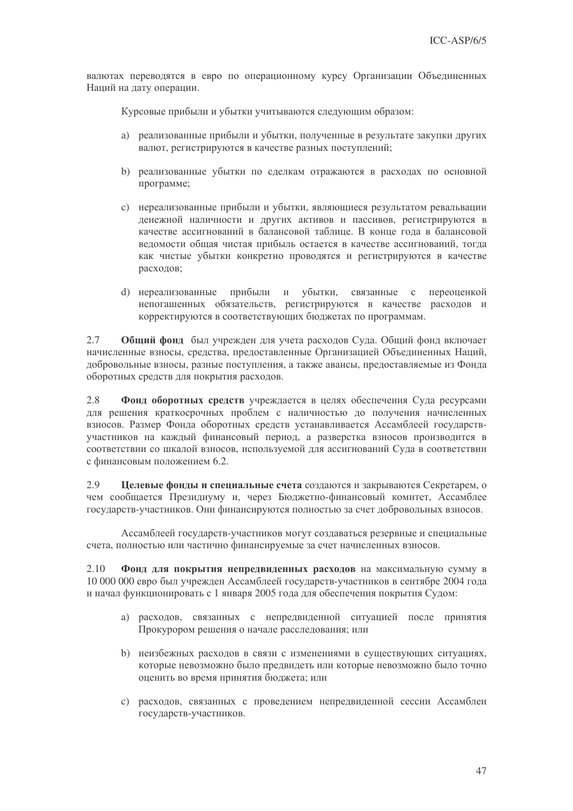валютах переводятся в евро по операционному курсу Организации Объединенных Наций на дату операции.

Курсовые прибыли и убытки учитываются следующим образом:

- а) реализованные прибыли и убытки, полученные в результате закупки других валют, регистрируются в качестве разных поступлений;
- b) реализованные убытки по сделкам отражаются в расходах по основной программе;
- с) нереализованные прибыли и убытки, являющиеся результатом ревальвации денежной наличности и других активов и пассивов, регистрируются в качестве ассигнований в балансовой таблице. В конце года в балансовой веломости обшая чистая прибыль остается в качестве ассигнований, тогла как чистые убытки конкретно проводятся и регистрируются в качестве расходов;
- d) нереализованные прибыли и убытки, связанные с переоценкой непогашенных обязательств, регистрируются в качестве расходов и корректируются в соответствующих бюджетах по программам.

2.7 Общий фонд был учрежден для учета расходов Суда. Общий фонд включает начисленные взносы, средства, предоставленные Организацией Объединенных Наций, добровольные взносы, разные поступления, а также авансы, предоставляемые из Фонда оборотных средств для покрытия расходов.

2.8 Фонд оборотных средств учреждается в целях обеспечения Суда ресурсами для решения краткосрочных проблем с наличностью до получения начисленных взносов. Размер Фонда оборотных средств устанавливается Ассамблеей государствучастников на каждый финансовый период, а разверстка взносов производится в соответствии со шкалой взносов, используемой для ассигнований Суда в соответствии с финансовым положением 6.2.

 $2.9$ Целевые фонды и специальные счета создаются и закрываются Секретарем, о чем сообщается Президиуму и, через Бюджетно-финансовый комитет, Ассамблее государств-участников. Они финансируются полностью за счет добровольных взносов.

Ассамблеей государств-участников могут создаваться резервные и специальные счета, полностью или частично финансируемые за счет начисленных взносов.

 $2.10$ Фонд для покрытия непредвиденных расходов на максимальную сумму в 10 000 000 евро был учрежден Ассамблеей государств-участников в сентябре 2004 года и начал функционировать с 1 января 2005 года для обеспечения покрытия Судом:

- а) расходов, связанных с непредвиденной ситуацией после принятия Прокурором решения о начале расследования; или
- b) неизбежных расходов в связи с изменениями в существующих ситуациях, которые невозможно было предвидеть или которые невозможно было точно оценить во время принятия бюджета; или
- с) расходов, связанных с проведением непредвиденной сессии Ассамблеи государств-участников.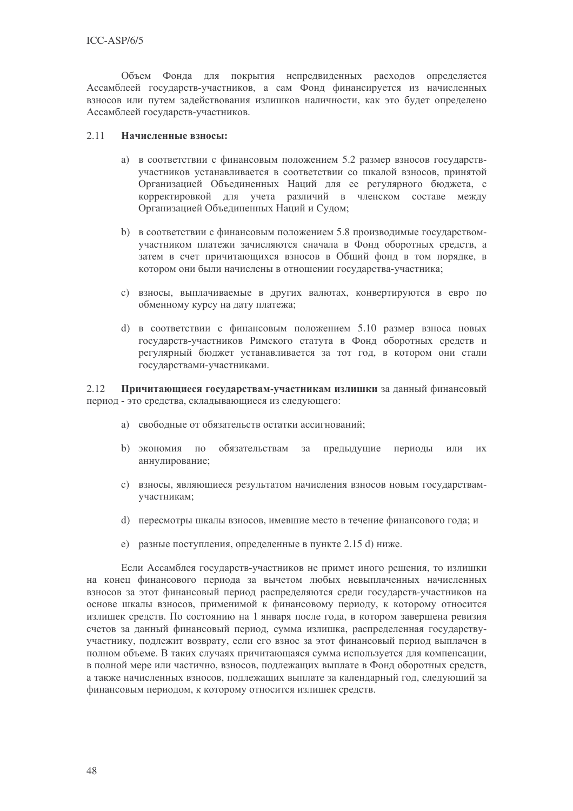#### $ICC-ASP/6/5$

Объем Фонда для покрытия непредвиденных расходов определяется Ассамблеей государств-участников, а сам Фонд финансируется из начисленных взносов или путем задействования излишков наличности, как это будет определено Ассамблеей государств-участников.

#### $2.11$ Начисленные взносы:

- а) в соответствии с финансовым положением 5.2 размер взносов государствучастников устанавливается в соответствии со шкалой взносов, принятой Организацией Объединенных Наций для ее регулярного бюджета, с корректировкой для учета различий в членском составе между Организацией Объелиненных Наций и Судом:
- b) в соответствии с финансовым положением 5.8 производимые государствомучастником платежи зачисляются сначала в Фонд оборотных средств, а затем в счет причитающихся взносов в Общий фонд в том порядке, в котором они были начислены в отношении государства-участника;
- с) взносы, выплачиваемые в других валютах, конвертируются в евро по обменному курсу на дату платежа;
- d) в соответствии с финансовым положением 5.10 размер взноса новых государств-участников Римского статута в Фонд оборотных средств и регулярный бюджет устанавливается за тот год, в котором они стали государствами-участниками.

2.12 Причитающиеся государствам-участникам излишки за данный финансовый период - это средства, складывающиеся из следующего:

- а) свободные от обязательств остатки ассигнований;
- b) экономия по обязательствам за предыдущие периоды или их аннулирование;
- с) взносы, являющиеся результатом начисления взносов новым государствамучастникам;
- d) пересмотры шкалы взносов, имевшие место в течение финансового года; и
- е) разные поступления, определенные в пункте 2.15 d) ниже.

Если Ассамблея государств-участников не примет иного решения, то излишки на конец финансового периода за вычетом любых невыплаченных начисленных взносов за этот финансовый период распределяются среди государств-участников на основе шкалы взносов, применимой к финансовому периоду, к которому относится излишек средств. По состоянию на 1 января после года, в котором завершена ревизия счетов за данный финансовый период, сумма излишка, распределенная государствуучастнику, подлежит возврату, если его взнос за этот финансовый период выплачен в полном объеме. В таких случаях причитающаяся сумма используется для компенсации, в полной мере или частично, взносов, подлежащих выплате в Фонд оборотных средств, а также начисленных взносов, подлежащих выплате за календарный год, следующий за финансовым периодом, к которому относится излишек средств.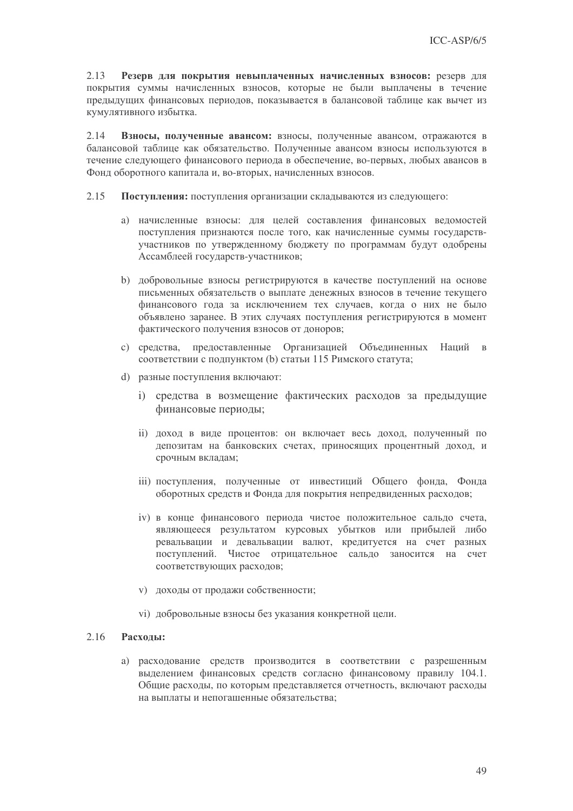2.13 Резерв для покрытия невыплаченных начисленных взносов: резерв для покрытия суммы начисленных взносов, которые не были выплачены в течение предыдущих финансовых периодов, показывается в балансовой таблице как вычет из кумулятивного избытка.

 $2.14$ Взносы, полученные авансом: взносы, полученные авансом, отражаются в балансовой таблице как обязательство. Полученные авансом взносы используются в течение следующего финансового периода в обеспечение, во-первых, любых авансов в Фонд оборотного капитала и, во-вторых, начисленных взносов.

#### 2.15 Поступления: поступления организации складываются из следующего:

- а) начисленные взносы: для целей составления финансовых ведомостей поступления признаются после того, как начисленные суммы государствучастников по утвержденному бюджету по программам будут одобрены Ассамблеей государств-участников;
- b) добровольные взносы регистрируются в качестве поступлений на основе письменных обязательств о выплате денежных взносов в течение текущего финансового года за исключением тех случаев, когда о них не было объявлено заранее. В этих случаях поступления регистрируются в момент фактического получения взносов от доноров;
- с) средства, предоставленные Организацией Объединенных Наций  $\overline{B}$ соответствии с подпунктом (b) статьи 115 Римского статута;
- d) разные поступления включают:
	- i) средства в возмещение фактических расходов за предыдущие финансовые периоды;
	- іі) доход в виде процентов: он включает весь доход, полученный по депозитам на банковских счетах, приносящих процентный доход, и срочным вкладам;
	- ії) поступления, полученные от инвестиций Общего фонда, Фонда оборотных средств и Фонда для покрытия непредвиденных расходов;
	- іv) в конце финансового периода чистое положительное сальдо счета, являющееся результатом курсовых убытков или прибылей либо ревальвации и девальвации валют, кредитуется на счет разных поступлений. Чистое отрицательное сальдо заносится на счет соответствующих расходов;
	- v) доходы от продажи собственности;
	- vi) добровольные взносы без указания конкретной цели.

#### $2.16$ Расходы:

а) расходование средств производится в соответствии с разрешенным выделением финансовых средств согласно финансовому правилу 104.1. Общие расходы, по которым представляется отчетность, включают расходы на выплаты и непогашенные обязательства: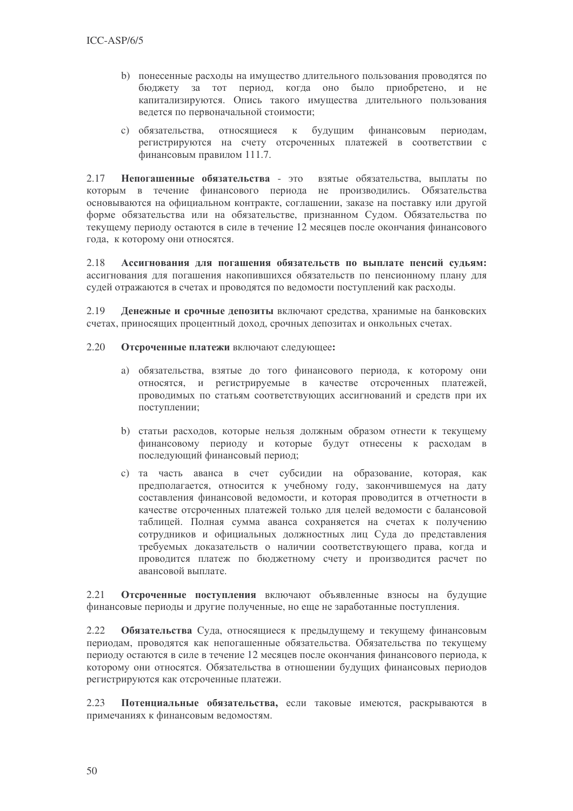- b) понесенные расходы на имущество длительного пользования проводятся по за тот период, когда оно было приобретено, и не бюджету капитализируются. Опись такого имущества длительного пользования ведется по первоначальной стоимости;
- относящиеся будущим финансовым с) обязательства,  $\mathbf{K}$ периодам, регистрируются на счету отсроченных платежей в соответствии с финансовым правилом 111.7.

Непогашенные обязательства - это 2.17 взятые обязательства, выплаты по которым в течение финансового периода не производились. Обязательства основываются на официальном контракте, соглашении, заказе на поставку или другой форме обязательства или на обязательстве, признанном Судом. Обязательства по текущему периоду остаются в силе в течение 12 месяцев после окончания финансового года, к которому они относятся.

2.18 Ассигнования для погашения обязательств по выплате пенсий судьям: ассигнования для погашения накопившихся обязательств по пенсионному плану для судей отражаются в счетах и проводятся по ведомости поступлений как расходы.

2.19 Денежные и срочные депозиты включают средства, хранимые на банковских счетах, приносящих процентный доход, срочных депозитах и онкольных счетах.

#### $2.20$ Отсроченные платежи включают следующее:

- а) обязательства, взятые до того финансового периода, к которому они относятся, и регистрируемые в качестве отсроченных платежей, проводимых по статьям соответствующих ассигнований и средств при их поступлении;
- b) статьи расходов, которые нельзя должным образом отнести к текущему финансовому периоду и которые будут отнесены к расходам в последующий финансовый период;
- с) та часть аванса в счет субсидии на образование, которая, как предполагается, относится к учебному году, закончившемуся на дату составления финансовой ведомости, и которая проводится в отчетности в качестве отсроченных платежей только для целей ведомости с балансовой таблицей. Полная сумма аванса сохраняется на счетах к получению сотрудников и официальных должностных лиц Суда до представления требуемых доказательств о наличии соответствующего права, когда и проводится платеж по бюджетному счету и производится расчет по авансовой выплате.

Отсроченные поступления включают объявленные взносы на будущие  $2.21$ финансовые периоды и другие полученные, но еще не заработанные поступления.

 $2.22$ Обязательства Суда, относящиеся к предыдущему и текущему финансовым периодам, проводятся как непогашенные обязательства. Обязательства по текущему периоду остаются в силе в течение 12 месяцев после окончания финансового периода, к которому они относятся. Обязательства в отношении будущих финансовых периодов регистрируются как отсроченные платежи.

Потенциальные обязательства, если таковые имеются, раскрываются в  $2.23$ примечаниях к финансовым ведомостям.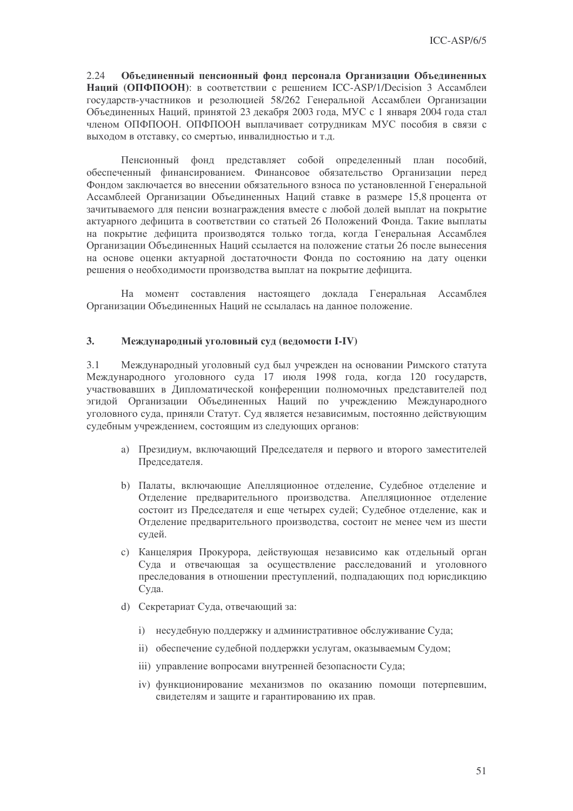2.24 Объединенный пенсионный фонд персонала Организации Объединенных Наций (ОПФПООН): в соответствии с решением ICC-ASP/1/Decision 3 Ассамблеи государств-участников и резолюцией 58/262 Генеральной Ассамблеи Организации Объединенных Наций, принятой 23 декабря 2003 года, МУС с 1 января 2004 года стал членом ОПФПООН. ОПФПООН выплачивает сотрудникам МУС пособия в связи с выходом в отставку, со смертью, инвалидностью и т.д.

Пенсионный фонд представляет собой определенный план пособий, обеспеченный финансированием. Финансовое обязательство Организации перед Фондом заключается во внесении обязательного взноса по установленной Генеральной Ассамблеей Организации Объединенных Наций ставке в размере 15.8 процента от зачитываемого для пенсии вознаграждения вместе с любой долей выплат на покрытие актуарного дефицита в соответствии со статьей 26 Положений Фонда. Такие выплаты на покрытие дефицита производятся только тогда, когда Генеральная Ассамблея Организации Объединенных Наций ссылается на положение статьи 26 после вынесения на основе оценки актуарной достаточности Фонда по состоянию на дату оценки решения о необходимости производства выплат на покрытие дефицита.

На момент составления настояшего локлала Генеральная Ассамблея Организации Объелиненных Наций не ссылалась на ланное положение.

#### $3<sub>1</sub>$ Международный уголовный суд (ведомости I-IV)

 $3.1$ Международный уголовный суд был учрежден на основании Римского статута Международного уголовного суда 17 июля 1998 года, когда 120 государств, участвовавших в Дипломатической конференции полномочных представителей под эгидой Организации Объединенных Наций по учреждению Международного уголовного суда, приняли Статут. Суд является независимым, постоянно действующим судебным учреждением, состоящим из следующих органов:

- а) Президиум, включающий Председателя и первого и второго заместителей Председателя.
- b) Палаты, включающие Апелляционное отделение, Судебное отделение и Отделение предварительного производства. Апелляционное отделение состоит из Председателя и еще четырех судей; Судебное отделение, как и Отделение предварительного производства, состоит не менее чем из шести судей.
- с) Канцелярия Прокурора, действующая независимо как отдельный орган Суда и отвечающая за осуществление расследований и уголовного преследования в отношении преступлений, подпадающих под юрисдикцию Суда.
- d) Секретариат Суда, отвечающий за:
	- і) несудебную поддержку и административное обслуживание Суда;
	- іі) обеспечение судебной поддержки услугам, оказываемым Судом;
	- ііі) управление вопросами внутренней безопасности Суда;
	- iv) функционирование механизмов по оказанию помоши потерпевшим, свидетелям и защите и гарантированию их прав.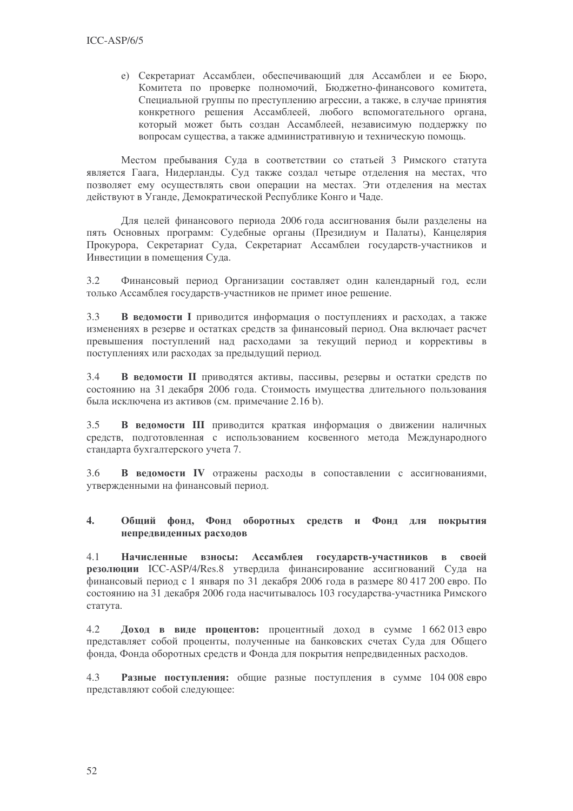е) Секретариат Ассамблеи, обеспечивающий для Ассамблеи и ее Бюро, Комитета по проверке полномочий, Бюджетно-финансового комитета, Специальной группы по преступлению агрессии, а также, в случае принятия конкретного решения Ассамблеей, любого вспомогательного органа, который может быть создан Ассамблеей, независимую поддержку по вопросам существа, а также административную и техническую помощь.

Местом пребывания Суда в соответствии со статьей 3 Римского статута является Гаага, Нидерланды. Суд также создал четыре отделения на местах, что позволяет ему осуществлять свои операции на местах. Эти отделения на местах действуют в Уганде. Демократической Республике Конго и Чаде.

Для целей финансового периода 2006 года ассигнования были разделены на пять Основных программ: Судебные органы (Президиум и Палаты), Канцелярия Прокурора, Секретариат Суда, Секретариат Ассамблеи государств-участников и Инвестиции в помещения Суда.

Финансовый период Организации составляет один календарный год, если  $3.2$ только Ассамблея государств-участников не примет иное решение.

 $3.3$ В веломости I приводится информация о поступлениях и расходах, а также изменениях в резерве и остатках средств за финансовый период. Она включает расчет превышения поступлений над расходами за текущий период и коррективы в поступлениях или расходах за предыдущий период.

 $3.4$ В ведомости II приводятся активы, пассивы, резервы и остатки средств по состоянию на 31 декабря 2006 года. Стоимость имущества длительного пользования была исключена из активов (см. примечание 2.16 b).

 $3.5$ В ведомости III приводится краткая информация о движении наличных средств, подготовленная с использованием косвенного метода Международного стандарта бухгалтерского учета 7.

 $3.6$ В ведомости IV отражены расходы в сопоставлении с ассигнованиями, утвержденными на финансовый период.

#### $\overline{4}$ . Общий фонд, Фонд оборотных средств и Фонд для покрытия непредвиденных расходов

 $4.1$ Начисленные взносы: Ассамблея государств-участников в своей резолюции ICC-ASP/4/Res.8 утвердила финансирование ассигнований Суда на финансовый период с 1 января по 31 декабря 2006 года в размере 80 417 200 евро. По состоянию на 31 декабря 2006 года насчитывалось 103 государства-участника Римского статута.

 $4.2$ Доход в виде процентов: процентный доход в сумме 1662013 евро представляет собой проценты, полученные на банковских счетах Суда для Общего фонда, Фонда оборотных средств и Фонда для покрытия непредвиденных расходов.

 $4.3$ Разные поступления: общие разные поступления в сумме 104 008 евро представляют собой следующее: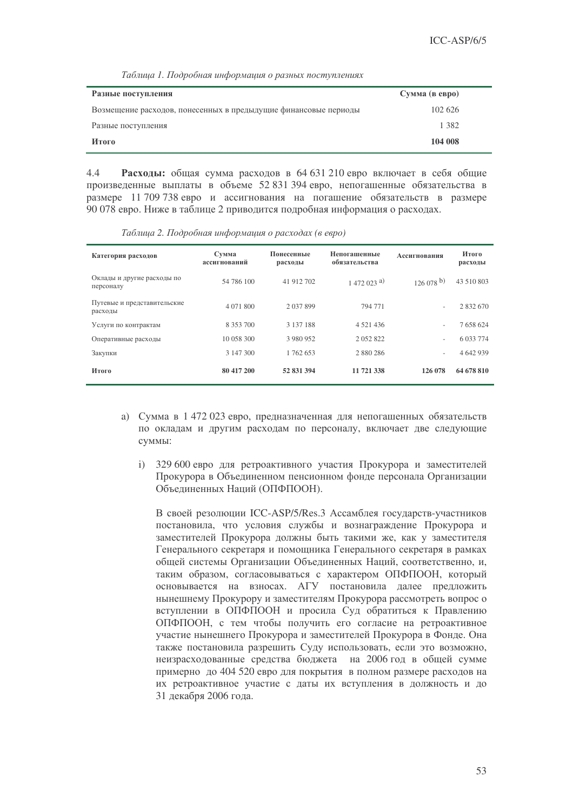Таблица 1. Подробная информация о разных поступлениях

| Разные поступления                                              | Сумма (в евро) |  |
|-----------------------------------------------------------------|----------------|--|
| Возмещение расходов, понесенных в предыдущие финансовые периоды | 102 626        |  |
| Разные поступления                                              | 1 3 8 2        |  |
| Итого                                                           | 104 008        |  |

 $4.4$ Расходы: общая сумма расходов в 64 631 210 евро включает в себя общие произведенные выплаты в объеме 52 831 394 евро, непогашенные обязательства в размере 11 709 738 евро и ассигнования на погашение обязательств в размере 90 078 евро. Ниже в таблице 2 приводится подробная информация о расходах.

|  | Таблица 2. Подробная информация о расходах (в евро) |  |
|--|-----------------------------------------------------|--|
|  |                                                     |  |

| Категория расходов                      | Сумма<br>ассигнований | Понесенные<br>расходы | Непогашенные<br>обязательства | Ассигнования             | Итого<br>расходы |
|-----------------------------------------|-----------------------|-----------------------|-------------------------------|--------------------------|------------------|
| Оклады и другие расходы по<br>персоналу | 54 786 100            | 41 912 702            | 1,472,023,8                   | $126078^{b}$             | 43 510 803       |
| Путевые и представительские<br>расходы  | 4 0 71 800            | 2037899               | 794 771                       | $\overline{\phantom{a}}$ | 2 832 670        |
| Услуги по контрактам                    | 8 3 5 3 7 0 0         | 3 137 188             | 4 5 21 4 36                   | $\overline{\phantom{a}}$ | 7 658 624        |
| Оперативные расходы                     | 10 058 300            | 3 980 952             | 2 0 5 2 8 2 2                 | $\overline{\phantom{a}}$ | 6 0 33 7 74      |
| Закупки                                 | 3 147 300             | 1 762 653             | 2 880 286                     | $\overline{\phantom{a}}$ | 4 642 939        |
| Итого                                   | 80 417 200            | 52 831 394            | 11 721 338                    | 126 078                  | 64 678 810       |

- а) Сумма в 1 472 023 евро, предназначенная для непогашенных обязательств по окладам и другим расходам по персоналу, включает две следующие **CVMMЫ:** 
	- 329 600 евро для ретроактивного участия Прокурора и заместителей  $i)$ Прокурора в Объединенном пенсионном фонде персонала Организации Объединенных Наций (ОПФПООН).

В своей резолюции ICC-ASP/5/Res.3 Ассамблея государств-участников постановила, что условия службы и вознаграждение Прокурора и заместителей Прокурора должны быть такими же, как у заместителя Генерального секретаря и помощника Генерального секретаря в рамках общей системы Организации Объединенных Наций, соответственно, и, таким образом, согласовываться с характером ОПФПООН, который основывается на взносах. АГУ постановила лалее предложить нынешнему Прокурору и заместителям Прокурора рассмотреть вопрос о вступлении в ОПФПООН и просила Суд обратиться к Правлению ОПФПООН, с тем чтобы получить его согласие на ретроактивное участие нынешнего Прокурора и заместителей Прокурора в Фонде. Она также постановила разрешить Суду использовать, если это возможно, неизрасходованные средства бюджета на 2006 год в общей сумме примерно до 404 520 евро для покрытия в полном размере расходов на их ретроактивное участие с даты их вступления в должность и до 31 декабря 2006 года.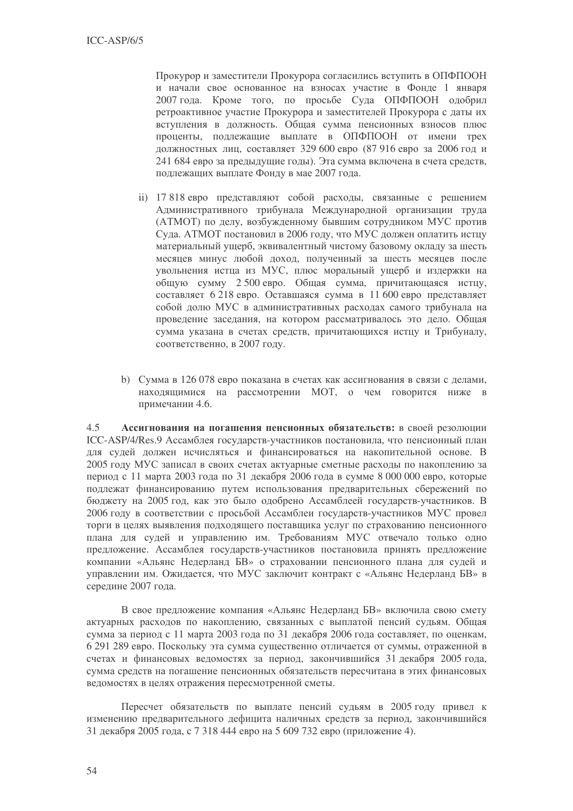Прокурор и заместители Прокурора согласились вступить в ОПФПООН и начали свое основанное на взносах участие в Фонде 1 января 2007 года. Кроме того, по просьбе Суда ОПФПООН одобрил ретроактивное участие Прокурора и заместителей Прокурора с даты их вступления в должность. Общая сумма пенсионных взносов плюс проценты, подлежащие выплате в ОПФПООН от имени трех должностных лиц, составляет 329 600 евро (87 916 евро за 2006 год и 241 684 евро за предыдущие годы). Эта сумма включена в счета средств, подлежащих выплате Фонду в мае 2007 года.

- ii) 17 818 евро представляют собой расходы, связанные с решением Административного трибунала Международной организации труда (АТМОТ) по делу, возбужденному бывшим сотрудником МУС против Суда. АТМОТ постановил в 2006 году, что МУС должен оплатить истцу материальный ущерб, эквивалентный чистому базовому окладу за шесть месяцев минус любой доход, полученный за шесть месяцев после увольнения истца из МУС, плюс моральный ущерб и издержки на общую сумму 2500 евро. Общая сумма, причитающаяся истцу, составляет 6218 евро. Оставшаяся сумма в 11600 евро представляет собой долю МУС в административных расходах самого трибунала на проведение заседания, на котором рассматривалось это дело. Общая сумма указана в счетах средств, причитающихся истцу и Трибуналу, соответственно, в 2007 году.
- b) Сумма в 126 078 евро показана в счетах как ассигнования в связи с делами, нахоляшимися на рассмотрении МОТ, о чем говорится ниже в примечании 4.6.

 $4.5$ Ассигнования на погашения пенсионных обязательств: в своей резолюции ICC-ASP/4/Res.9 Ассамблея государств-участников постановила, что пенсионный план для судей должен исчисляться и финансироваться на накопительной основе. В 2005 году МУС записал в своих счетах актуарные сметные расходы по накоплению за период с 11 марта 2003 года по 31 декабря 2006 года в сумме 8 000 000 евро, которые подлежат финансированию путем использования предварительных сбережений по бюджету на 2005 год, как это было одобрено Ассамблеей государств-участников. В 2006 году в соответствии с просьбой Ассамблеи государств-участников МУС провел торги в целях выявления подходящего поставщика услуг по страхованию пенсионного плана для судей и управлению им. Требованиям МУС отвечало только одно предложение. Ассамблея государств-участников постановила принять предложение компании «Альянс Недерланд БВ» о страховании пенсионного плана для судей и управлении им. Ожидается, что МУС заключит контракт с «Альянс Недерланд БВ» в середине 2007 года.

В свое предложение компания «Альянс Недерланд БВ» включила свою смету актуарных расходов по накоплению, связанных с выплатой пенсий судьям. Общая сумма за период с 11 марта 2003 года по 31 декабря 2006 года составляет, по оценкам, 6 291 289 евро. Поскольку эта сумма существенно отличается от суммы, отраженной в счетах и финансовых ведомостях за период, закончившийся 31 декабря 2005 года, сумма средств на погашение пенсионных обязательств пересчитана в этих финансовых ведомостях в целях отражения пересмотренной сметы.

Пересчет обязательств по выплате пенсий судьям в 2005 году привел к изменению предварительного дефицита наличных средств за период, закончившийся 31 декабря 2005 года, с 7 318 444 евро на 5 609 732 евро (приложение 4).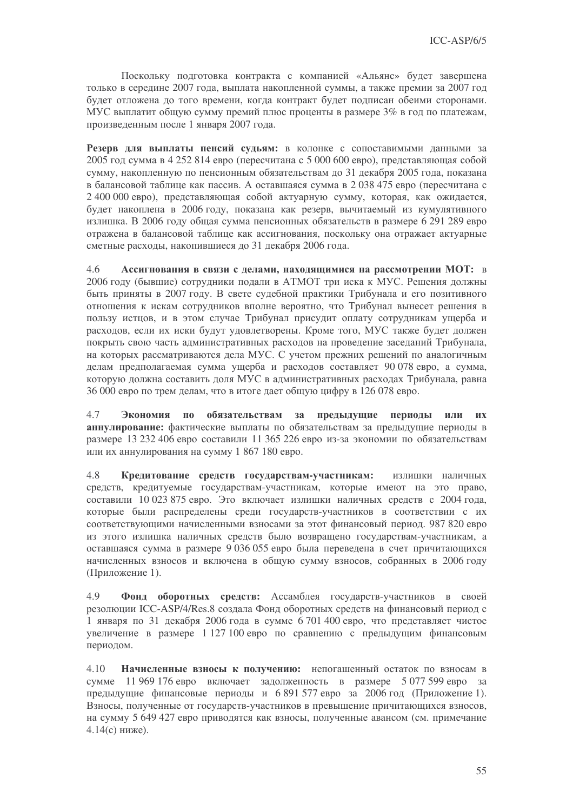Поскольку подготовка контракта с компанией «Альянс» будет завершена только в середине 2007 года, выплата накопленной суммы, а также премии за 2007 год будет отложена до того времени, когда контракт будет подписан обеими сторонами. МУС выплатит общую сумму премий плюс проценты в размере 3% в год по платежам, произвеленным после 1 января 2007 гола.

Резерв для выплаты пенсий судьям: в колонке с сопоставимыми данными за 2005 год сумма в 4 252 814 евро (пересчитана с 5 000 600 евро), представляющая собой сумму, накопленную по пенсионным обязательствам до 31 декабря 2005 года, показана в балансовой таблице как пассив. А оставшаяся сумма в 2 038 475 евро (пересчитана с 2 400 000 евро), представляющая собой актуарную сумму, которая, как ожидается, будет накоплена в 2006 году, показана как резерв, вычитаемый из кумулятивного излишка. В 2006 году общая сумма пенсионных обязательств в размере 6 291 289 евро отражена в балансовой таблице как ассигнования, поскольку она отражает актуарные сметные расходы, накопившиеся до 31 декабря 2006 года.

4.6 • Ассигнования в связи с делами, находящимися на рассмотрении МОТ: в 2006 году (бывшие) сотрудники подали в АТМОТ три иска к МУС. Решения должны быть приняты в 2007 году. В свете судебной практики Трибунала и его позитивного отношения к искам сотрудников вполне вероятно, что Трибунал вынесет решения в пользу истцов, и в этом случае Трибунал присудит оплату сотрудникам ущерба и расходов, если их иски будут удовлетворены. Кроме того, МУС также будет должен покрыть свою часть административных расходов на проведение заседаний Трибунала, на которых рассматриваются дела МУС. С учетом прежних решений по аналогичным делам предполагаемая сумма ущерба и расходов составляет 90 078 евро, а сумма, которую должна составить доля МУС в административных расходах Трибунала, равна 36 000 евро по трем делам, что в итоге дает общую цифру в 126 078 евро.

4.7 Экономия по обязательствам за пре дыдущие периоды или их аннулирование: фактические выплаты по обязательствам за предыдущие периоды в размере 13 232 406 евро составили 11 365 226 евро из-за экономии по обязательствам или их аннулирования на сумму 1 867 180 евро.

4.8 Кредитование средств государствам-участникам: излишки наличных средств, кредитуемые государствам-участникам, которые имеют на это право, составили 10 023 875 евро. Это включает излишки наличных средств с 2004 года, которые были распределены среди государств-участников в соответствии с их соответствующими начисленными взносами за этот финансовый период. 987 820 евро из этого излишка наличных средств было возвращено государствам-участникам, а оставшаяся сумма в размере 9 036 055 евро была переведена в счет причитающихся начисленных взносов и включена в общую сумму взносов, собранных в 2006 году (Приложение 1).

4.9 Фонд оборотных средств: Ассамблея государств-участников в своей резолюции ICC-ASP/4/Res.8 создала Фонд оборотных средств на финансовый период с 1 января по 31 декабря 2006 года в сумме 6 701 400 евро, что представляет чистое увеличение в размере 1 127 100 евро по сравнению с предыдущим финансовым периодом.

4.10 **Начисленные взносы к получению:** непогашенный остаток по взносам в сумме 11 969 176 евро включает задолженность в размере 5 077 599 евро за предыдущие финансовые периоды и 6 891 577 евро за 2006 год (Приложение 1). Взносы, полученные от государств-участников в превышение причитающихся взносов, на сумму 5 649 427 евро приводятся как взносы, полученные авансом (см. примечание  $4.14(c)$  ниже).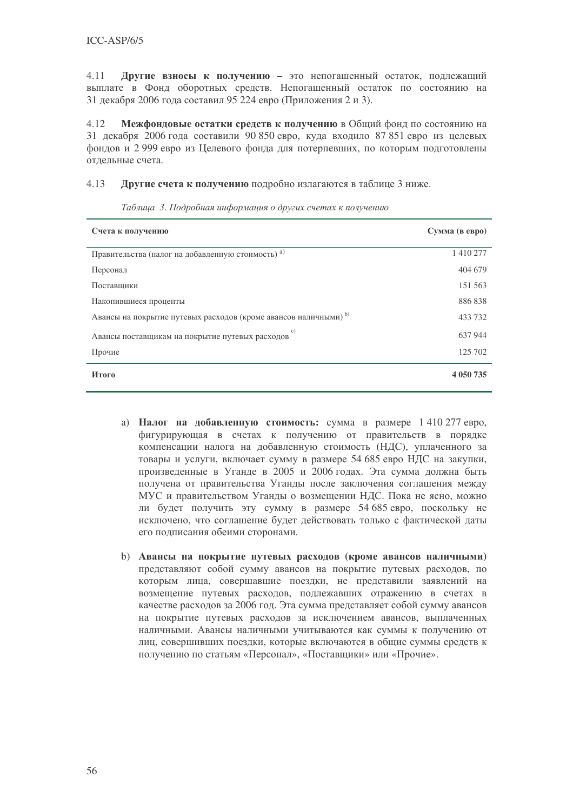4.11 Другие взносы к получению - это непогашенный остаток, подлежащий выплате в Фонд оборотных средств. Непогашенный остаток по состоянию на 31 декабря 2006 года составил 95 224 евро (Приложения 2 и 3).

4.12 Межфондовые остатки средств к получению в Общий фонд по состоянию на 31 декабря 2006 года составили 90 850 евро, куда входило 87 851 евро из целевых фондов и 2 999 евро из Целевого фонда для потерпевших, по которым подготовлены отдельные счета.

#### 4.13 Другие счета к получению подробно излагаются в таблице 3 ниже.

| Счета к получению                                                           | Сумма (в евро) |
|-----------------------------------------------------------------------------|----------------|
| Правительства (налог на добавленную стоимость) а)                           | 1 410 277      |
| Персонал                                                                    | 404 679        |
| Поставщики                                                                  | 151 563        |
| Накопившиеся проценты                                                       | 886838         |
| Авансы на покрытие путевых расходов (кроме авансов наличными) <sup>b)</sup> | 433 732        |
| c)<br>Авансы поставщикам на покрытие путевых расходов                       | 637 944        |
| Прочие                                                                      | 125 702        |
| Итого                                                                       | 4 050 735      |

Таблица 3. Подробная информация о других счетах к получению

- а) Налог на добавленную стоимость: сумма в размере 1410277 евро, фигурирующая в счетах к получению от правительств в порядке компенсации налога на добавленную стоимость (НДС), уплаченного за товары и услуги, включает сумму в размере 54 685 евро НЛС на закупки. произведенные в Уганде в 2005 и 2006 годах. Эта сумма должна быть получена от правительства Уганлы после заключения соглашения между МУС и правительством Уганды о возмещении НДС. Пока не ясно, можно ли будет получить эту сумму в размере 54 685 евро, поскольку не исключено, что соглашение будет действовать только с фактической даты его подписания обеими сторонами.
- b) Авансы на покрытие путевых расходов (кроме авансов наличными) представляют собой сумму авансов на покрытие путевых расходов, по которым лица, совершавшие поездки, не представили заявлений на возмещение путевых расходов, подлежавших отражению в счетах в качестве расходов за 2006 год. Эта сумма представляет собой сумму авансов на покрытие путевых расходов за исключением авансов, выплаченных наличными. Авансы наличными учитываются как суммы к получению от лиц, совершивших поездки, которые включаются в общие суммы средств к получению по статьям «Персонал», «Поставшики» или «Прочие».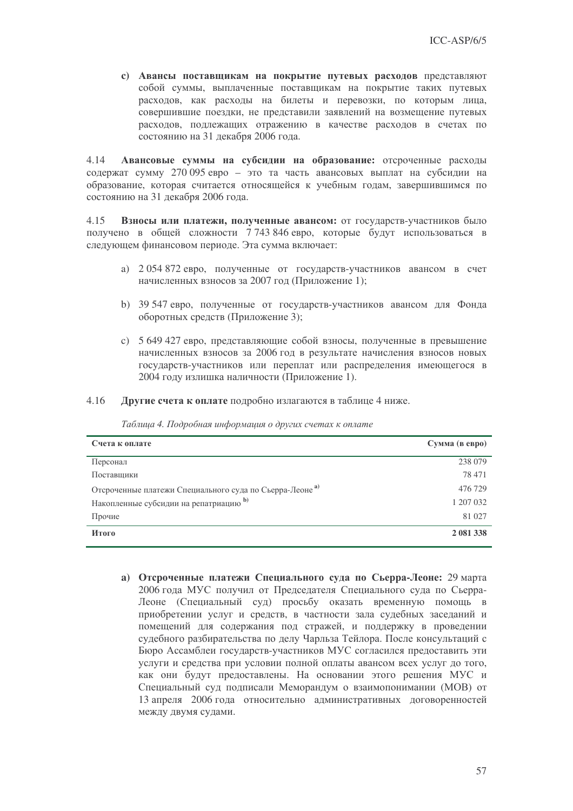с) Авансы поставщикам на покрытие путевых расходов представляют собой суммы, выплаченные поставщикам на покрытие таких путевых расходов, как расходы на билеты и перевозки, по которым лица, совершившие поездки, не представили заявлений на возмещение путевых расходов, подлежащих отражению в качестве расходов в счетах по состоянию на 31 декабря 2006 года.

4 1 4 Авансовые суммы на субсидии на образование: отсроченные расходы содержат сумму 270 095 евро - это та часть авансовых выплат на субсидии на образование, которая считается относящейся к учебным годам, завершившимся по состоянию на 31 лекабря 2006 года.

 $4.15$ Взносы или платежи, полученные авансом: от государств-участников было получено в общей сложности 7743 846 евро, которые будут использоваться в следующем финансовом периоде. Эта сумма включает:

- а) 2054 872 евро, полученные от государств-участников авансом в счет начисленных взносов за 2007 год (Приложение 1);
- b) 39 547 евро, полученные от государств-участников авансом для Фонда оборотных средств (Приложение 3):
- с) 5 649 427 евро, представляющие собой взносы, полученные в превышение начисленных взносов за 2006 год в результате начисления взносов новых государств-участников или переплат или распределения имеющегося в 2004 году излишка наличности (Приложение 1).

#### $4.16$ Другие счета к оплате подробно излагаются в таблице 4 ниже.

| Счета к оплате                                                      | Сумма (в евро) |
|---------------------------------------------------------------------|----------------|
| Персонал                                                            | 238 079        |
| Поставщики                                                          | 78 471         |
| Отсроченные платежи Специального суда по Сьерра-Леоне <sup>а)</sup> | 476 729        |
| Накопленные субсидии на репатриацию <sup>b)</sup>                   | 1 207 032      |
| Прочие                                                              | 81 027         |
| Итого                                                               | 2 081 338      |

Таблица 4. Подробная информация о других счетах к оплате

а) Отероченные платежи Специального суда по Сьерра-Леоне: 29 марта 2006 года МУС получил от Председателя Специального суда по Сьерра-Леоне (Специальный суд) просьбу оказать временную помощь в приобретении услуг и средств, в частности зала судебных заседаний и помещений для содержания под стражей, и поддержку в проведении судебного разбирательства по делу Чарльза Тейлора. После консультаций с Бюро Ассамблеи государств-участников МУС согласился предоставить эти услуги и средства при условии полной оплаты авансом всех услуг до того, как они будут предоставлены. На основании этого решения МУС и Специальный суд подписали Меморандум о взаимопонимании (МОВ) от 13 апреля 2006 года относительно административных договоренностей между двумя судами.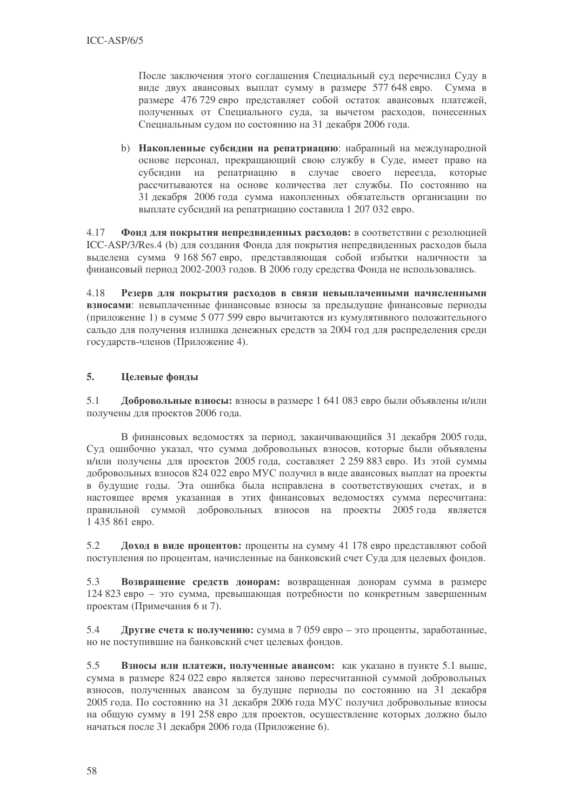После заключения этого соглашения Специальный суд перечислил Суду в виде двух авансовых выплат сумму в размере 577 648 евро. Сумма в размере 476 729 евро представляет собой остаток авансовых платежей, полученных от Специального суда, за вычетом расходов, понесенных Специальным судом по состоянию на 31 декабря 2006 года.

b) Накопленные субсидии на репатриацию: набранный на международной основе персонал, прекращающий свою службу в Суде, имеет право на субсидии на репатриацию в случае своего переезда, которые рассчитываются на основе количества лет службы. По состоянию на 31 декабря 2006 года сумма накопленных обязательств организации по выплате субсидий на репатриацию составила 1 207 032 евро.

4.17 **Фонд для покрытия непредвиденных расходов:** в соответствии с резолюцией ICC-ASP/3/Res.4 (b) для создания Фонда для покрытия непредвиденных расходов была выделена сумма 9 168 567 евро, представляющая собой избытки наличности за финансовый период 2002-2003 годов. В 2006 году средства Фонда не использовались.

4.18 (зерв для покрытия расходов в связи невыплаченными начисленными взносами: невыплаченные финансовые взносы за прелылушие финансовые периолы (приложение 1) в сумме 5 077 599 евро вычитаются из кумулятивного положительного сальдо для получения излишка денежных средств за 2004 год для распределения среди государств-членов (Приложение 4).

## 5. Целевые фонды

5.1 Добровольные взносы: взносы в размере 1 641 083 евро были объявлены и/или получены для проектов 2006 года.

В финансовых ведомостях за период, заканчивающийся 31 декабря 2005 года, Суд ошибочно указал, что сумма добровольных взносов, которые были объявлены и/или получены для проектов 2005 года, составляет 2 259 883 евро. Из этой суммы добровольных взносов 824 022 евро МУС получил в виде авансовых выплат на проекты в будущие годы. Эта ошибка была исправлена в соответствующих счетах, и в настоящее время указанная в этих финансовых ведомостях сумма пересчитана: правильной суммой добровольных взносов на проекты 2005 года является 1 435 861 евро.

5.2 Доход в виде процентов: проценты на сумму 41 178 евро представляют собой поступления по процентам, начисленные на банковский счет Суда для целевых фондов.

5.3 Возвращение средств донорам: возвращенная донорам сумма в размере 124 823 евро - это сумма, превышающая потребности по конкретным завершенным проектам (Примечания 6 и 7).

5.4 Другие счета к получению: сумма в 7 059 евро - это проценты, заработанные, но не поступившие на банковский счет целевых фондов.

5.5 Взносы или платежи, полученные авансом: как указано в пункте 5.1 выше, сумма в размере 824 022 евро является заново пересчитанной суммой добровольных взносов, полученных авансом за будущие периоды по состоянию на 31 декабря 2005 года. По состоянию на 31 декабря 2006 года МУС получил добровольные взносы на общую сумму в 191 258 евро для проектов, осуществление которых должно было начаться после 31 декабря 2006 года (Приложение 6).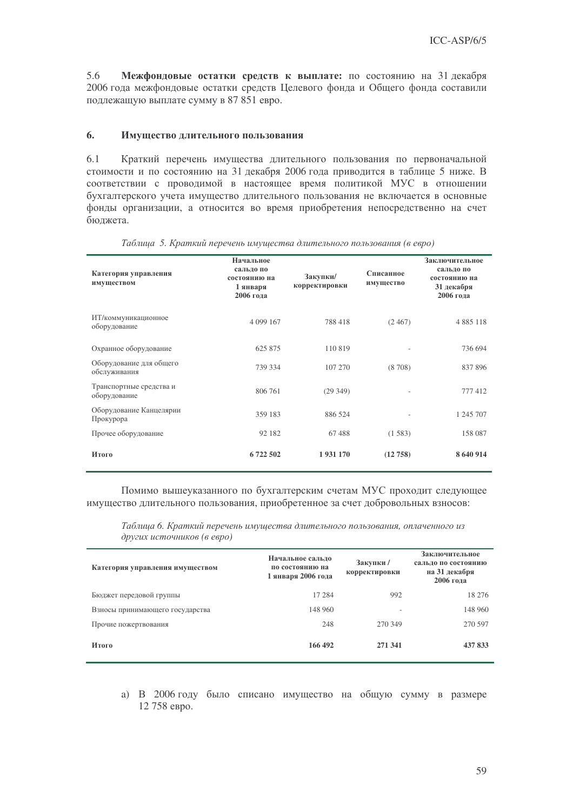5.6 Межфондовые остатки средств к выплате: по состоянию на 31 декабря 2006 года межфондовые остатки средств Целевого фонда и Общего фонда составили подлежащую выплате сумму в 87 851 евро.

#### 6. Имущество длительного пользования

6.1 Краткий перечень имущества длительного пользования по первоначальной стоимости и по состоянию на 31 декабря 2006 года приводится в таблице 5 ниже. В соответствии с проводимой в настоящее время политикой МУС в отношении бухгалтерского учета имущество длительного пользования не включается в основные фонды организации, а относится во время приобретения непосредственно на счет бюджета.

| Категория управления<br>имуществом      | Начальное<br>сальдо по<br>состоянию на<br>1 января<br>2006 года | Закупки/<br>корректировки | Списанное<br>имущество | Заключительное<br>сальдо по<br>состоянию на<br>31 декабря<br>2006 года |
|-----------------------------------------|-----------------------------------------------------------------|---------------------------|------------------------|------------------------------------------------------------------------|
| ИТ/коммуникационное<br>оборудование     | 4 0 9 1 1 6 7                                                   | 788418                    | (2.467)                | 4 8 8 5 1 1 8                                                          |
| Охранное оборудование                   | 625 875                                                         | 110 819                   |                        | 736 694                                                                |
| Оборудование для общего<br>обслуживания | 739 334                                                         | 107 270                   | (8708)                 | 837896                                                                 |
| Транспортные средства и<br>оборудование | 806 761                                                         | (29349)                   |                        | 777 412                                                                |
| Оборудование Канцелярии<br>Прокурора    | 359 183                                                         | 886 524                   |                        | 1 245 707                                                              |
| Прочее оборудование                     | 92 182                                                          | 67488                     | (1583)                 | 158 087                                                                |
| Итого                                   | 6722502                                                         | 1931170                   | (12758)                | 8 640 914                                                              |

Таблица 5. Краткий перечень имущества длительного пользования (в евро)

Помимо вышеуказанного по бухгалтерским счетам МУС проходит следующее имущество длительного пользования, приобретенное за счет добровольных взносов:

Таблица 6. Краткий перечень имущества длительного пользования, оплаченного из других источников (в евро)

| Категория управления имуществом | Начальное сальдо<br>по состоянию на<br>1 января 2006 года | Закупки/<br>корректировки | Заключительное<br>сальдо по состоянию<br>на 31 декабря<br>2006 года |
|---------------------------------|-----------------------------------------------------------|---------------------------|---------------------------------------------------------------------|
| Бюджет передовой группы         | 17 284                                                    | 992                       | 18 276                                                              |
| Взносы принимающего государства | 148 960                                                   |                           | 148 960                                                             |
| Прочие пожертвования            | 248                                                       | 270 349                   | 270 597                                                             |
| Итого                           | 166 492                                                   | 271 341                   | 437 833                                                             |

а) В 2006 году было списано имущество на общую сумму в размере 12 758 евро.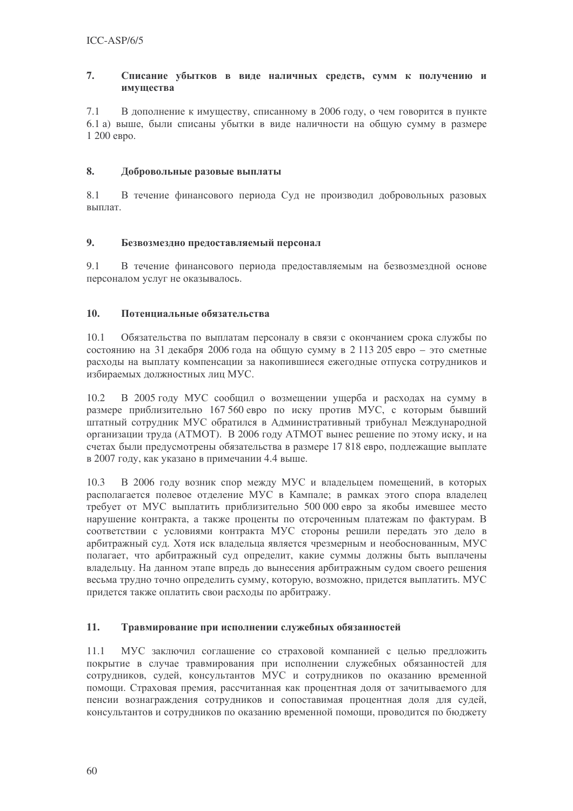#### 7. Списание убытков в виде наличных средств, сумм к получению и имущества

 $7.1$ В дополнение к имуществу, списанному в 2006 году, о чем говорится в пункте 6.1 а) выше, были списаны убытки в виде наличности на общую сумму в размере 1 200 евро.

#### 8. Добровольные разовые выплаты

8.1 В течение финансового периода Суд не производил добровольных разовых выплат.

#### 9. Безвозмездно предоставляемый персонал

 $Q_1$ В течение финансового периода предоставляемым на безвозмездной основе персоналом услуг не оказывалось.

#### $10.$ Потенциальные обязательства

 $10.1$ Обязательства по выплатам персоналу в связи с окончанием срока службы по состоянию на 31 декабря 2006 года на общую сумму в 2 113 205 евро - это сметные расходы на выплату компенсации за накопившиеся ежегодные отпуска сотрудников и избираемых должностных лиц МУС.

В 2005 году МУС сообщил о возмещении ущерба и расходах на сумму в  $10.2$ размере приблизительно 167 560 евро по иску против МУС, с которым бывший штатный сотрудник МУС обратился в Алминистративный трибунал Международной организации труда (АТМОТ). В 2006 году АТМОТ вынес решение по этому иску, и на счетах были предусмотрены обязательства в размере 17 818 евро, подлежащие выплате в 2007 году, как указано в примечании 4.4 выше.

В 2006 году возник спор между МУС и владельцем помещений, в которых  $10.3$ располагается полевое отделение МУС в Кампале; в рамках этого спора владелец требует от МУС выплатить приблизительно 500 000 евро за якобы имевшее место нарушение контракта, а также проценты по отсроченным платежам по фактурам. В соответствии с условиями контракта МУС стороны решили передать это дело в арбитражный суд. Хотя иск владельца является чрезмерным и необоснованным, МУС полагает, что арбитражный суд определит, какие суммы должны быть выплачены владельцу. На данном этапе впредь до вынесения арбитражным судом своего решения весьма трудно точно определить сумму, которую, возможно, придется выплатить. МУС придется также оплатить свои расходы по арбитражу.

#### $11.$ Травмирование при исполнении служебных обязанностей

МУС заключил соглашение со страховой компанией с целью предложить  $11.1$ покрытие в случае травмирования при исполнении служебных обязанностей для сотрудников, судей, консультантов МУС и сотрудников по оказанию временной помощи. Страховая премия, рассчитанная как процентная доля от зачитываемого для пенсии вознаграждения сотрудников и сопоставимая процентная доля для судей, консультантов и сотрудников по оказанию временной помощи, проводится по бюджету